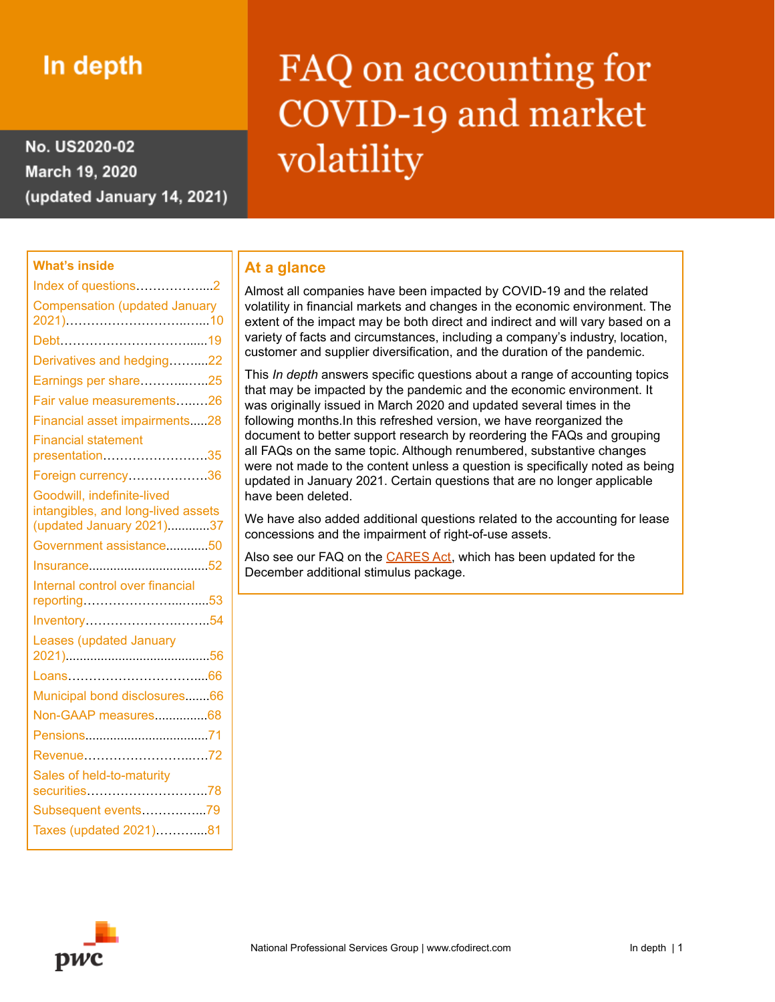# In depth

No. US2020-02 March 19, 2020 (updated January 14, 2021)

# FAQ on accounting for COVID-19 and market volatility

# **What's inside** Index of questions....................2 [Compensation](#page-9-0) (updated January [2021\)…](#page-9-0)……………………..…...10 [Debt…………………………......1](#page-18-0)9 Derivatives and [hedging……....2](#page-21-0)2 Earnings per [share………...…..2](#page-24-0)5 Fair value [measurements…..…2](#page-25-0)6 Financial asset [impairments.....](#page-27-0)28 Financial [statement](#page-34-0) [presentation](#page-34-0)…………………….35 Foreign [currency……………….](#page-35-0)36 Goodwill, [indefinite-lived](#page-36-0) [intangibles,](#page-36-0) and long-lived assets (updated January [2021\)............37](#page-36-0) Government [assistance............5](#page-49-0)0 [Insurance..................................5](#page-51-0)2 Internal control over [financial](#page-52-0) [reporting…………………...…](#page-52-0)....53 [Inventory………………….……..5](#page-53-0)4 Leases [\(updated](#page-55-0) January [2021\)..](#page-55-0).......................................56 [Loans…………………………....6](#page-65-0)6 Municipal bond [disclosures.......6](#page-65-1)6 Non-GAAP [measures...............68](#page-67-0) [Pensions...................................7](#page-70-0)1 [Revenue……………………..….7](#page-71-0)2 Sales of [held-to-maturity](#page-77-0) [securities………………](#page-77-0)………..78 Subsequent [events……….…...7](#page-78-0)9 Taxes (updated [2021\)………....](#page-80-0)81

# **At a glance**

Almost all companies have been impacted by COVID-19 and the related volatility in financial markets and changes in the economic environment. The extent of the impact may be both direct and indirect and will vary based on a variety of facts and circumstances, including a company's industry, location, customer and supplier diversification, and the duration of the pandemic.

This *In depth* answers specific questions about a range of accounting topics that may be impacted by the pandemic and the economic environment. It was originally issued in March 2020 and updated several times in the following months.In this refreshed version, we have reorganized the document to better support research by reordering the FAQs and grouping all FAQs on the same topic. Although renumbered, substantive changes were not made to the content unless a question is specifically noted as being updated in January 2021. Certain questions that are no longer applicable have been deleted.

We have also added additional questions related to the accounting for lease concessions and the impairment of right-of-use assets.

Also see our FAQ on the [CARES](https://www.pwc.com/us/en/cfodirect/publications/in-depth/cares-act-accounting-stimulus.html) Act, which has been updated for the December additional stimulus package.

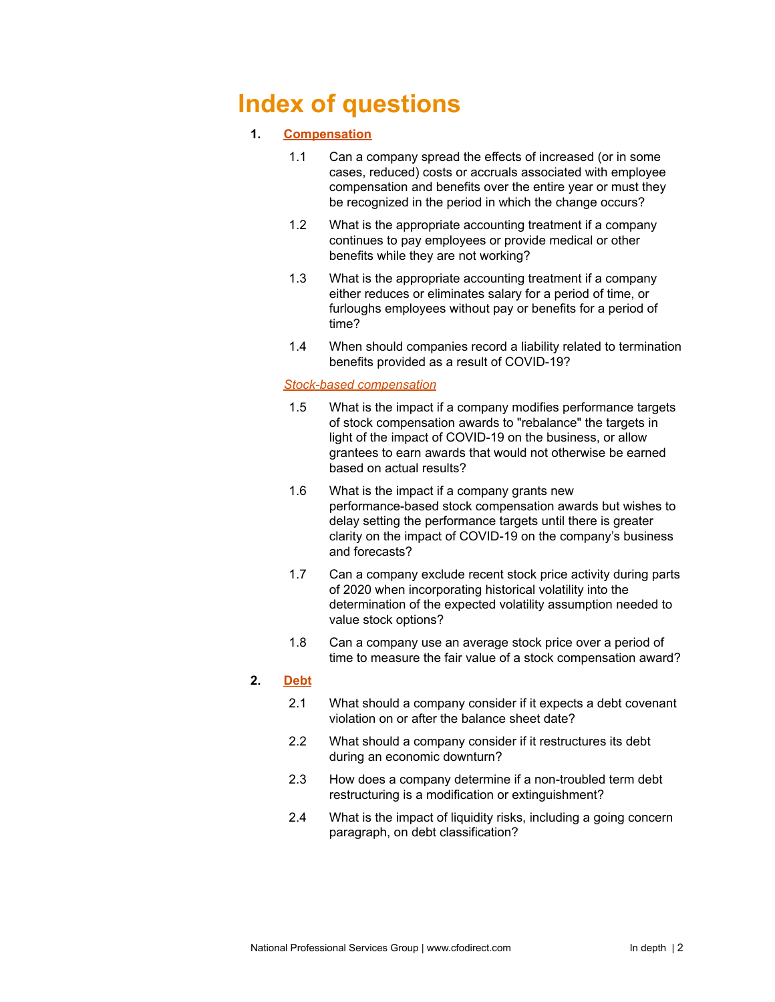# <span id="page-1-0"></span>**Index of questions**

# **1. [Compensation](#page-9-0)**

- 1.1 Can a company spread the effects of increased (or in some cases, reduced) costs or accruals associated with employee compensation and benefits over the entire year or must they be recognized in the period in which the change occurs?
- 1.2 What is the appropriate accounting treatment if a company continues to pay employees or provide medical or other benefits while they are not working?
- 1.3 What is the appropriate accounting treatment if a company either reduces or eliminates salary for a period of time, or furloughs employees without pay or benefits for a period of time?
- 1.4 When should companies record a liability related to termination benefits provided as a result of COVID-19?

### *Stock-based [compensation](#page-14-0)*

- 1.5 What is the impact if a company modifies performance targets of stock compensation awards to "rebalance" the targets in light of the impact of COVID-19 on the business, or allow grantees to earn awards that would not otherwise be earned based on actual results?
- 1.6 What is the impact if a company grants new performance-based stock compensation awards but wishes to delay setting the performance targets until there is greater clarity on the impact of COVID-19 on the company's business and forecasts?
- 1.7 Can a company exclude recent stock price activity during parts of 2020 when incorporating historical volatility into the determination of the expected volatility assumption needed to value stock options?
- 1.8 Can a company use an average stock price over a period of time to measure the fair value of a stock compensation award?

# **2. [Debt](#page-18-0)**

- 2.1 What should a company consider if it expects a debt covenant violation on or after the balance sheet date?
- 2.2 What should a company consider if it restructures its debt during an economic downturn?
- 2.3 How does a company determine if a non-troubled term debt restructuring is a modification or extinguishment?
- 2.4 What is the impact of liquidity risks, including a going concern paragraph, on debt classification?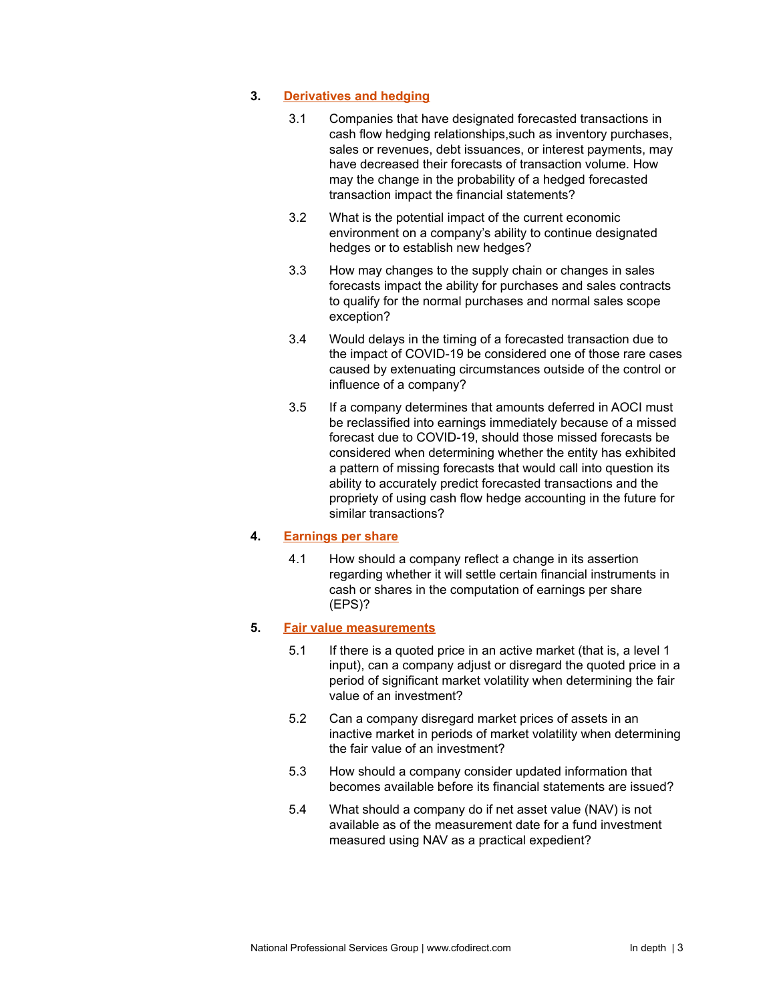### **3. [Derivatives](#page-21-0) and hedging**

- 3.1 Companies that have designated forecasted transactions in cash flow hedging relationships,such as inventory purchases, sales or revenues, debt issuances, or interest payments, may have decreased their forecasts of transaction volume. How may the change in the probability of a hedged forecasted transaction impact the financial statements?
- 3.2 What is the potential impact of the current economic environment on a company's ability to continue designated hedges or to establish new hedges?
- 3.3 How may changes to the supply chain or changes in sales forecasts impact the ability for purchases and sales contracts to qualify for the normal purchases and normal sales scope exception?
- 3.4 Would delays in the timing of a forecasted transaction due to the impact of COVID-19 be considered one of those rare cases caused by extenuating circumstances outside of the control or influence of a company?
- 3.5 If a company determines that amounts deferred in AOCI must be reclassified into earnings immediately because of a missed forecast due to COVID-19, should those missed forecasts be considered when determining whether the entity has exhibited a pattern of missing forecasts that would call into question its ability to accurately predict forecasted transactions and the propriety of using cash flow hedge accounting in the future for similar transactions?

# **4. [Earnings](#page-24-0) per share**

4.1 How should a company reflect a change in its assertion regarding whether it will settle certain financial instruments in cash or shares in the computation of earnings per share (EPS)?

#### **5. Fair value [measurements](#page-25-0)**

- 5.1 If there is a quoted price in an active market (that is, a level 1 input), can a company adjust or disregard the quoted price in a period of significant market volatility when determining the fair value of an investment?
- 5.2 Can a company disregard market prices of assets in an inactive market in periods of market volatility when determining the fair value of an investment?
- 5.3 How should a company consider updated information that becomes available before its financial statements are issued?
- 5.4 What should a company do if net asset value (NAV) is not available as of the measurement date for a fund investment measured using NAV as a practical expedient?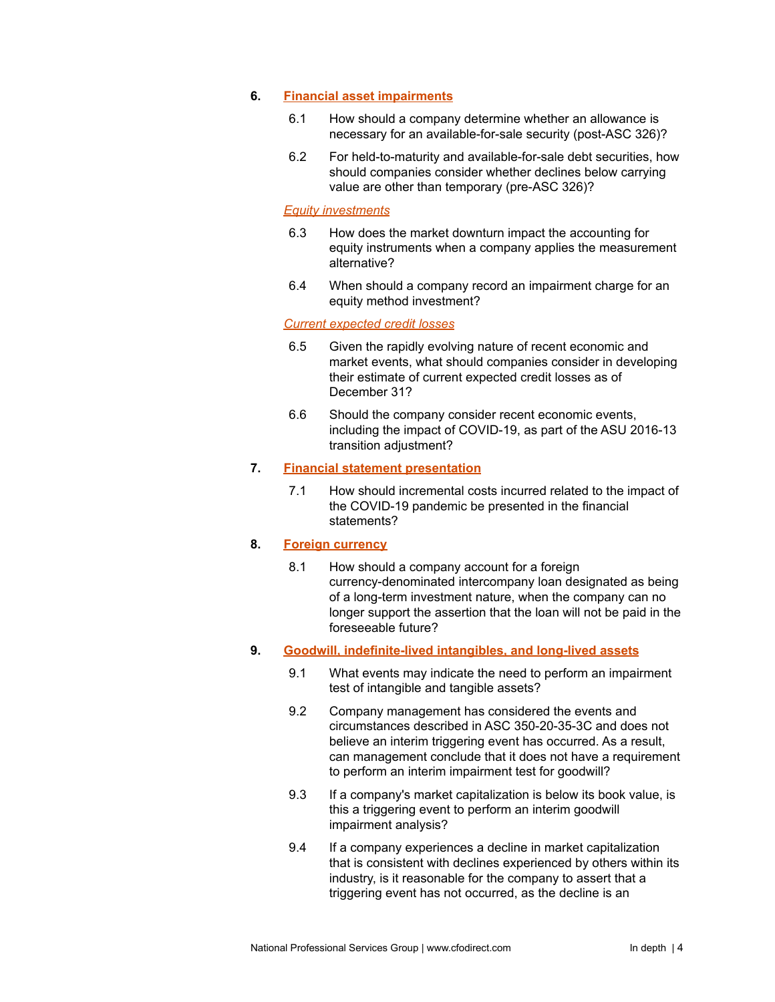#### **6. Financial asset [impairments](#page-27-0)**

- 6.1 How should a company determine whether an allowance is necessary for an available-for-sale security (post-ASC 326)?
- 6.2 For held-to-maturity and available-for-sale debt securities, how should companies consider whether declines below carrying value are other than temporary (pre-ASC 326)?

#### *Equity [investments](#page-31-0)*

- 6.3 How does the market downturn impact the accounting for equity instruments when a company applies the measurement alternative?
- 6.4 When should a company record an impairment charge for an equity method investment?

#### *Current [expected](#page-33-0) credit losses*

- 6.5 Given the rapidly evolving nature of recent economic and market events, what should companies consider in developing their estimate of current expected credit losses as of December 31?
- 6.6 Should the company consider recent economic events, including the impact of COVID-19, as part of the ASU 2016-13 transition adjustment?

### **7. Financial statement [presentation](#page-34-0)**

7.1 How should incremental costs incurred related to the impact of the COVID-19 pandemic be presented in the financial statements?

### **8. Foreign [currency](#page-35-0)**

8.1 How should a company account for a foreign currency-denominated intercompany loan designated as being of a long-term investment nature, when the company can no longer support the assertion that the loan will not be paid in the foreseeable future?

# **9. Goodwill, [indefinite-lived](#page-36-0) intangibles, and long-lived assets**

- 9.1 What events may indicate the need to perform an impairment test of intangible and tangible assets?
- 9.2 Company management has considered the events and circumstances described in ASC 350-20-35-3C and does not believe an interim triggering event has occurred. As a result, can management conclude that it does not have a requirement to perform an interim impairment test for goodwill?
- 9.3 If a company's market capitalization is below its book value, is this a triggering event to perform an interim goodwill impairment analysis?
- 9.4 If a company experiences a decline in market capitalization that is consistent with declines experienced by others within its industry, is it reasonable for the company to assert that a triggering event has not occurred, as the decline is an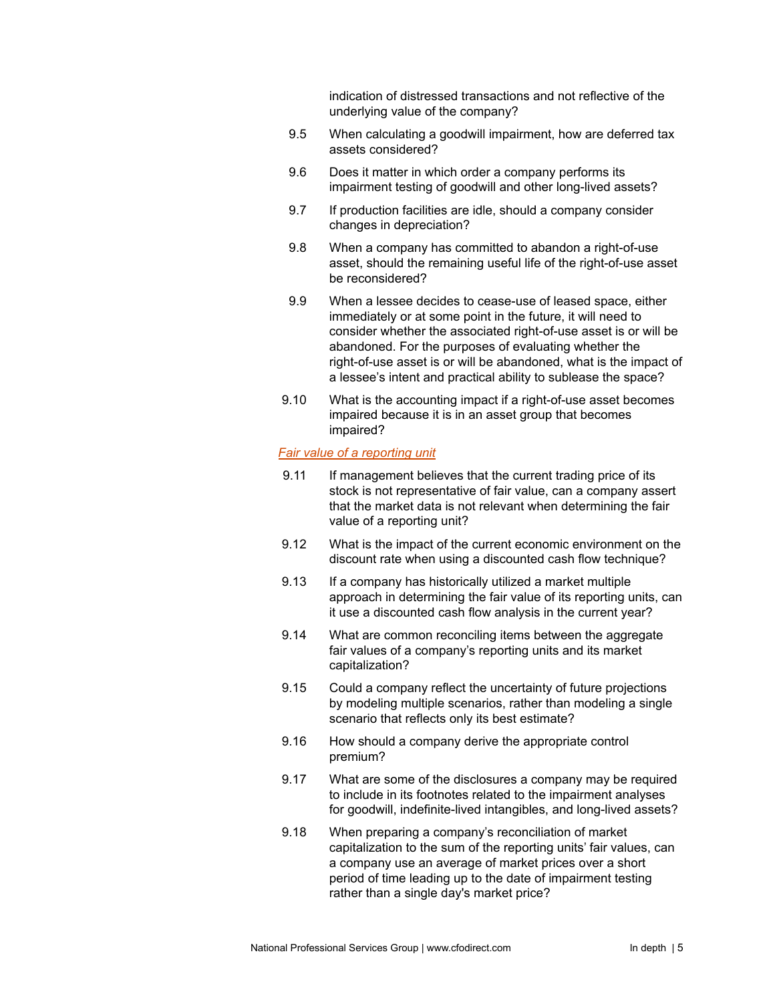indication of distressed transactions and not reflective of the underlying value of the company?

- 9.5 When calculating a goodwill impairment, how are deferred tax assets considered?
- 9.6 Does it matter in which order a company performs its impairment testing of goodwill and other long-lived assets?
- 9.7 If production facilities are idle, should a company consider changes in depreciation?
- 9.8 When a company has committed to abandon a right-of-use asset, should the remaining useful life of the right-of-use asset be reconsidered?
- 9.9 When a lessee decides to cease-use of leased space, either immediately or at some point in the future, it will need to consider whether the associated right-of-use asset is or will be abandoned. For the purposes of evaluating whether the right-of-use asset is or will be abandoned, what is the impact of a lessee's intent and practical ability to sublease the space?
- 9.10 What is the accounting impact if a right-of-use asset becomes impaired because it is in an asset group that becomes impaired?

#### *Fair value of a [reporting](#page-43-0) unit*

- 9.11 If management believes that the current trading price of its stock is not representative of fair value, can a company assert that the market data is not relevant when determining the fair value of a reporting unit?
- 9.12 What is the impact of the current economic environment on the discount rate when using a discounted cash flow technique?
- 9.13 If a company has historically utilized a market multiple approach in determining the fair value of its reporting units, can it use a discounted cash flow analysis in the current year?
- 9.14 What are common reconciling items between the aggregate fair values of a company's reporting units and its market capitalization?
- 9.15 Could a company reflect the uncertainty of future projections by modeling multiple scenarios, rather than modeling a single scenario that reflects only its best estimate?
- 9.16 How should a company derive the appropriate control premium?
- 9.17 What are some of the disclosures a company may be required to include in its footnotes related to the impairment analyses for goodwill, indefinite-lived intangibles, and long-lived assets?
- 9.18 When preparing a company's reconciliation of market capitalization to the sum of the reporting units' fair values, can a company use an average of market prices over a short period of time leading up to the date of impairment testing rather than a single day's market price?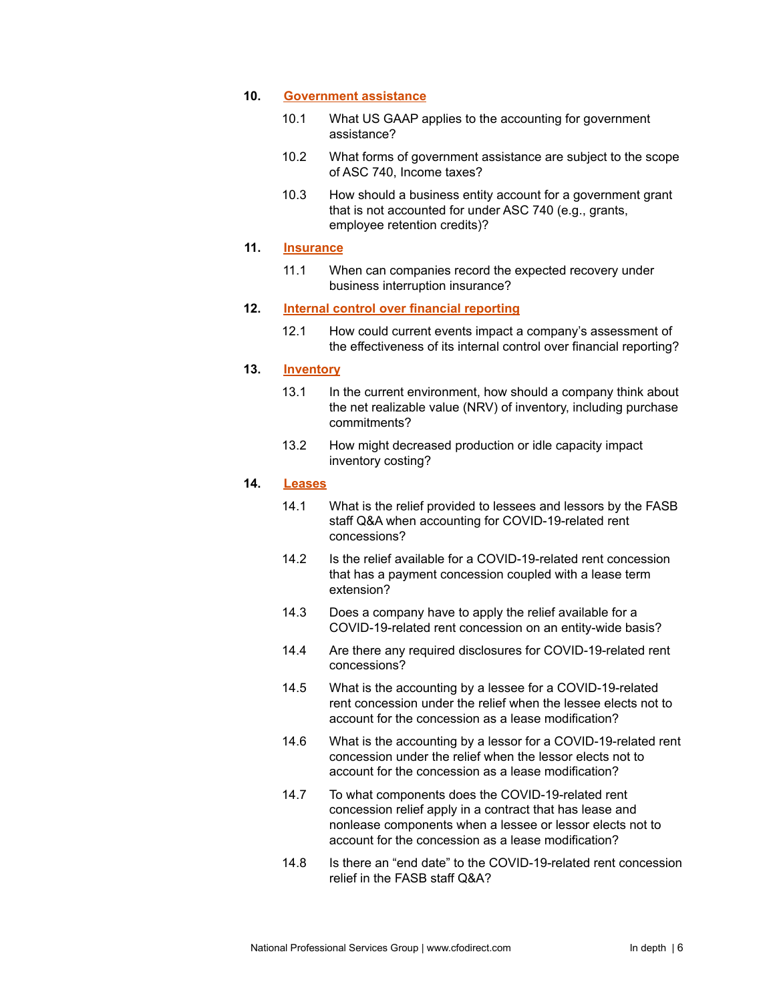#### **10. [Government](#page-48-0) assistance**

- 10.1 What US GAAP applies to the accounting for government assistance?
- 10.2 What forms of government assistance are subject to the scope of ASC 740, Income taxes?
- 10.3 How should a business entity account for a government grant that is not accounted for under ASC 740 (e.g., grants, employee retention credits)?

#### **11. [Insurance](#page-51-0)**

11.1 When can companies record the expected recovery under business interruption insurance?

#### **12. Internal control over financial [reporting](#page-52-0)**

12.1 How could current events impact a company's assessment of the effectiveness of its internal control over financial reporting?

### **13. [Inventory](#page-53-0)**

- 13.1 In the current environment, how should a company think about the net realizable value (NRV) of inventory, including purchase commitments?
- 13.2 How might decreased production or idle capacity impact inventory costing?

# **14. [Leases](#page-55-0)**

- 14.1 What is the relief provided to lessees and lessors by the FASB staff Q&A when accounting for COVID-19-related rent concessions?
- 14.2 Is the relief available for a COVID-19-related rent concession that has a payment concession coupled with a lease term extension?
- 14.3 Does a company have to apply the relief available for a COVID-19-related rent concession on an entity-wide basis?
- 14.4 Are there any required disclosures for COVID-19-related rent concessions?
- 14.5 What is the accounting by a lessee for a COVID-19-related rent concession under the relief when the lessee elects not to account for the concession as a lease modification?
- 14.6 What is the accounting by a lessor for a COVID-19-related rent concession under the relief when the lessor elects not to account for the concession as a lease modification?
- 14.7 To what components does the COVID-19-related rent concession relief apply in a contract that has lease and nonlease components when a lessee or lessor elects not to account for the concession as a lease modification?
- 14.8 Is there an "end date" to the COVID-19-related rent concession relief in the FASB staff Q&A?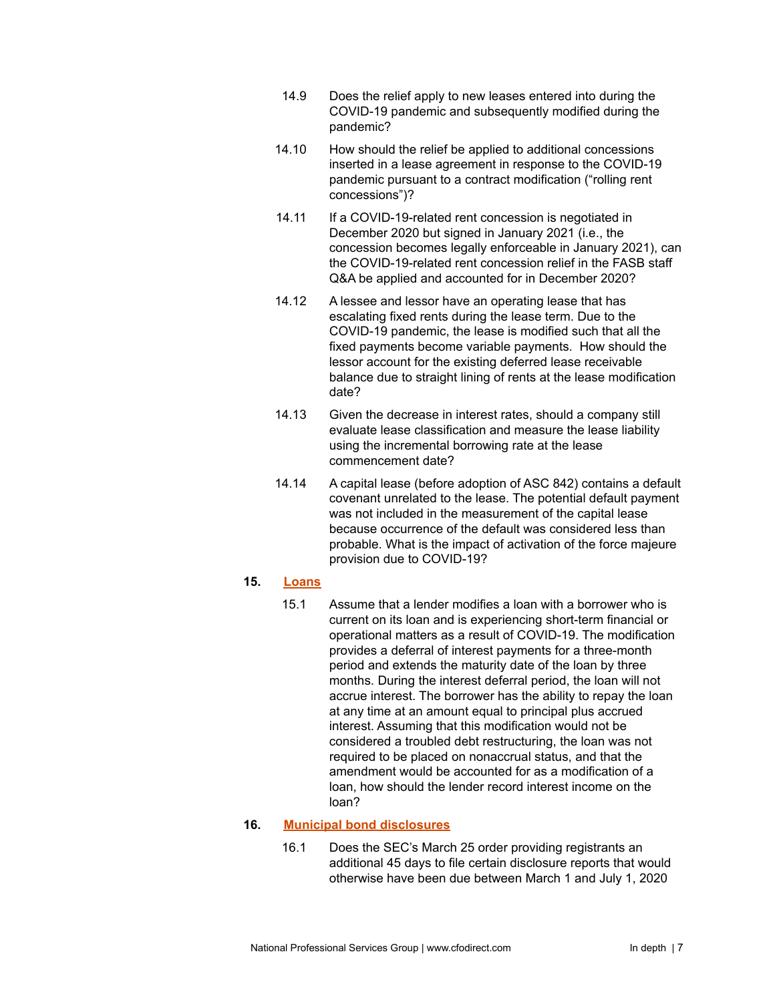- 14.9 Does the relief apply to new leases entered into during the COVID-19 pandemic and subsequently modified during the pandemic?
- 14.10 How should the relief be applied to additional concessions inserted in a lease agreement in response to the COVID-19 pandemic pursuant to a contract modification ("rolling rent concessions")?
- 14.11 If a COVID-19-related rent concession is negotiated in December 2020 but signed in January 2021 (i.e., the concession becomes legally enforceable in January 2021), can the COVID-19-related rent concession relief in the FASB staff Q&A be applied and accounted for in December 2020?
- 14.12 A lessee and lessor have an operating lease that has escalating fixed rents during the lease term. Due to the COVID-19 pandemic, the lease is modified such that all the fixed payments become variable payments. How should the lessor account for the existing deferred lease receivable balance due to straight lining of rents at the lease modification date?
- 14.13 Given the decrease in interest rates, should a company still evaluate lease classification and measure the lease liability using the incremental borrowing rate at the lease commencement date?
- 14.14 A capital lease (before adoption of ASC 842) contains a default covenant unrelated to the lease. The potential default payment was not included in the measurement of the capital lease because occurrence of the default was considered less than probable. What is the impact of activation of the force majeure provision due to COVID-19?

# **15. [Loans](#page-65-0)**

15.1 Assume that a lender modifies a loan with a borrower who is current on its loan and is experiencing short-term financial or operational matters as a result of COVID-19. The modification provides a deferral of interest payments for a three-month period and extends the maturity date of the loan by three months. During the interest deferral period, the loan will not accrue interest. The borrower has the ability to repay the loan at any time at an amount equal to principal plus accrued interest. Assuming that this modification would not be considered a troubled debt restructuring, the loan was not required to be placed on nonaccrual status, and that the amendment would be accounted for as a modification of a loan, how should the lender record interest income on the loan?

# **16. Municipal bond [disclosures](#page-65-1)**

16.1 Does the SEC's March 25 order providing registrants an additional 45 days to file certain disclosure reports that would otherwise have been due between March 1 and July 1, 2020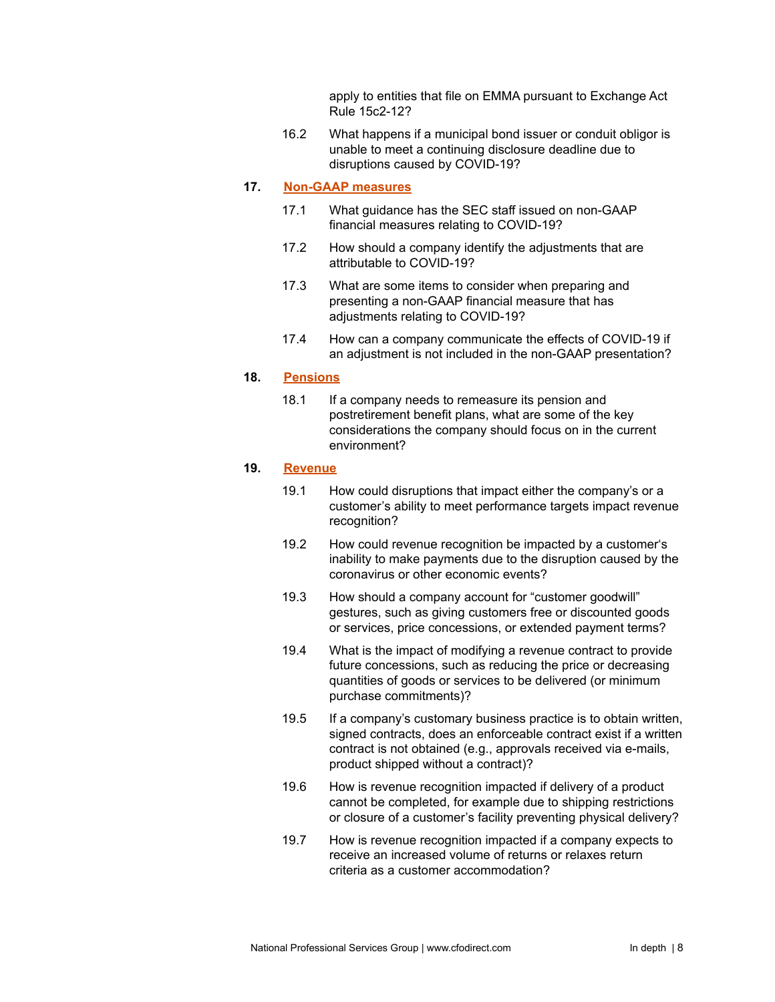apply to entities that file on EMMA pursuant to Exchange Act Rule 15c2-12?

16.2 What happens if a municipal bond issuer or conduit obligor is unable to meet a continuing disclosure deadline due to disruptions caused by COVID-19?

# **17. [Non-GAAP](#page-67-0) measures**

- 17.1 What guidance has the SEC staff issued on non-GAAP financial measures relating to COVID-19?
- 17.2 How should a company identify the adjustments that are attributable to COVID-19?
- 17.3 What are some items to consider when preparing and presenting a non-GAAP financial measure that has adjustments relating to COVID-19?
- 17.4 How can a company communicate the effects of COVID-19 if an adjustment is not included in the non-GAAP presentation?

# **18. [Pensions](#page-70-0)**

18.1 If a company needs to remeasure its pension and postretirement benefit plans, what are some of the key considerations the company should focus on in the current environment?

#### **19. [Revenue](#page-71-0)**

- 19.1 How could disruptions that impact either the company's or a customer's ability to meet performance targets impact revenue recognition?
- 19.2 How could revenue recognition be impacted by a customer's inability to make payments due to the disruption caused by the coronavirus or other economic events?
- 19.3 How should a company account for "customer goodwill" gestures, such as giving customers free or discounted goods or services, price concessions, or extended payment terms?
- 19.4 What is the impact of modifying a revenue contract to provide future concessions, such as reducing the price or decreasing quantities of goods or services to be delivered (or minimum purchase commitments)?
- 19.5 If a company's customary business practice is to obtain written, signed contracts, does an enforceable contract exist if a written contract is not obtained (e.g., approvals received via e-mails, product shipped without a contract)?
- 19.6 How is revenue recognition impacted if delivery of a product cannot be completed, for example due to shipping restrictions or closure of a customer's facility preventing physical delivery?
- 19.7 How is revenue recognition impacted if a company expects to receive an increased volume of returns or relaxes return criteria as a customer accommodation?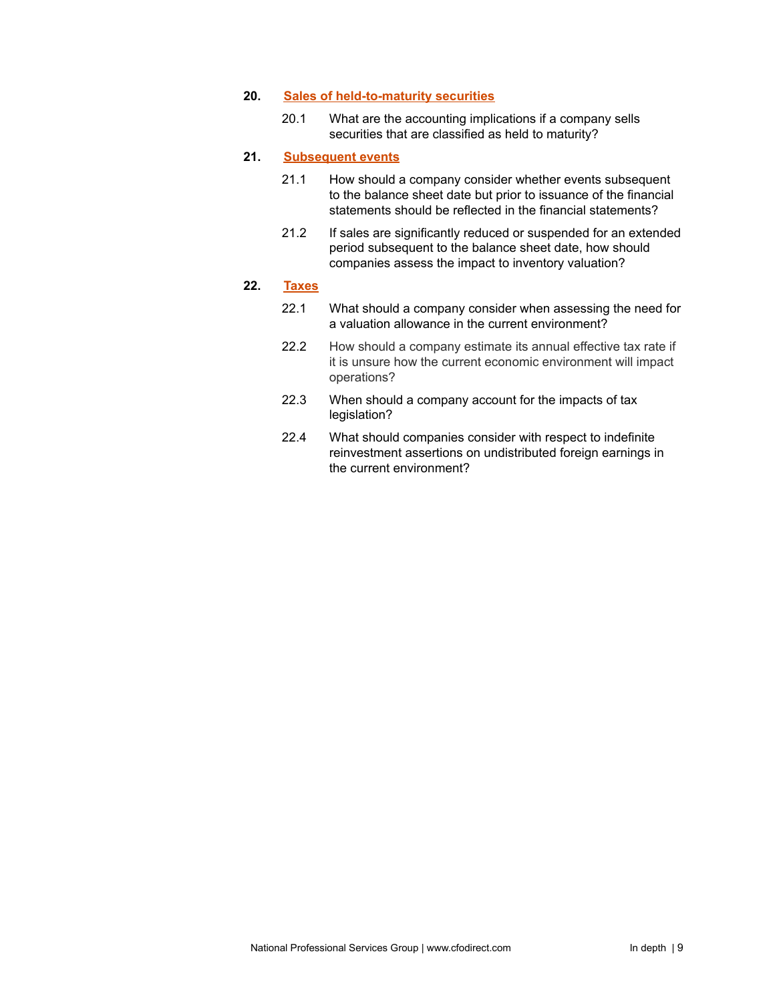#### **20. Sales of [held-to-maturity](#page-77-0) securities**

20.1 What are the accounting implications if a company sells securities that are classified as held to maturity?

# **21. [Subsequent](#page-78-0) events**

- 21.1 How should a company consider whether events subsequent to the balance sheet date but prior to issuance of the financial statements should be reflected in the financial statements?
- 21.2 If sales are significantly reduced or suspended for an extended period subsequent to the balance sheet date, how should companies assess the impact to inventory valuation?

# **22. [Taxes](#page-80-0)**

- 22.1 What should a company consider when assessing the need for a valuation allowance in the current environment?
- 22.2 How should a company estimate its annual effective tax rate if it is unsure how the current economic environment will impact operations?
- 22.3 When should a company account for the impacts of tax legislation?
- 22.4 What should companies consider with respect to indefinite reinvestment assertions on undistributed foreign earnings in the current environment?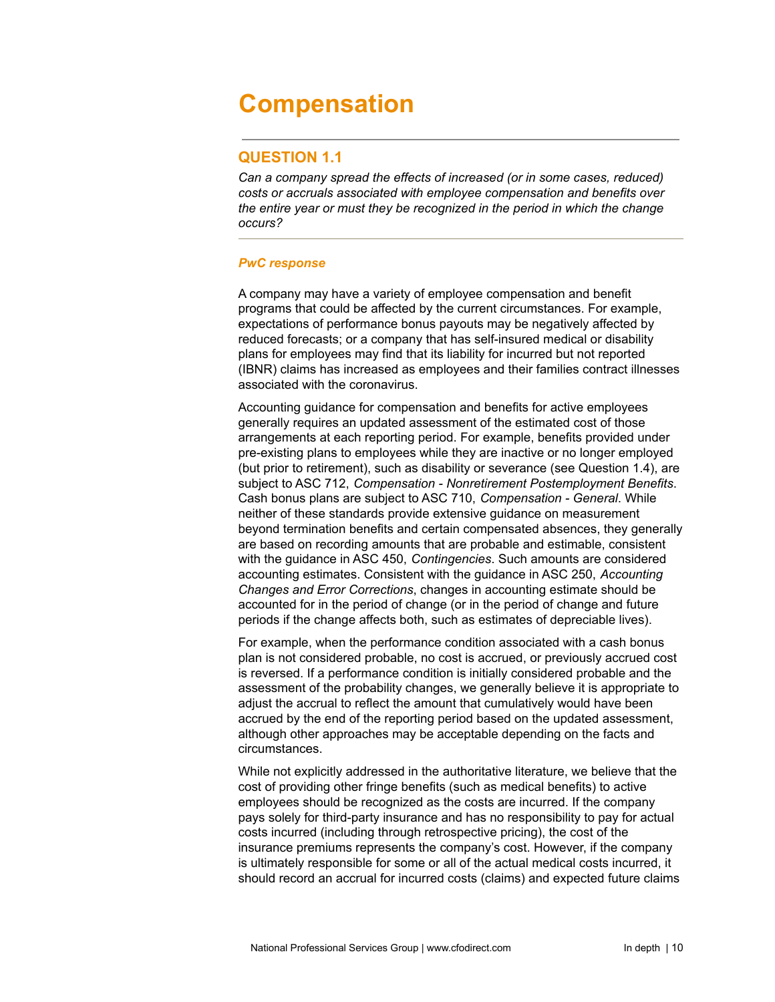# <span id="page-9-0"></span>**Compensation**

# **QUESTION 1.1**

*Can a company spread the effects of increased (or in some cases, reduced) costs or accruals associated with employee compensation and benefits over the entire year or must they be recognized in the period in which the change occurs?*

# *PwC response*

A company may have a variety of employee compensation and benefit programs that could be affected by the current circumstances. For example, expectations of performance bonus payouts may be negatively affected by reduced forecasts; or a company that has self-insured medical or disability plans for employees may find that its liability for incurred but not reported (IBNR) claims has increased as employees and their families contract illnesses associated with the coronavirus.

Accounting guidance for compensation and benefits for active employees generally requires an updated assessment of the estimated cost of those arrangements at each reporting period. For example, benefits provided under pre-existing plans to employees while they are inactive or no longer employed (but prior to retirement), such as disability or severance (see Question 1.4), are subject to ASC 712, *Compensation - Nonretirement Postemployment Benefits*. Cash bonus plans are subject to ASC 710, *Compensation - General*. While neither of these standards provide extensive guidance on measurement beyond termination benefits and certain compensated absences, they generally are based on recording amounts that are probable and estimable, consistent with the guidance in ASC 450, *Contingencies*. Such amounts are considered accounting estimates. Consistent with the guidance in ASC 250, *Accounting Changes and Error Corrections*, changes in accounting estimate should be accounted for in the period of change (or in the period of change and future periods if the change affects both, such as estimates of depreciable lives).

For example, when the performance condition associated with a cash bonus plan is not considered probable, no cost is accrued, or previously accrued cost is reversed. If a performance condition is initially considered probable and the assessment of the probability changes, we generally believe it is appropriate to adjust the accrual to reflect the amount that cumulatively would have been accrued by the end of the reporting period based on the updated assessment, although other approaches may be acceptable depending on the facts and circumstances.

While not explicitly addressed in the authoritative literature, we believe that the cost of providing other fringe benefits (such as medical benefits) to active employees should be recognized as the costs are incurred. If the company pays solely for third-party insurance and has no responsibility to pay for actual costs incurred (including through retrospective pricing), the cost of the insurance premiums represents the company's cost. However, if the company is ultimately responsible for some or all of the actual medical costs incurred, it should record an accrual for incurred costs (claims) and expected future claims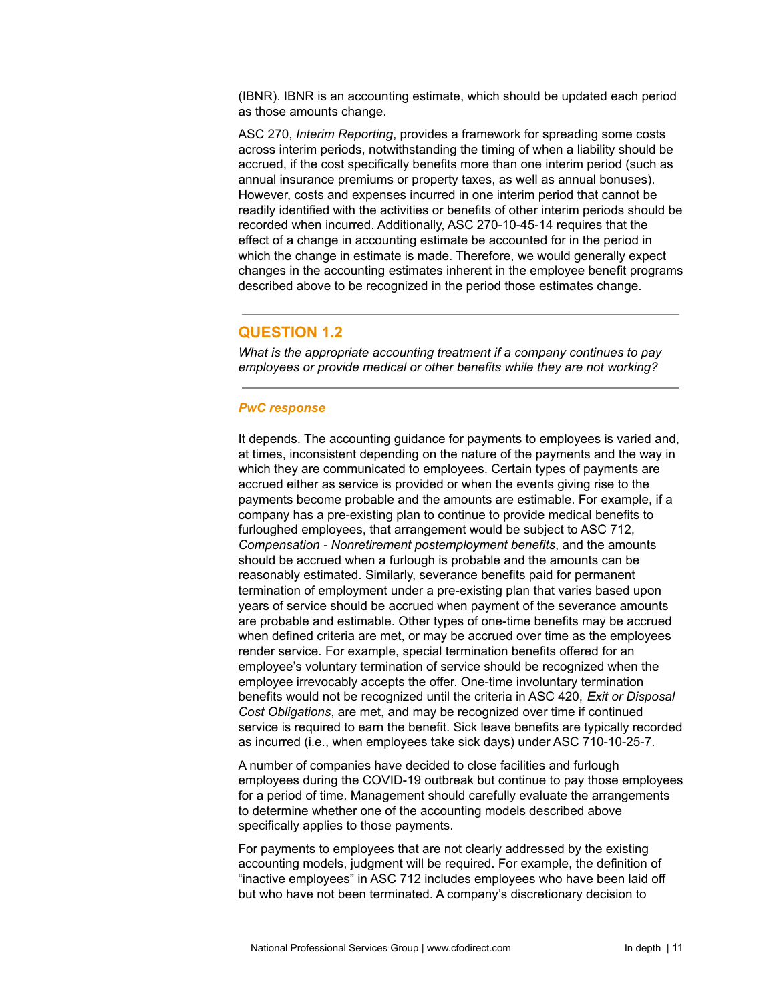(IBNR). IBNR is an accounting estimate, which should be updated each period as those amounts change.

ASC 270, *Interim Reporting*, provides a framework for spreading some costs across interim periods, notwithstanding the timing of when a liability should be accrued, if the cost specifically benefits more than one interim period (such as annual insurance premiums or property taxes, as well as annual bonuses). However, costs and expenses incurred in one interim period that cannot be readily identified with the activities or benefits of other interim periods should be recorded when incurred. Additionally, ASC 270-10-45-14 requires that the effect of a change in accounting estimate be accounted for in the period in which the change in estimate is made. Therefore, we would generally expect changes in the accounting estimates inherent in the employee benefit programs described above to be recognized in the period those estimates change.

# **QUESTION 1.2**

*What is the appropriate accounting treatment if a company continues to pay employees or provide medical or other benefits while they are not working?*

# *PwC response*

It depends. The accounting guidance for payments to employees is varied and, at times, inconsistent depending on the nature of the payments and the way in which they are communicated to employees. Certain types of payments are accrued either as service is provided or when the events giving rise to the payments become probable and the amounts are estimable. For example, if a company has a pre-existing plan to continue to provide medical benefits to furloughed employees, that arrangement would be subject to ASC 712, *Compensation - Nonretirement postemployment benefits*, and the amounts should be accrued when a furlough is probable and the amounts can be reasonably estimated. Similarly, severance benefits paid for permanent termination of employment under a pre-existing plan that varies based upon years of service should be accrued when payment of the severance amounts are probable and estimable. Other types of one-time benefits may be accrued when defined criteria are met, or may be accrued over time as the employees render service. For example, special termination benefits offered for an employee's voluntary termination of service should be recognized when the employee irrevocably accepts the offer. One-time involuntary termination benefits would not be recognized until the criteria in ASC 420, *Exit or Disposal Cost Obligations*, are met, and may be recognized over time if continued service is required to earn the benefit. Sick leave benefits are typically recorded as incurred (i.e., when employees take sick days) under ASC 710-10-25-7.

A number of companies have decided to close facilities and furlough employees during the COVID-19 outbreak but continue to pay those employees for a period of time. Management should carefully evaluate the arrangements to determine whether one of the accounting models described above specifically applies to those payments.

For payments to employees that are not clearly addressed by the existing accounting models, judgment will be required. For example, the definition of "inactive employees" in ASC 712 includes employees who have been laid off but who have not been terminated. A company's discretionary decision to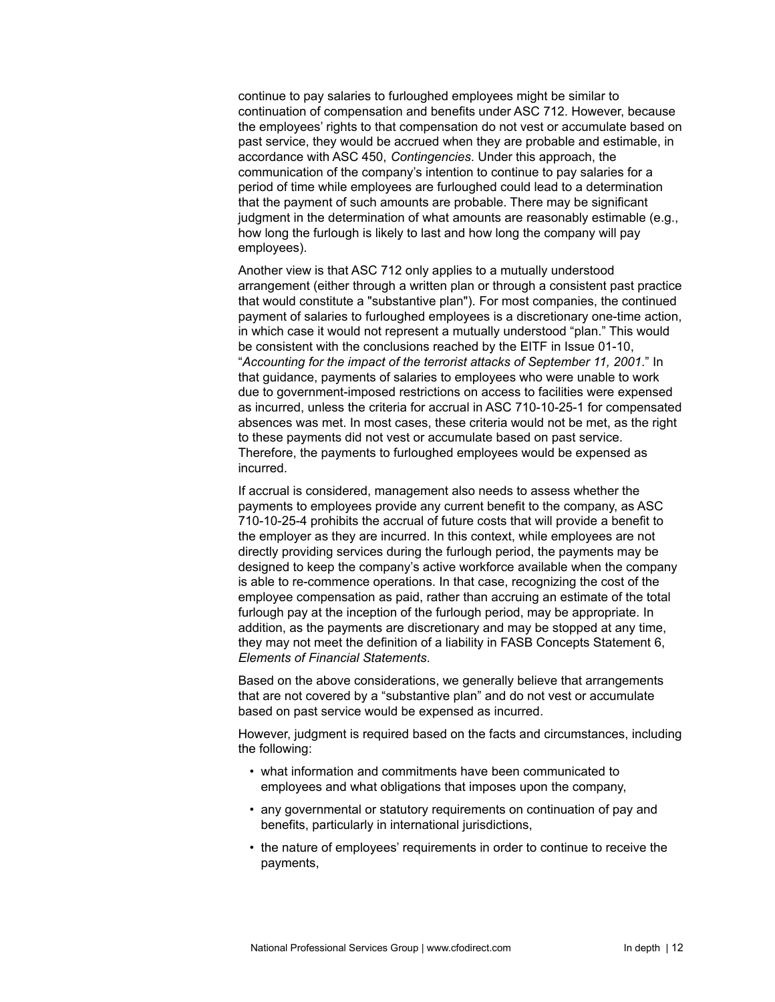continue to pay salaries to furloughed employees might be similar to continuation of compensation and benefits under ASC 712. However, because the employees' rights to that compensation do not vest or accumulate based on past service, they would be accrued when they are probable and estimable, in accordance with ASC 450, *Contingencies*. Under this approach, the communication of the company's intention to continue to pay salaries for a period of time while employees are furloughed could lead to a determination that the payment of such amounts are probable. There may be significant judgment in the determination of what amounts are reasonably estimable (e.g., how long the furlough is likely to last and how long the company will pay employees).

Another view is that ASC 712 only applies to a mutually understood arrangement (either through a written plan or through a consistent past practice that would constitute a "substantive plan"). For most companies, the continued payment of salaries to furloughed employees is a discretionary one-time action, in which case it would not represent a mutually understood "plan." This would be consistent with the conclusions reached by the EITF in Issue 01-10, "*Accounting for the impact of the terrorist attacks of September 11, 2001*." In that guidance, payments of salaries to employees who were unable to work due to government-imposed restrictions on access to facilities were expensed as incurred, unless the criteria for accrual in ASC 710-10-25-1 for compensated absences was met. In most cases, these criteria would not be met, as the right to these payments did not vest or accumulate based on past service. Therefore, the payments to furloughed employees would be expensed as incurred.

If accrual is considered, management also needs to assess whether the payments to employees provide any current benefit to the company, as ASC 710-10-25-4 prohibits the accrual of future costs that will provide a benefit to the employer as they are incurred. In this context, while employees are not directly providing services during the furlough period, the payments may be designed to keep the company's active workforce available when the company is able to re-commence operations. In that case, recognizing the cost of the employee compensation as paid, rather than accruing an estimate of the total furlough pay at the inception of the furlough period, may be appropriate. In addition, as the payments are discretionary and may be stopped at any time, they may not meet the definition of a liability in FASB Concepts Statement 6, *Elements of Financial Statements*.

Based on the above considerations, we generally believe that arrangements that are not covered by a "substantive plan" and do not vest or accumulate based on past service would be expensed as incurred.

However, judgment is required based on the facts and circumstances, including the following:

- what information and commitments have been communicated to employees and what obligations that imposes upon the company,
- any governmental or statutory requirements on continuation of pay and benefits, particularly in international jurisdictions,
- the nature of employees' requirements in order to continue to receive the payments,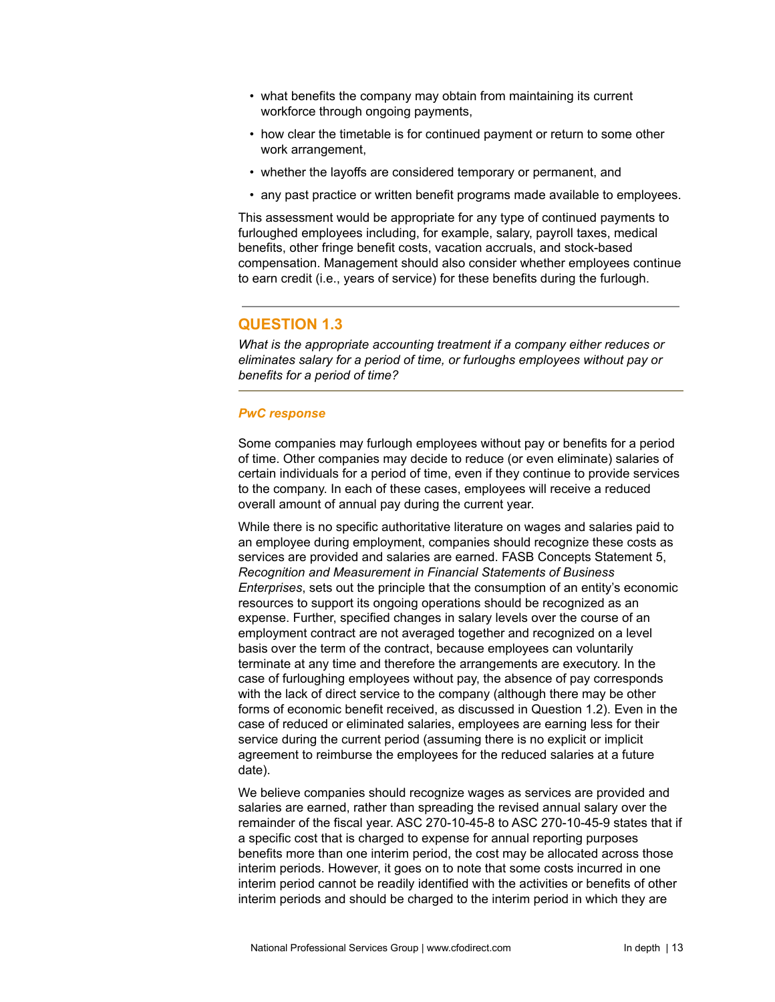- what benefits the company may obtain from maintaining its current workforce through ongoing payments,
- how clear the timetable is for continued payment or return to some other work arrangement,
- whether the layoffs are considered temporary or permanent, and
- any past practice or written benefit programs made available to employees.

This assessment would be appropriate for any type of continued payments to furloughed employees including, for example, salary, payroll taxes, medical benefits, other fringe benefit costs, vacation accruals, and stock-based compensation. Management should also consider whether employees continue to earn credit (i.e., years of service) for these benefits during the furlough.

# **QUESTION 1.3**

*What is the appropriate accounting treatment if a company either reduces or eliminates salary for a period of time, or furloughs employees without pay or benefits for a period of time?*

# *PwC response*

Some companies may furlough employees without pay or benefits for a period of time. Other companies may decide to reduce (or even eliminate) salaries of certain individuals for a period of time, even if they continue to provide services to the company. In each of these cases, employees will receive a reduced overall amount of annual pay during the current year.

While there is no specific authoritative literature on wages and salaries paid to an employee during employment, companies should recognize these costs as services are provided and salaries are earned. FASB Concepts Statement 5, *Recognition and Measurement in Financial Statements of Business Enterprises*, sets out the principle that the consumption of an entity's economic resources to support its ongoing operations should be recognized as an expense. Further, specified changes in salary levels over the course of an employment contract are not averaged together and recognized on a level basis over the term of the contract, because employees can voluntarily terminate at any time and therefore the arrangements are executory. In the case of furloughing employees without pay, the absence of pay corresponds with the lack of direct service to the company (although there may be other forms of economic benefit received, as discussed in Question 1.2). Even in the case of reduced or eliminated salaries, employees are earning less for their service during the current period (assuming there is no explicit or implicit agreement to reimburse the employees for the reduced salaries at a future date).

We believe companies should recognize wages as services are provided and salaries are earned, rather than spreading the revised annual salary over the remainder of the fiscal year. ASC 270-10-45-8 to ASC 270-10-45-9 states that if a specific cost that is charged to expense for annual reporting purposes benefits more than one interim period, the cost may be allocated across those interim periods. However, it goes on to note that some costs incurred in one interim period cannot be readily identified with the activities or benefits of other interim periods and should be charged to the interim period in which they are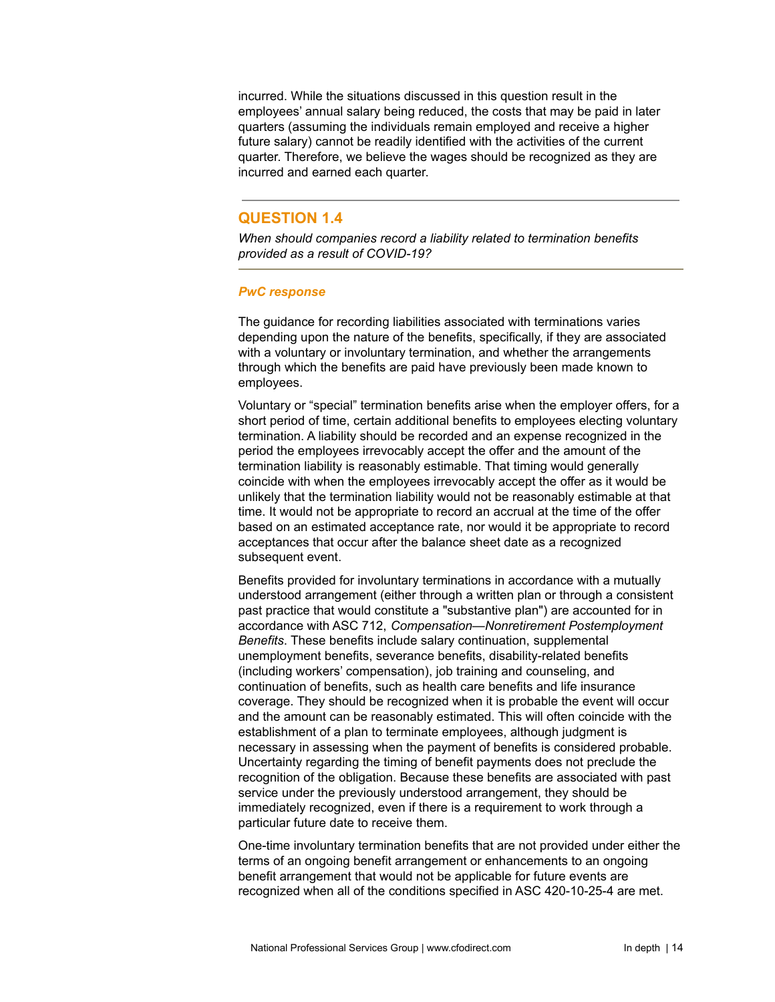incurred. While the situations discussed in this question result in the employees' annual salary being reduced, the costs that may be paid in later quarters (assuming the individuals remain employed and receive a higher future salary) cannot be readily identified with the activities of the current quarter. Therefore, we believe the wages should be recognized as they are incurred and earned each quarter.

# **QUESTION 1.4**

*When should companies record a liability related to termination benefits provided as a result of COVID-19?*

### *PwC response*

The guidance for recording liabilities associated with terminations varies depending upon the nature of the benefits, specifically, if they are associated with a voluntary or involuntary termination, and whether the arrangements through which the benefits are paid have previously been made known to employees.

Voluntary or "special" termination benefits arise when the employer offers, for a short period of time, certain additional benefits to employees electing voluntary termination. A liability should be recorded and an expense recognized in the period the employees irrevocably accept the offer and the amount of the termination liability is reasonably estimable. That timing would generally coincide with when the employees irrevocably accept the offer as it would be unlikely that the termination liability would not be reasonably estimable at that time. It would not be appropriate to record an accrual at the time of the offer based on an estimated acceptance rate, nor would it be appropriate to record acceptances that occur after the balance sheet date as a recognized subsequent event.

Benefits provided for involuntary terminations in accordance with a mutually understood arrangement (either through a written plan or through a consistent past practice that would constitute a "substantive plan") are accounted for in accordance with ASC 712, *Compensation—Nonretirement Postemployment Benefits*. These benefits include salary continuation, supplemental unemployment benefits, severance benefits, disability-related benefits (including workers' compensation), job training and counseling, and continuation of benefits, such as health care benefits and life insurance coverage. They should be recognized when it is probable the event will occur and the amount can be reasonably estimated. This will often coincide with the establishment of a plan to terminate employees, although judgment is necessary in assessing when the payment of benefits is considered probable. Uncertainty regarding the timing of benefit payments does not preclude the recognition of the obligation. Because these benefits are associated with past service under the previously understood arrangement, they should be immediately recognized, even if there is a requirement to work through a particular future date to receive them.

One-time involuntary termination benefits that are not provided under either the terms of an ongoing benefit arrangement or enhancements to an ongoing benefit arrangement that would not be applicable for future events are recognized when all of the conditions specified in ASC 420-10-25-4 are met.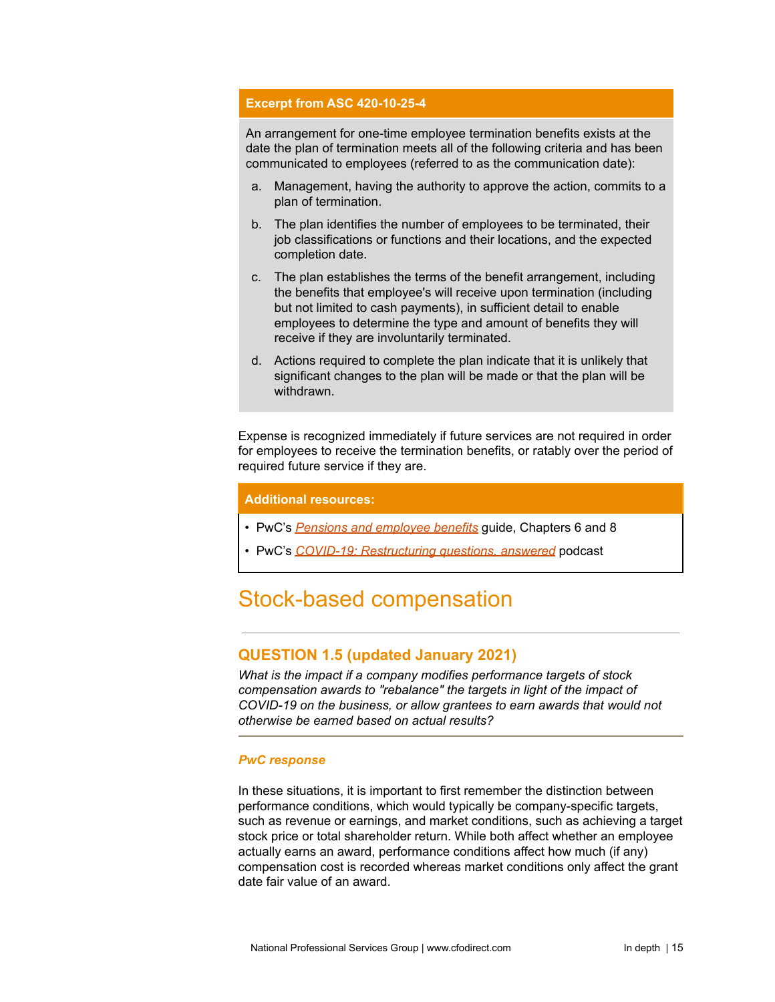### **Excerpt from ASC 420-10-25-4**

An arrangement for one-time employee termination benefits exists at the date the plan of termination meets all of the following criteria and has been communicated to employees (referred to as the communication date):

- a. Management, having the authority to approve the action, commits to a plan of termination.
- b. The plan identifies the number of employees to be terminated, their job classifications or functions and their locations, and the expected completion date.
- c. The plan establishes the terms of the benefit arrangement, including the benefits that employee's will receive upon termination (including but not limited to cash payments), in sufficient detail to enable employees to determine the type and amount of benefits they will receive if they are involuntarily terminated.
- d. Actions required to complete the plan indicate that it is unlikely that significant changes to the plan will be made or that the plan will be withdrawn.

Expense is recognized immediately if future services are not required in order for employees to receive the termination benefits, or ratably over the period of required future service if they are.

#### **Additional resources:**

- PwC's *Pensions and [employee](https://www.pwc.com/us/en/cfodirect/assets/pdf/accounting-guides/pwc-guide-pension-and-employee-benefits.pdf) benefits* guide, Chapters 6 and 8
- PwC's *COVID-19: [Restructuring](https://www.pwc.com/us/en/cfodirect/accounting-podcast/covid-19-restructuring-questions-answered.html) questions, answered* podcast

# <span id="page-14-0"></span>Stock-based compensation

# **QUESTION 1.5 (updated January 2021)**

*What is the impact if a company modifies performance targets of stock compensation awards to "rebalance" the targets in light of the impact of COVID-19 on the business, or allow grantees to earn awards that would not otherwise be earned based on actual results?*

#### *PwC response*

In these situations, it is important to first remember the distinction between performance conditions, which would typically be company-specific targets, such as revenue or earnings, and market conditions, such as achieving a target stock price or total shareholder return. While both affect whether an employee actually earns an award, performance conditions affect how much (if any) compensation cost is recorded whereas market conditions only affect the grant date fair value of an award.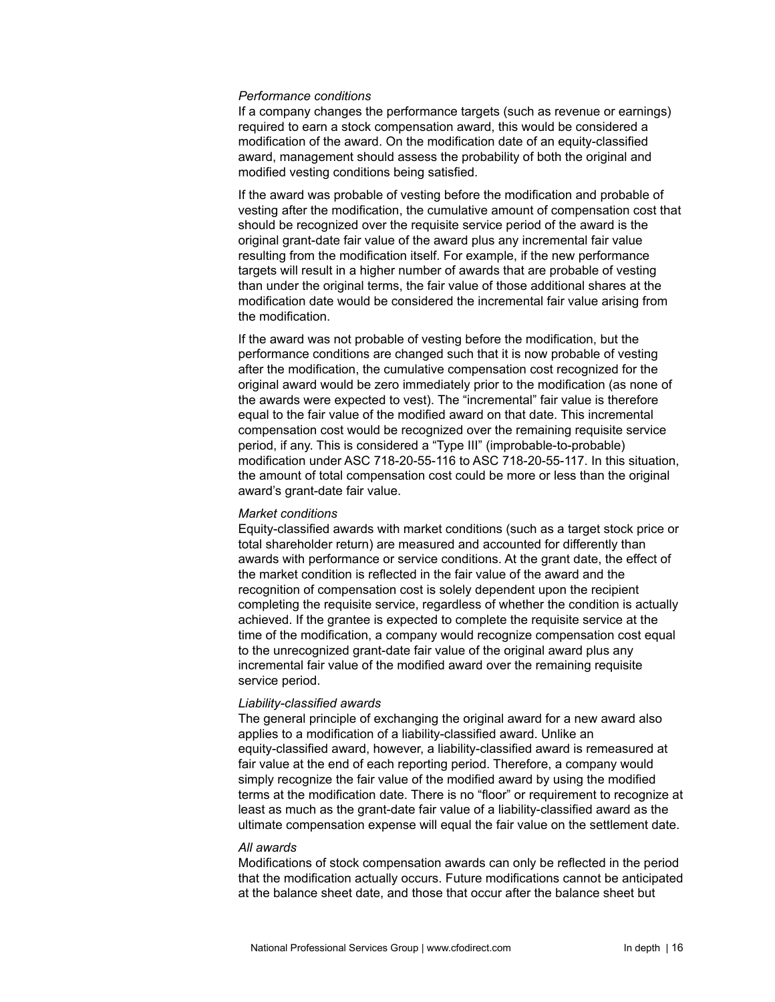#### *Performance conditions*

If a company changes the performance targets (such as revenue or earnings) required to earn a stock compensation award, this would be considered a modification of the award. On the modification date of an equity-classified award, management should assess the probability of both the original and modified vesting conditions being satisfied.

If the award was probable of vesting before the modification and probable of vesting after the modification, the cumulative amount of compensation cost that should be recognized over the requisite service period of the award is the original grant-date fair value of the award plus any incremental fair value resulting from the modification itself. For example, if the new performance targets will result in a higher number of awards that are probable of vesting than under the original terms, the fair value of those additional shares at the modification date would be considered the incremental fair value arising from the modification.

If the award was not probable of vesting before the modification, but the performance conditions are changed such that it is now probable of vesting after the modification, the cumulative compensation cost recognized for the original award would be zero immediately prior to the modification (as none of the awards were expected to vest). The "incremental" fair value is therefore equal to the fair value of the modified award on that date. This incremental compensation cost would be recognized over the remaining requisite service period, if any. This is considered a "Type III" (improbable-to-probable) modification under ASC 718-20-55-116 to ASC 718-20-55-117. In this situation, the amount of total compensation cost could be more or less than the original award's grant-date fair value.

#### *Market conditions*

Equity-classified awards with market conditions (such as a target stock price or total shareholder return) are measured and accounted for differently than awards with performance or service conditions. At the grant date, the effect of the market condition is reflected in the fair value of the award and the recognition of compensation cost is solely dependent upon the recipient completing the requisite service, regardless of whether the condition is actually achieved. If the grantee is expected to complete the requisite service at the time of the modification, a company would recognize compensation cost equal to the unrecognized grant-date fair value of the original award plus any incremental fair value of the modified award over the remaining requisite service period.

#### *Liability-classified awards*

The general principle of exchanging the original award for a new award also applies to a modification of a liability-classified award. Unlike an equity-classified award, however, a liability-classified award is remeasured at fair value at the end of each reporting period. Therefore, a company would simply recognize the fair value of the modified award by using the modified terms at the modification date. There is no "floor" or requirement to recognize at least as much as the grant-date fair value of a liability-classified award as the ultimate compensation expense will equal the fair value on the settlement date.

#### *All awards*

Modifications of stock compensation awards can only be reflected in the period that the modification actually occurs. Future modifications cannot be anticipated at the balance sheet date, and those that occur after the balance sheet but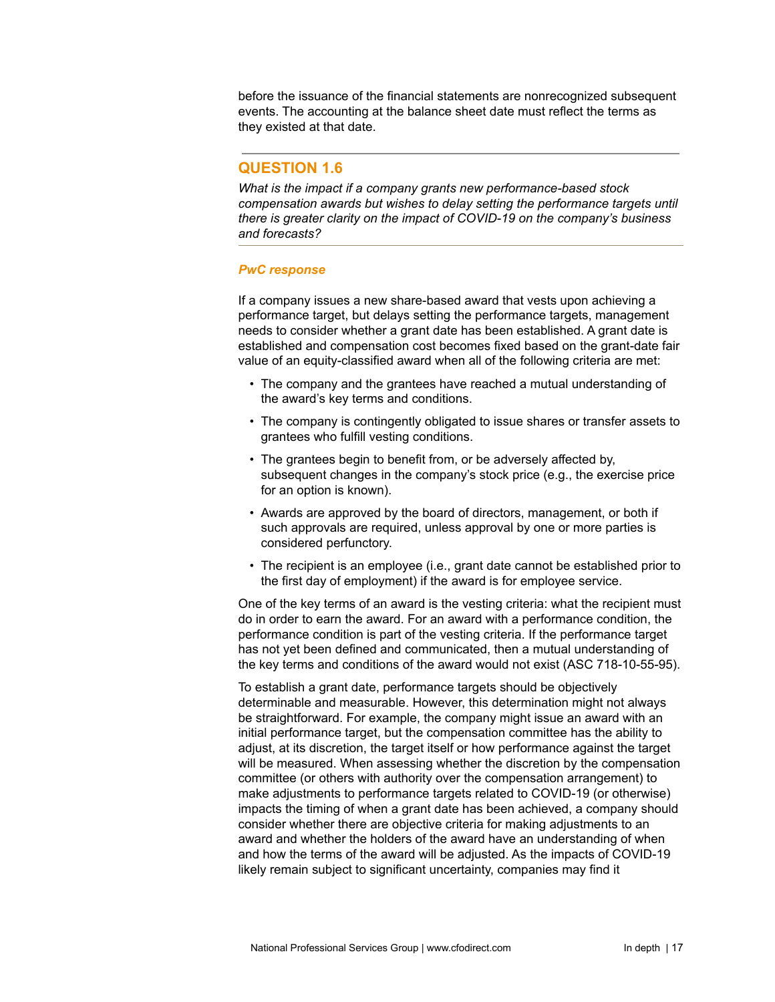before the issuance of the financial statements are nonrecognized subsequent events. The accounting at the balance sheet date must reflect the terms as they existed at that date.

# **QUESTION 1.6**

*What is the impact if a company grants new performance-based stock compensation awards but wishes to delay setting the performance targets until there is greater clarity on the impact of COVID-19 on the company's business and forecasts?*

### *PwC response*

If a company issues a new share-based award that vests upon achieving a performance target, but delays setting the performance targets, management needs to consider whether a grant date has been established. A grant date is established and compensation cost becomes fixed based on the grant-date fair value of an equity-classified award when all of the following criteria are met:

- The company and the grantees have reached a mutual understanding of the award's key terms and conditions.
- The company is contingently obligated to issue shares or transfer assets to grantees who fulfill vesting conditions.
- The grantees begin to benefit from, or be adversely affected by, subsequent changes in the company's stock price (e.g., the exercise price for an option is known).
- Awards are approved by the board of directors, management, or both if such approvals are required, unless approval by one or more parties is considered perfunctory.
- The recipient is an employee (i.e., grant date cannot be established prior to the first day of employment) if the award is for employee service.

One of the key terms of an award is the vesting criteria: what the recipient must do in order to earn the award. For an award with a performance condition, the performance condition is part of the vesting criteria. If the performance target has not yet been defined and communicated, then a mutual understanding of the key terms and conditions of the award would not exist (ASC 718-10-55-95).

To establish a grant date, performance targets should be objectively determinable and measurable. However, this determination might not always be straightforward. For example, the company might issue an award with an initial performance target, but the compensation committee has the ability to adjust, at its discretion, the target itself or how performance against the target will be measured. When assessing whether the discretion by the compensation committee (or others with authority over the compensation arrangement) to make adjustments to performance targets related to COVID-19 (or otherwise) impacts the timing of when a grant date has been achieved, a company should consider whether there are objective criteria for making adjustments to an award and whether the holders of the award have an understanding of when and how the terms of the award will be adjusted. As the impacts of COVID-19 likely remain subject to significant uncertainty, companies may find it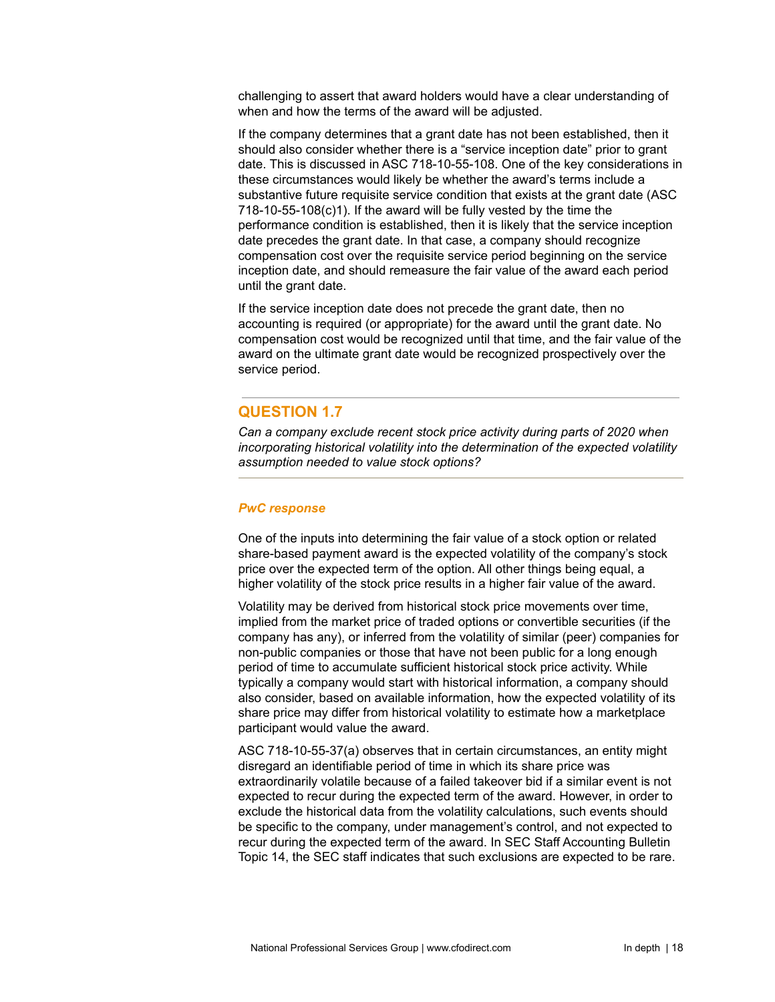challenging to assert that award holders would have a clear understanding of when and how the terms of the award will be adjusted.

If the company determines that a grant date has not been established, then it should also consider whether there is a "service inception date" prior to grant date. This is discussed in ASC 718-10-55-108. One of the key considerations in these circumstances would likely be whether the award's terms include a substantive future requisite service condition that exists at the grant date (ASC 718-10-55-108(c)1). If the award will be fully vested by the time the performance condition is established, then it is likely that the service inception date precedes the grant date. In that case, a company should recognize compensation cost over the requisite service period beginning on the service inception date, and should remeasure the fair value of the award each period until the grant date.

If the service inception date does not precede the grant date, then no accounting is required (or appropriate) for the award until the grant date. No compensation cost would be recognized until that time, and the fair value of the award on the ultimate grant date would be recognized prospectively over the service period.

# **QUESTION 1.7**

*Can a company exclude recent stock price activity during parts of 2020 when incorporating historical volatility into the determination of the expected volatility assumption needed to value stock options?*

#### *PwC response*

One of the inputs into determining the fair value of a stock option or related share-based payment award is the expected volatility of the company's stock price over the expected term of the option. All other things being equal, a higher volatility of the stock price results in a higher fair value of the award.

Volatility may be derived from historical stock price movements over time, implied from the market price of traded options or convertible securities (if the company has any), or inferred from the volatility of similar (peer) companies for non-public companies or those that have not been public for a long enough period of time to accumulate sufficient historical stock price activity. While typically a company would start with historical information, a company should also consider, based on available information, how the expected volatility of its share price may differ from historical volatility to estimate how a marketplace participant would value the award.

ASC 718-10-55-37(a) observes that in certain circumstances, an entity might disregard an identifiable period of time in which its share price was extraordinarily volatile because of a failed takeover bid if a similar event is not expected to recur during the expected term of the award. However, in order to exclude the historical data from the volatility calculations, such events should be specific to the company, under management's control, and not expected to recur during the expected term of the award. In SEC Staff Accounting Bulletin Topic 14, the SEC staff indicates that such exclusions are expected to be rare.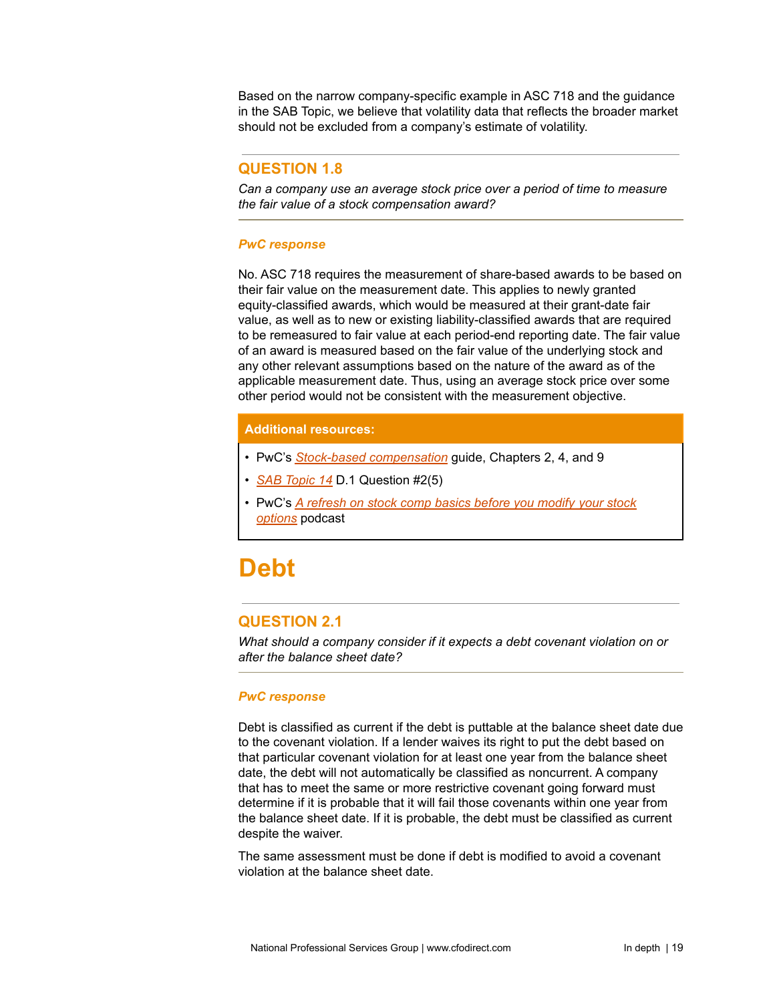Based on the narrow company-specific example in ASC 718 and the guidance in the SAB Topic, we believe that volatility data that reflects the broader market should not be excluded from a company's estimate of volatility.

# **QUESTION 1.8**

*Can a company use an average stock price over a period of time to measure the fair value of a stock compensation award?*

### *PwC response*

No. ASC 718 requires the measurement of share-based awards to be based on their fair value on the measurement date. This applies to newly granted equity-classified awards, which would be measured at their grant-date fair value, as well as to new or existing liability-classified awards that are required to be remeasured to fair value at each period-end reporting date. The fair value of an award is measured based on the fair value of the underlying stock and any other relevant assumptions based on the nature of the award as of the applicable measurement date. Thus, using an average stock price over some other period would not be consistent with the measurement objective.

### **Additional resources:**

- PwC's *Stock-based [compensation](https://www.pwc.com/us/en/cfodirect/publications/accounting-guides/stock-based-compensation-accounting-guide.html)* guide, Chapters 2, 4, and 9
- *SAB [Topic](https://www.sec.gov/interps/account/sabcodet14.htm) 14* D.1 Question #2(5)
- PwC's *A [refresh](https://www.pwc.com/us/en/cfodirect/accounting-podcast/stock-comp-modifications-asc-718.html) on stock comp basics before you modify your stock [options](https://www.pwc.com/us/en/cfodirect/accounting-podcast/stock-comp-modifications-asc-718.html)* podcast

# <span id="page-18-0"></span>**Debt**

# **QUESTION 2.1**

*What should a company consider if it expects a debt covenant violation on or after the balance sheet date?*

#### *PwC response*

Debt is classified as current if the debt is puttable at the balance sheet date due to the covenant violation. If a lender waives its right to put the debt based on that particular covenant violation for at least one year from the balance sheet date, the debt will not automatically be classified as noncurrent. A company that has to meet the same or more restrictive covenant going forward must determine if it is probable that it will fail those covenants within one year from the balance sheet date. If it is probable, the debt must be classified as current despite the waiver.

The same assessment must be done if debt is modified to avoid a covenant violation at the balance sheet date.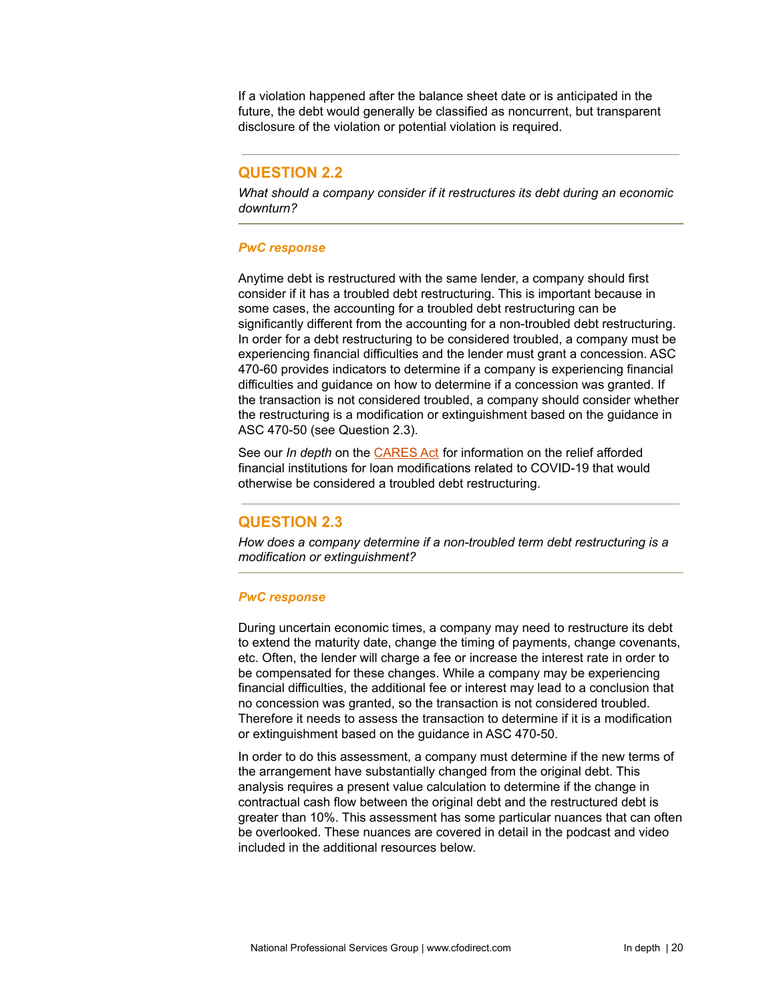If a violation happened after the balance sheet date or is anticipated in the future, the debt would generally be classified as noncurrent, but transparent disclosure of the violation or potential violation is required.

# **QUESTION 2.2**

*What should a company consider if it restructures its debt during an economic downturn?*

#### *PwC response*

Anytime debt is restructured with the same lender, a company should first consider if it has a troubled debt restructuring. This is important because in some cases, the accounting for a troubled debt restructuring can be significantly different from the accounting for a non-troubled debt restructuring. In order for a debt restructuring to be considered troubled, a company must be experiencing financial difficulties and the lender must grant a concession. ASC 470-60 provides indicators to determine if a company is experiencing financial difficulties and guidance on how to determine if a concession was granted. If the transaction is not considered troubled, a company should consider whether the restructuring is a modification or extinguishment based on the guidance in ASC 470-50 (see Question 2.3).

See our *In depth* on the [CARES](https://www.pwc.com/us/en/cfodirect/publications/in-depth/cares-act-accounting-stimulus.html) Act for information on the relief afforded financial institutions for loan modifications related to COVID-19 that would otherwise be considered a troubled debt restructuring.

# **QUESTION 2.3**

*How does a company determine if a non-troubled term debt restructuring is a modification or extinguishment?*

#### *PwC response*

During uncertain economic times, a company may need to restructure its debt to extend the maturity date, change the timing of payments, change covenants, etc. Often, the lender will charge a fee or increase the interest rate in order to be compensated for these changes. While a company may be experiencing financial difficulties, the additional fee or interest may lead to a conclusion that no concession was granted, so the transaction is not considered troubled. Therefore it needs to assess the transaction to determine if it is a modification or extinguishment based on the guidance in ASC 470-50.

In order to do this assessment, a company must determine if the new terms of the arrangement have substantially changed from the original debt. This analysis requires a present value calculation to determine if the change in contractual cash flow between the original debt and the restructured debt is greater than 10%. This assessment has some particular nuances that can often be overlooked. These nuances are covered in detail in the podcast and video included in the additional resources below.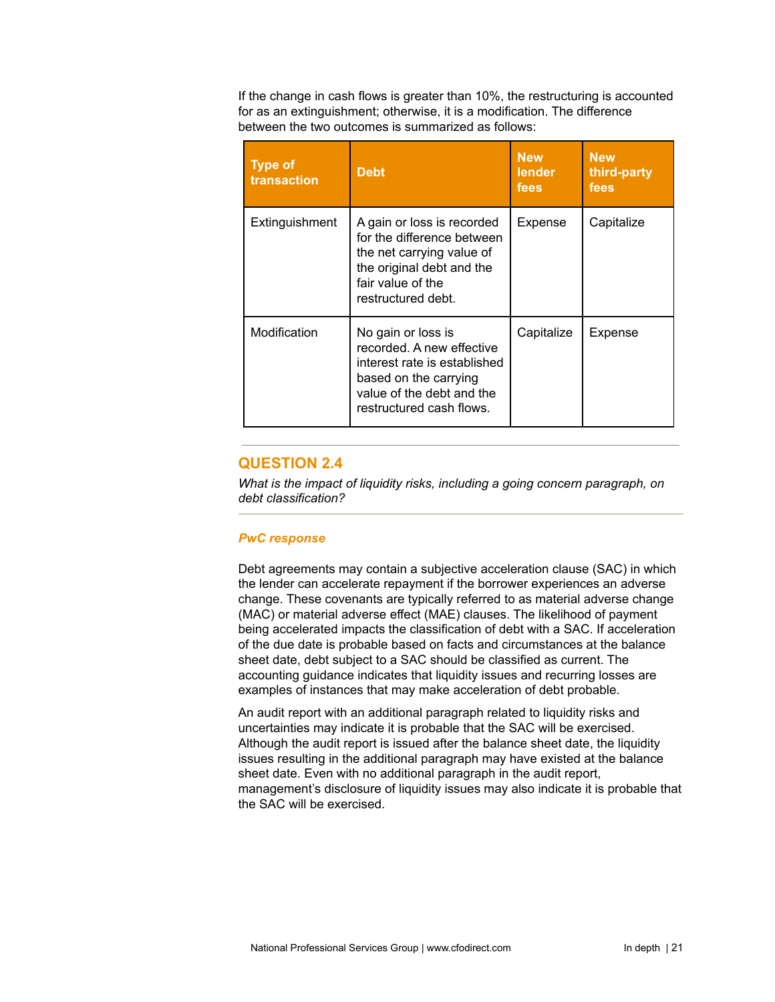If the change in cash flows is greater than 10%, the restructuring is accounted for as an extinguishment; otherwise, it is a modification. The difference between the two outcomes is summarized as follows:

| <b>Type of</b><br>transaction | <b>Debt</b>                                                                                                                                                       | <b>New</b><br>lender<br>fees | <b>New</b><br>third-party<br>fees |
|-------------------------------|-------------------------------------------------------------------------------------------------------------------------------------------------------------------|------------------------------|-----------------------------------|
| Extinguishment                | A gain or loss is recorded<br>for the difference between<br>the net carrying value of<br>the original debt and the<br>fair value of the<br>restructured debt.     | Expense                      | Capitalize                        |
| Modification                  | No gain or loss is<br>recorded. A new effective<br>interest rate is established<br>based on the carrying<br>value of the debt and the<br>restructured cash flows. | Capitalize                   | Expense                           |

# **QUESTION 2.4**

*What is the impact of liquidity risks, including a going concern paragraph, on debt classification?*

#### *PwC response*

Debt agreements may contain a subjective acceleration clause (SAC) in which the lender can accelerate repayment if the borrower experiences an adverse change. These covenants are typically referred to as material adverse change (MAC) or material adverse effect (MAE) clauses. The likelihood of payment being accelerated impacts the classification of debt with a SAC. If acceleration of the due date is probable based on facts and circumstances at the balance sheet date, debt subject to a SAC should be classified as current. The accounting guidance indicates that liquidity issues and recurring losses are examples of instances that may make acceleration of debt probable.

An audit report with an additional paragraph related to liquidity risks and uncertainties may indicate it is probable that the SAC will be exercised. Although the audit report is issued after the balance sheet date, the liquidity issues resulting in the additional paragraph may have existed at the balance sheet date. Even with no additional paragraph in the audit report, management's disclosure of liquidity issues may also indicate it is probable that the SAC will be exercised.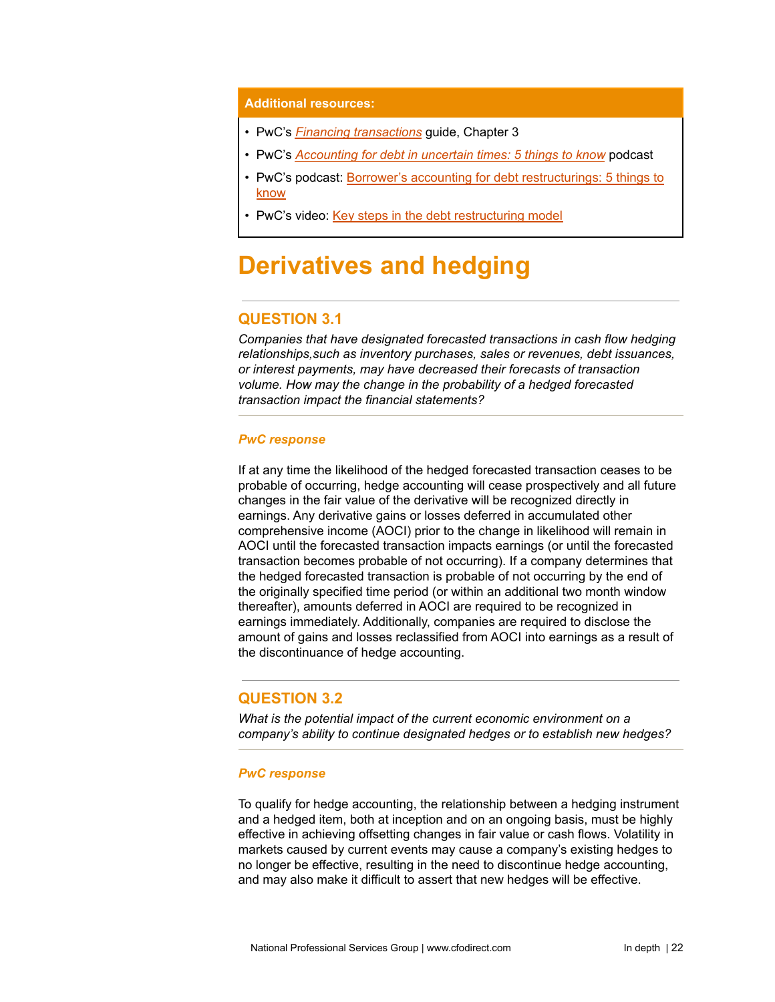#### **Additional resources:**

- PwC's *Financing [transactions](https://www.pwc.com/us/en/cfodirect/publications/accounting-guides/financing-transactions-debt-equity-instruments.html)* guide, Chapter 3
- PwC's *[Accounting](https://www.pwc.com/us/en/cfodirect/multimedia/podcasts/accounting-for-debt-economic-volatility.html) for debt in uncertain times: 5 things to know* podcast
- PwC's podcast: Borrower's accounting for debt [restructurings:](https://www.pwc.com/us/en/cfodirect/multimedia/podcasts/debt-restructuring-accounting.html) 5 things to [know](https://www.pwc.com/us/en/cfodirect/multimedia/podcasts/debt-restructuring-accounting.html)
- PwC's video: Key steps in the debt [restructuring](https://www.pwc.com/us/en/cfodirect/multimedia/videos/debt-restructuring-modification-extinguishment-accounting.html) model

# <span id="page-21-0"></span>**Derivatives and hedging**

# **QUESTION 3.1**

*Companies that have designated forecasted transactions in cash flow hedging relationships,such as inventory purchases, sales or revenues, debt issuances, or interest payments, may have decreased their forecasts of transaction volume. How may the change in the probability of a hedged forecasted transaction impact the financial statements?*

#### *PwC response*

If at any time the likelihood of the hedged forecasted transaction ceases to be probable of occurring, hedge accounting will cease prospectively and all future changes in the fair value of the derivative will be recognized directly in earnings. Any derivative gains or losses deferred in accumulated other comprehensive income (AOCI) prior to the change in likelihood will remain in AOCI until the forecasted transaction impacts earnings (or until the forecasted transaction becomes probable of not occurring). If a company determines that the hedged forecasted transaction is probable of not occurring by the end of the originally specified time period (or within an additional two month window thereafter), amounts deferred in AOCI are required to be recognized in earnings immediately. Additionally, companies are required to disclose the amount of gains and losses reclassified from AOCI into earnings as a result of the discontinuance of hedge accounting.

### **QUESTION 3.2**

*What is the potential impact of the current economic environment on a company's ability to continue designated hedges or to establish new hedges?*

#### *PwC response*

To qualify for hedge accounting, the relationship between a hedging instrument and a hedged item, both at inception and on an ongoing basis, must be highly effective in achieving offsetting changes in fair value or cash flows. Volatility in markets caused by current events may cause a company's existing hedges to no longer be effective, resulting in the need to discontinue hedge accounting, and may also make it difficult to assert that new hedges will be effective.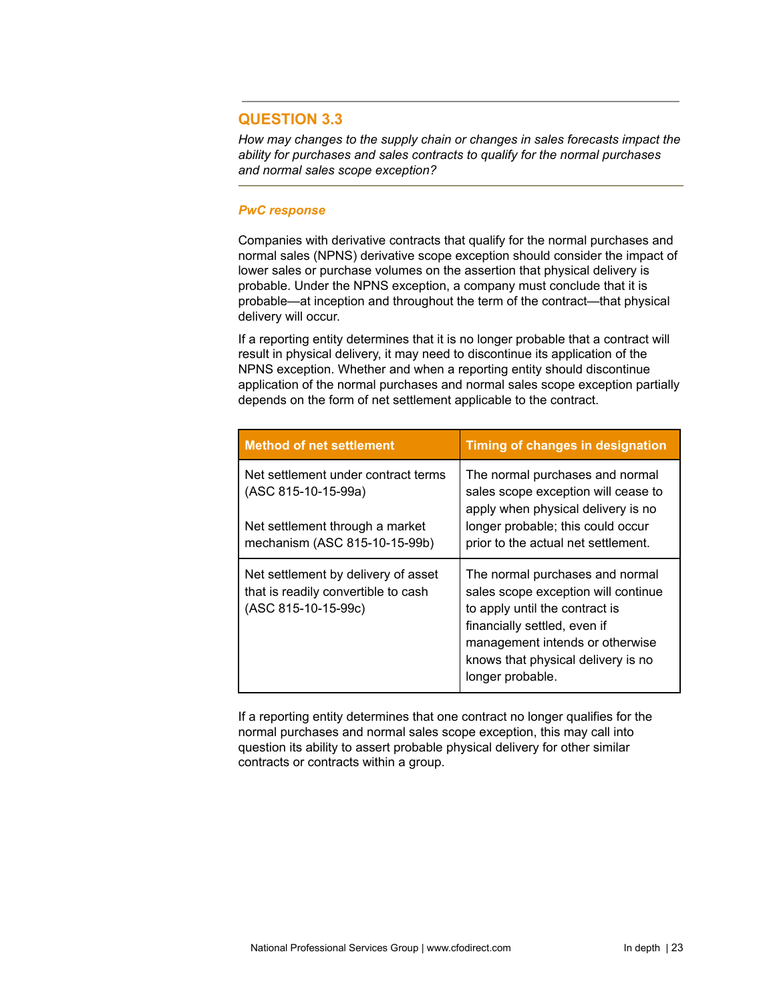# **QUESTION 3.3**

*How may changes to the supply chain or changes in sales forecasts impact the ability for purchases and sales contracts to qualify for the normal purchases and normal sales scope exception?*

#### *PwC response*

Companies with derivative contracts that qualify for the normal purchases and normal sales (NPNS) derivative scope exception should consider the impact of lower sales or purchase volumes on the assertion that physical delivery is probable. Under the NPNS exception, a company must conclude that it is probable—at inception and throughout the term of the contract—that physical delivery will occur.

If a reporting entity determines that it is no longer probable that a contract will result in physical delivery, it may need to discontinue its application of the NPNS exception. Whether and when a reporting entity should discontinue application of the normal purchases and normal sales scope exception partially depends on the form of net settlement applicable to the contract.

| <b>Method of net settlement</b>                                                                   | Timing of changes in designation                                                                                                                                                                                                      |  |
|---------------------------------------------------------------------------------------------------|---------------------------------------------------------------------------------------------------------------------------------------------------------------------------------------------------------------------------------------|--|
| Net settlement under contract terms<br>(ASC 815-10-15-99a)                                        | The normal purchases and normal<br>sales scope exception will cease to<br>apply when physical delivery is no                                                                                                                          |  |
| Net settlement through a market<br>mechanism (ASC 815-10-15-99b)                                  | longer probable; this could occur<br>prior to the actual net settlement.                                                                                                                                                              |  |
| Net settlement by delivery of asset<br>that is readily convertible to cash<br>(ASC 815-10-15-99c) | The normal purchases and normal<br>sales scope exception will continue<br>to apply until the contract is<br>financially settled, even if<br>management intends or otherwise<br>knows that physical delivery is no<br>longer probable. |  |

If a reporting entity determines that one contract no longer qualifies for the normal purchases and normal sales scope exception, this may call into question its ability to assert probable physical delivery for other similar contracts or contracts within a group.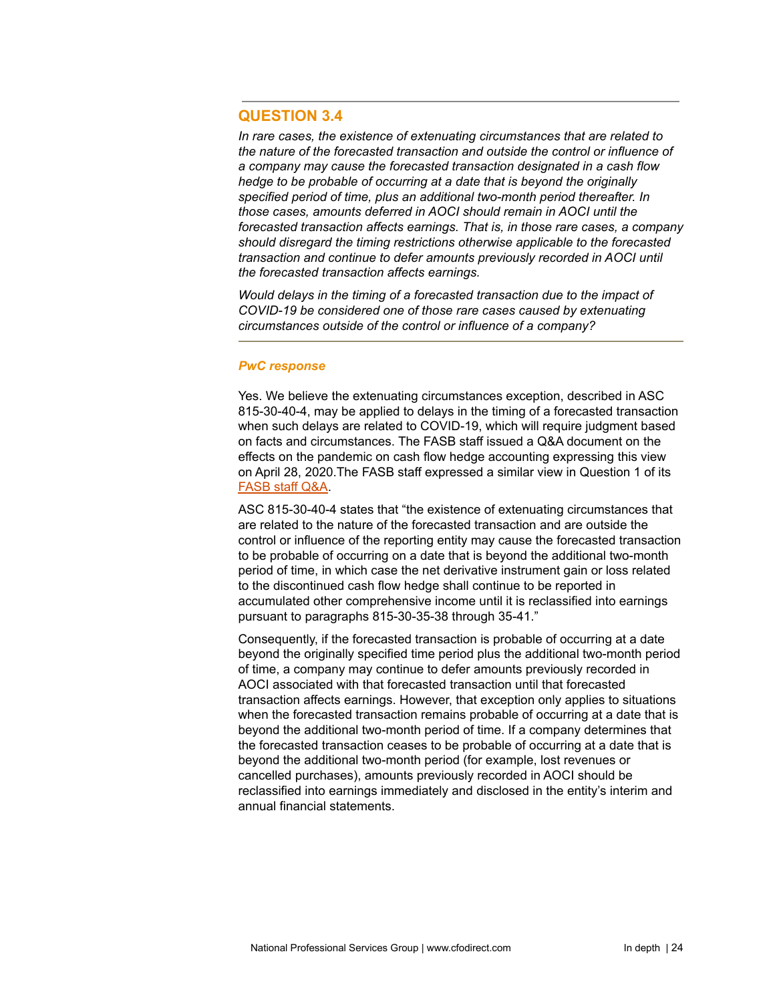# **QUESTION 3.4**

*In rare cases, the existence of extenuating circumstances that are related to the nature of the forecasted transaction and outside the control or influence of a company may cause the forecasted transaction designated in a cash flow hedge to be probable of occurring at a date that is beyond the originally specified period of time, plus an additional two-month period thereafter. In those cases, amounts deferred in AOCI should remain in AOCI until the forecasted transaction affects earnings. That is, in those rare cases, a company should disregard the timing restrictions otherwise applicable to the forecasted transaction and continue to defer amounts previously recorded in AOCI until the forecasted transaction affects earnings.*

*Would delays in the timing of a forecasted transaction due to the impact of COVID-19 be considered one of those rare cases caused by extenuating circumstances outside of the control or influence of a company?*

#### *PwC response*

Yes. We believe the extenuating circumstances exception, described in ASC 815-30-40-4, may be applied to delays in the timing of a forecasted transaction when such delays are related to COVID-19, which will require judgment based on facts and circumstances. The FASB staff issued a Q&A document on the effects on the pandemic on cash flow hedge accounting expressing this view on April 28, 2020.The FASB staff expressed a similar view in Question 1 of its [FASB](https://www.fasb.org/cs/Satellite?c=FASBContent_C&cid=1176174563622&pagename=FASB%2FFASBContent_C%2FGeneralContentDisplay) staff Q&A.

ASC 815-30-40-4 states that "the existence of extenuating circumstances that are related to the nature of the forecasted transaction and are outside the control or influence of the reporting entity may cause the forecasted transaction to be probable of occurring on a date that is beyond the additional two-month period of time, in which case the net derivative instrument gain or loss related to the discontinued cash flow hedge shall continue to be reported in accumulated other comprehensive income until it is reclassified into earnings pursuant to paragraphs 815-30-35-38 through 35-41."

Consequently, if the forecasted transaction is probable of occurring at a date beyond the originally specified time period plus the additional two-month period of time, a company may continue to defer amounts previously recorded in AOCI associated with that forecasted transaction until that forecasted transaction affects earnings. However, that exception only applies to situations when the forecasted transaction remains probable of occurring at a date that is beyond the additional two-month period of time. If a company determines that the forecasted transaction ceases to be probable of occurring at a date that is beyond the additional two-month period (for example, lost revenues or cancelled purchases), amounts previously recorded in AOCI should be reclassified into earnings immediately and disclosed in the entity's interim and annual financial statements.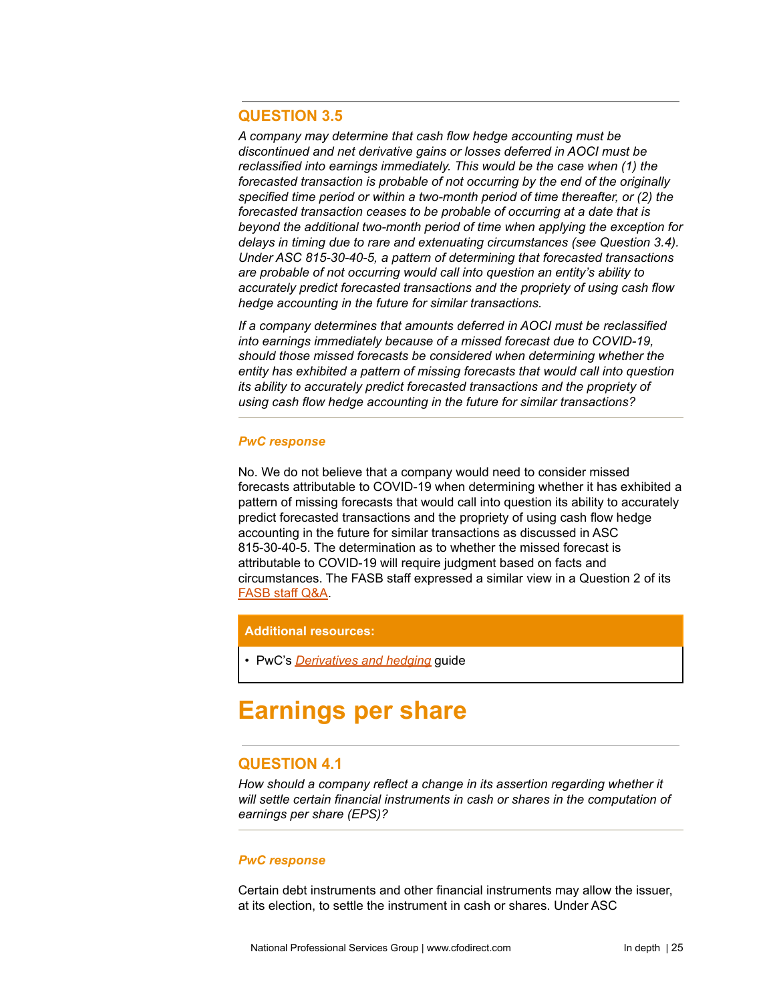# **QUESTION 3.5**

*A company may determine that cash flow hedge accounting must be discontinued and net derivative gains or losses deferred in AOCI must be reclassified into earnings immediately. This would be the case when (1) the forecasted transaction is probable of not occurring by the end of the originally specified time period or within a two-month period of time thereafter, or (2) the forecasted transaction ceases to be probable of occurring at a date that is beyond the additional two-month period of time when applying the exception for delays in timing due to rare and extenuating circumstances (see Question 3.4). Under ASC 815-30-40-5, a pattern of determining that forecasted transactions are probable of not occurring would call into question an entity's ability to accurately predict forecasted transactions and the propriety of using cash flow hedge accounting in the future for similar transactions.*

*If a company determines that amounts deferred in AOCI must be reclassified into earnings immediately because of a missed forecast due to COVID-19, should those missed forecasts be considered when determining whether the entity has exhibited a pattern of missing forecasts that would call into question its ability to accurately predict forecasted transactions and the propriety of using cash flow hedge accounting in the future for similar transactions?*

#### *PwC response*

No. We do not believe that a company would need to consider missed forecasts attributable to COVID-19 when determining whether it has exhibited a pattern of missing forecasts that would call into question its ability to accurately predict forecasted transactions and the propriety of using cash flow hedge accounting in the future for similar transactions as discussed in ASC 815-30-40-5. The determination as to whether the missed forecast is attributable to COVID-19 will require judgment based on facts and circumstances. The FASB staff expressed a similar view in a Question 2 of its [FASB](https://www.fasb.org/cs/Satellite?c=FASBContent_C&cid=1176174563622&pagename=FASB%2FFASBContent_C%2FGeneralContentDisplay) staff Q&A.

#### **Additional resources:**

• PwC's *[Derivatives](https://www.pwc.com/us/en/cfodirect/publications/accounting-guides/derivatives-hedge-accounting-asc-815.html) and hedging* guide

# <span id="page-24-0"></span>**Earnings per share**

# **QUESTION 4.1**

*How should a company reflect a change in its assertion regarding whether it will settle certain financial instruments in cash or shares in the computation of earnings per share (EPS)?*

#### *PwC response*

Certain debt instruments and other financial instruments may allow the issuer, at its election, to settle the instrument in cash or shares. Under ASC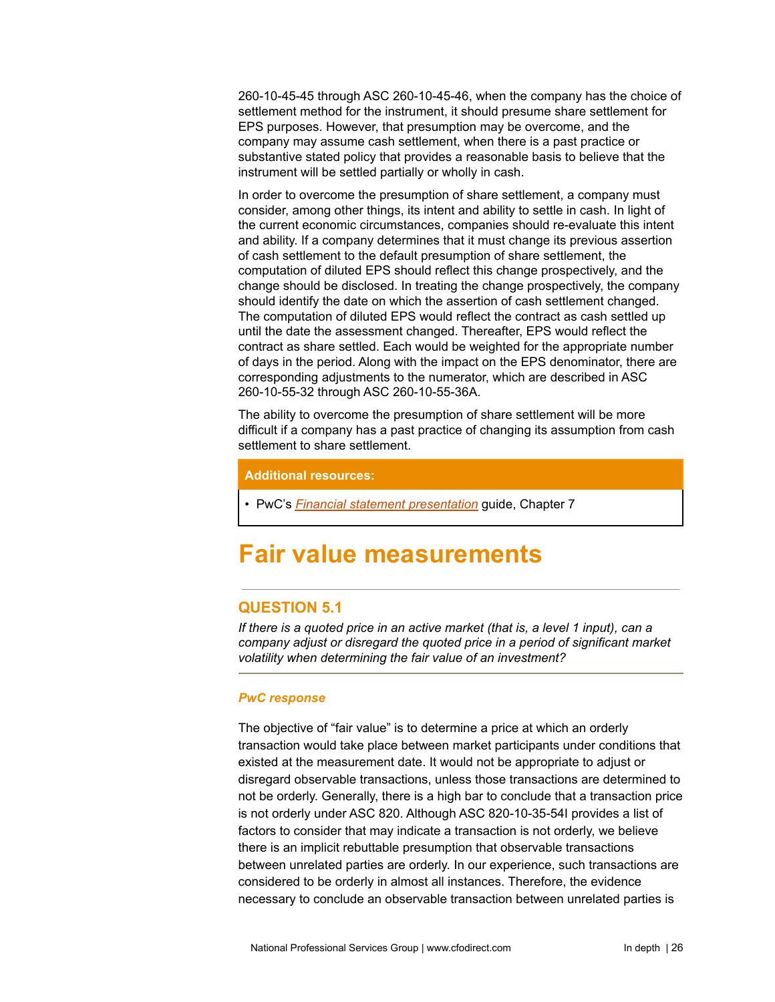260-10-45-45 through ASC 260-10-45-46, when the company has the choice of settlement method for the instrument, it should presume share settlement for EPS purposes. However, that presumption may be overcome, and the company may assume cash settlement, when there is a past practice or substantive stated policy that provides a reasonable basis to believe that the instrument will be settled partially or wholly in cash.

In order to overcome the presumption of share settlement, a company must consider, among other things, its intent and ability to settle in cash. In light of the current economic circumstances, companies should re-evaluate this intent and ability. If a company determines that it must change its previous assertion of cash settlement to the default presumption of share settlement, the computation of diluted EPS should reflect this change prospectively, and the change should be disclosed. In treating the change prospectively, the company should identify the date on which the assertion of cash settlement changed. The computation of diluted EPS would reflect the contract as cash settled up until the date the assessment changed. Thereafter, EPS would reflect the contract as share settled. Each would be weighted for the appropriate number of days in the period. Along with the impact on the EPS denominator, there are corresponding adjustments to the numerator, which are described in ASC 260-10-55-32 through ASC 260-10-55-36A.

The ability to overcome the presumption of share settlement will be more difficult if a company has a past practice of changing its assumption from cash settlement to share settlement.

#### **Additional resources:**

• PwC's *Financial statement [presentation](https://www.pwc.com/us/en/cfodirect/publications/accounting-guides/financial-statement-presentation-accounting-guide.html)* guide, Chapter 7

# <span id="page-25-0"></span>**Fair value measurements**

# **QUESTION 5.1**

*If there is a quoted price in an active market (that is, a level 1 input), can a company adjust or disregard the quoted price in a period of significant market volatility when determining the fair value of an investment?*

# *PwC response*

The objective of "fair value" is to determine a price at which an orderly transaction would take place between market participants under conditions that existed at the measurement date. It would not be appropriate to adjust or disregard observable transactions, unless those transactions are determined to not be orderly. Generally, there is a high bar to conclude that a transaction price is not orderly under ASC 820. Although ASC 820-10-35-54I provides a list of factors to consider that may indicate a transaction is not orderly, we believe there is an implicit rebuttable presumption that observable transactions between unrelated parties are orderly. In our experience, such transactions are considered to be orderly in almost all instances. Therefore, the evidence necessary to conclude an observable transaction between unrelated parties is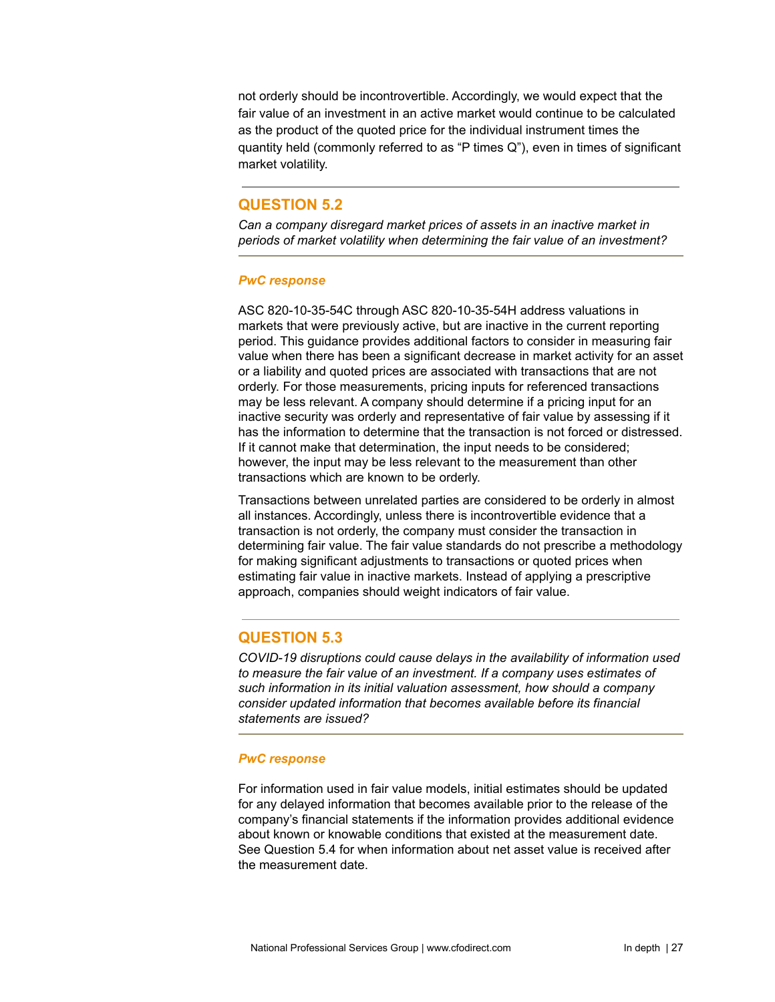not orderly should be incontrovertible. Accordingly, we would expect that the fair value of an investment in an active market would continue to be calculated as the product of the quoted price for the individual instrument times the quantity held (commonly referred to as "P times Q"), even in times of significant market volatility.

# **QUESTION 5.2**

*Can a company disregard market prices of assets in an inactive market in periods of market volatility when determining the fair value of an investment?*

#### *PwC response*

ASC 820-10-35-54C through ASC 820-10-35-54H address valuations in markets that were previously active, but are inactive in the current reporting period. This guidance provides additional factors to consider in measuring fair value when there has been a significant decrease in market activity for an asset or a liability and quoted prices are associated with transactions that are not orderly. For those measurements, pricing inputs for referenced transactions may be less relevant. A company should determine if a pricing input for an inactive security was orderly and representative of fair value by assessing if it has the information to determine that the transaction is not forced or distressed. If it cannot make that determination, the input needs to be considered; however, the input may be less relevant to the measurement than other transactions which are known to be orderly.

Transactions between unrelated parties are considered to be orderly in almost all instances. Accordingly, unless there is incontrovertible evidence that a transaction is not orderly, the company must consider the transaction in determining fair value. The fair value standards do not prescribe a methodology for making significant adjustments to transactions or quoted prices when estimating fair value in inactive markets. Instead of applying a prescriptive approach, companies should weight indicators of fair value.

# **QUESTION 5.3**

*COVID-19 disruptions could cause delays in the availability of information used to measure the fair value of an investment. If a company uses estimates of such information in its initial valuation assessment, how should a company consider updated information that becomes available before its financial statements are issued?*

#### *PwC response*

For information used in fair value models, initial estimates should be updated for any delayed information that becomes available prior to the release of the company's financial statements if the information provides additional evidence about known or knowable conditions that existed at the measurement date. See Question 5.4 for when information about net asset value is received after the measurement date.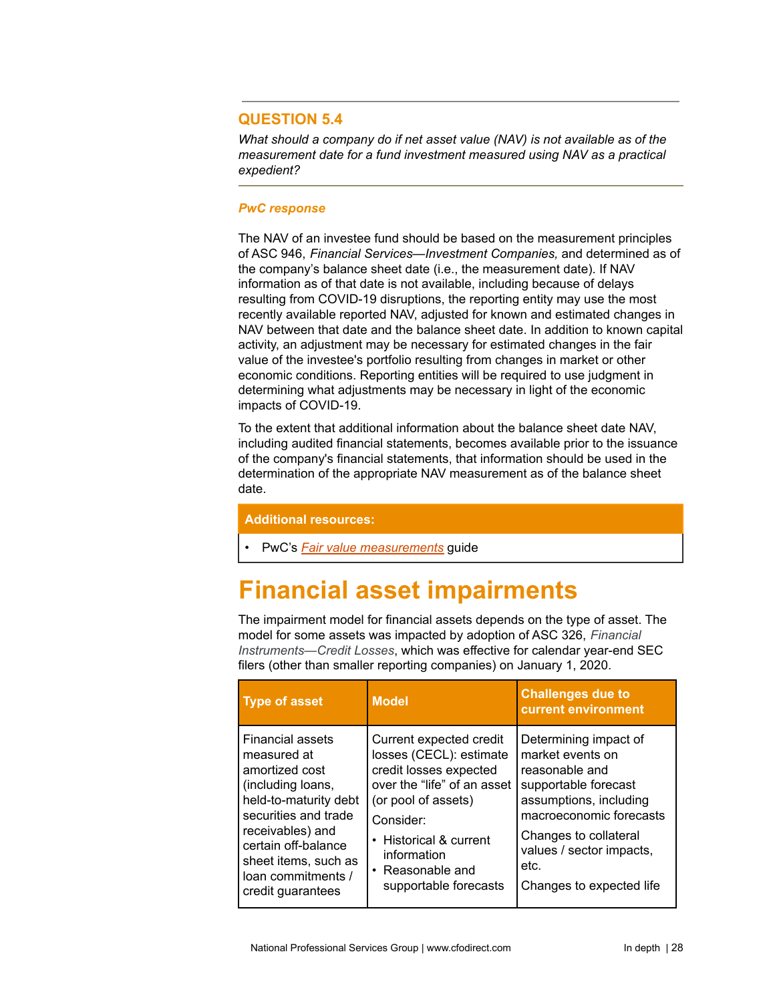# **QUESTION 5.4**

*What should a company do if net asset value (NAV) is not available as of the measurement date for a fund investment measured using NAV as a practical expedient?*

### *PwC response*

The NAV of an investee fund should be based on the measurement principles of ASC 946, *Financial Services—Investment Companies,* and determined as of the company's balance sheet date (i.e., the measurement date). If NAV information as of that date is not available, including because of delays resulting from COVID-19 disruptions, the reporting entity may use the most recently available reported NAV, adjusted for known and estimated changes in NAV between that date and the balance sheet date. In addition to known capital activity, an adjustment may be necessary for estimated changes in the fair value of the investee's portfolio resulting from changes in market or other economic conditions. Reporting entities will be required to use judgment in determining what adjustments may be necessary in light of the economic impacts of COVID-19.

To the extent that additional information about the balance sheet date NAV, including audited financial statements, becomes available prior to the issuance of the company's financial statements, that information should be used in the determination of the appropriate NAV measurement as of the balance sheet date.

#### **Additional resources:**

• PwC's *Fair value [measurements](https://www.pwc.com/us/en/cfodirect/publications/accounting-guides/fair-value-measurements-asc-820.html)* guide

# <span id="page-27-0"></span>**Financial asset impairments**

The impairment model for financial assets depends on the type of asset. The model for some assets was impacted by adoption of ASC 326, *Financial Instruments—Credit Losses*, which was effective for calendar year-end SEC filers (other than smaller reporting companies) on January 1, 2020.

| <b>Type of asset</b>                                                                                                                                                                                                                  | <b>Model</b>                                                                                                                                                                                                                          | <b>Challenges due to</b><br>current environment                                                                                                                                                                                   |
|---------------------------------------------------------------------------------------------------------------------------------------------------------------------------------------------------------------------------------------|---------------------------------------------------------------------------------------------------------------------------------------------------------------------------------------------------------------------------------------|-----------------------------------------------------------------------------------------------------------------------------------------------------------------------------------------------------------------------------------|
| Financial assets<br>measured at<br>amortized cost<br>(including loans,<br>held-to-maturity debt<br>securities and trade<br>receivables) and<br>certain off-balance<br>sheet items, such as<br>loan commitments /<br>credit guarantees | Current expected credit<br>losses (CECL): estimate<br>credit losses expected<br>over the "life" of an asset<br>(or pool of assets)<br>Consider:<br>• Historical & current<br>information<br>• Reasonable and<br>supportable forecasts | Determining impact of<br>market events on<br>reasonable and<br>supportable forecast<br>assumptions, including<br>macroeconomic forecasts<br>Changes to collateral<br>values / sector impacts,<br>etc.<br>Changes to expected life |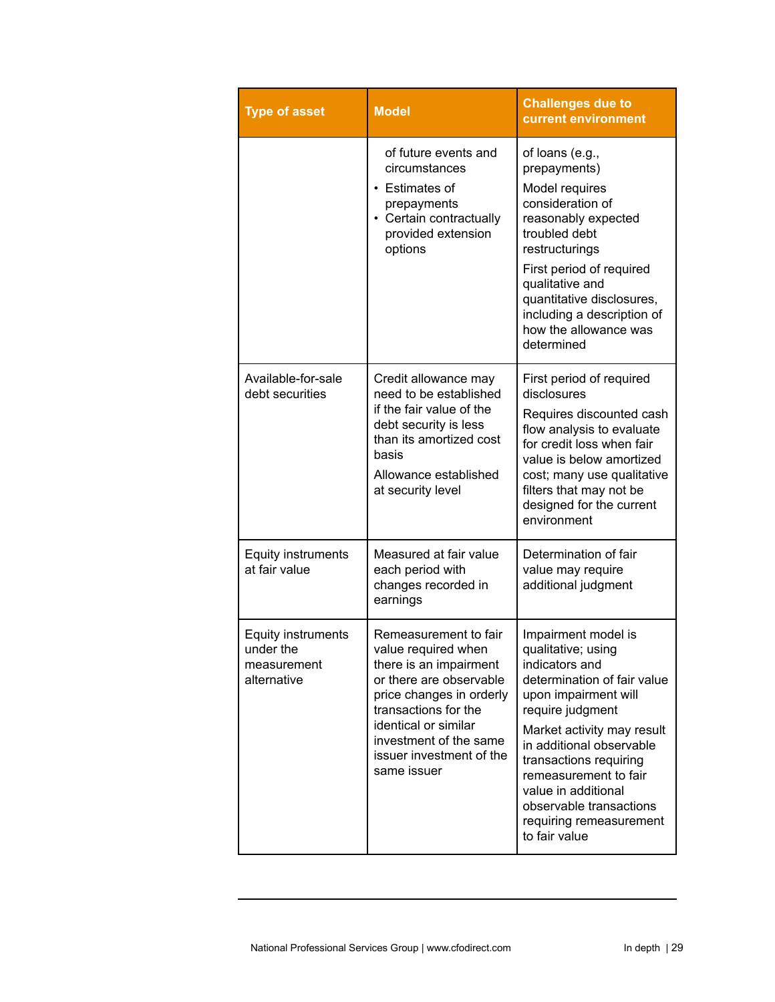| <b>Type of asset</b>                                                 | <b>Model</b>                                                                                                                                                                                                                                       | <b>Challenges due to</b><br>current environment                                                                                                                                                                                                                                                                                                   |
|----------------------------------------------------------------------|----------------------------------------------------------------------------------------------------------------------------------------------------------------------------------------------------------------------------------------------------|---------------------------------------------------------------------------------------------------------------------------------------------------------------------------------------------------------------------------------------------------------------------------------------------------------------------------------------------------|
|                                                                      | of future events and<br>circumstances<br><b>Estimates of</b><br>$\bullet$<br>prepayments<br>• Certain contractually<br>provided extension<br>options                                                                                               | of loans (e.g.,<br>prepayments)<br>Model requires<br>consideration of<br>reasonably expected<br>troubled debt<br>restructurings<br>First period of required<br>qualitative and<br>quantitative disclosures,<br>including a description of<br>how the allowance was<br>determined                                                                  |
| Available-for-sale<br>debt securities                                | Credit allowance may<br>need to be established<br>if the fair value of the<br>debt security is less<br>than its amortized cost<br>basis<br>Allowance established<br>at security level                                                              | First period of required<br>disclosures<br>Requires discounted cash<br>flow analysis to evaluate<br>for credit loss when fair<br>value is below amortized<br>cost; many use qualitative<br>filters that may not be<br>designed for the current<br>environment                                                                                     |
| Equity instruments<br>at fair value                                  | Measured at fair value<br>each period with<br>changes recorded in<br>earnings                                                                                                                                                                      | Determination of fair<br>value may require<br>additional judgment                                                                                                                                                                                                                                                                                 |
| <b>Equity instruments</b><br>under the<br>measurement<br>alternative | Remeasurement to fair<br>value required when<br>there is an impairment<br>or there are observable<br>price changes in orderly<br>transactions for the<br>identical or similar<br>investment of the same<br>issuer investment of the<br>same issuer | Impairment model is<br>qualitative; using<br>indicators and<br>determination of fair value<br>upon impairment will<br>require judgment<br>Market activity may result<br>in additional observable<br>transactions requiring<br>remeasurement to fair<br>value in additional<br>observable transactions<br>requiring remeasurement<br>to fair value |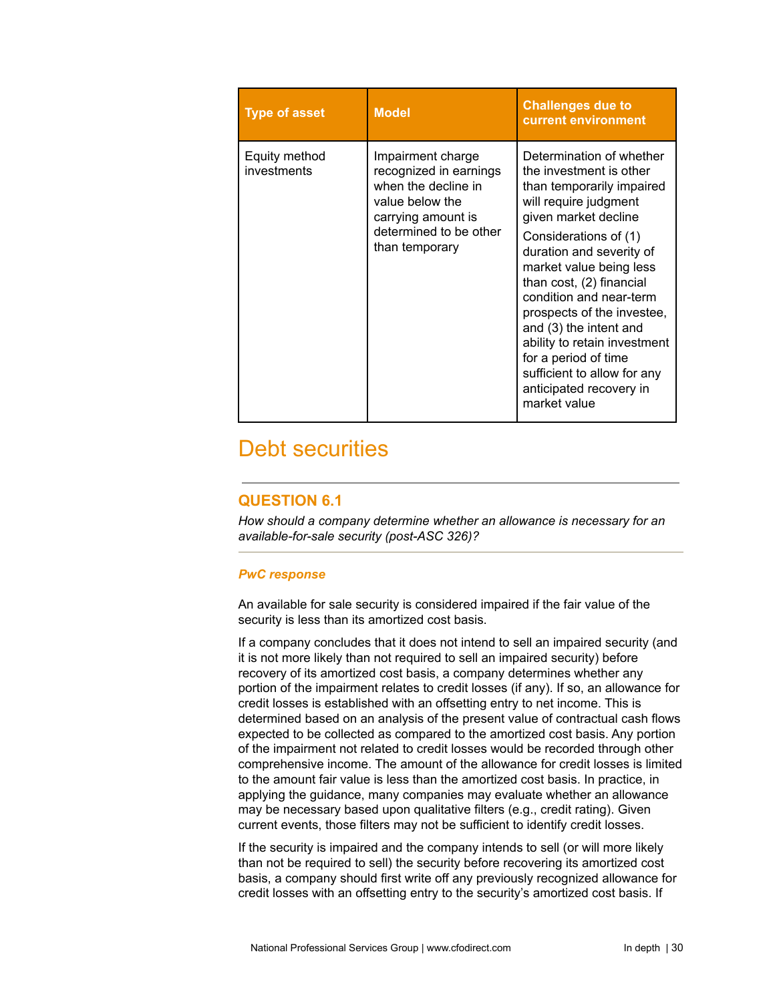| <b>Type of asset</b>         | <b>Model</b>                                                                                                                                            | <b>Challenges due to</b><br>current environment                                                                                                                                                                                                                                                                                                                                                                                                                    |
|------------------------------|---------------------------------------------------------------------------------------------------------------------------------------------------------|--------------------------------------------------------------------------------------------------------------------------------------------------------------------------------------------------------------------------------------------------------------------------------------------------------------------------------------------------------------------------------------------------------------------------------------------------------------------|
| Equity method<br>investments | Impairment charge<br>recognized in earnings<br>when the decline in<br>value below the<br>carrying amount is<br>determined to be other<br>than temporary | Determination of whether<br>the investment is other<br>than temporarily impaired<br>will require judgment<br>given market decline<br>Considerations of (1)<br>duration and severity of<br>market value being less<br>than cost, (2) financial<br>condition and near-term<br>prospects of the investee,<br>and (3) the intent and<br>ability to retain investment<br>for a period of time<br>sufficient to allow for any<br>anticipated recovery in<br>market value |

# Debt securities

# **QUESTION 6.1**

*How should a company determine whether an allowance is necessary for an available-for-sale security (post-ASC 326)?*

# *PwC response*

An available for sale security is considered impaired if the fair value of the security is less than its amortized cost basis.

If a company concludes that it does not intend to sell an impaired security (and it is not more likely than not required to sell an impaired security) before recovery of its amortized cost basis, a company determines whether any portion of the impairment relates to credit losses (if any). If so, an allowance for credit losses is established with an offsetting entry to net income. This is determined based on an analysis of the present value of contractual cash flows expected to be collected as compared to the amortized cost basis. Any portion of the impairment not related to credit losses would be recorded through other comprehensive income. The amount of the allowance for credit losses is limited to the amount fair value is less than the amortized cost basis. In practice, in applying the guidance, many companies may evaluate whether an allowance may be necessary based upon qualitative filters (e.g., credit rating). Given current events, those filters may not be sufficient to identify credit losses.

If the security is impaired and the company intends to sell (or will more likely than not be required to sell) the security before recovering its amortized cost basis, a company should first write off any previously recognized allowance for credit losses with an offsetting entry to the security's amortized cost basis. If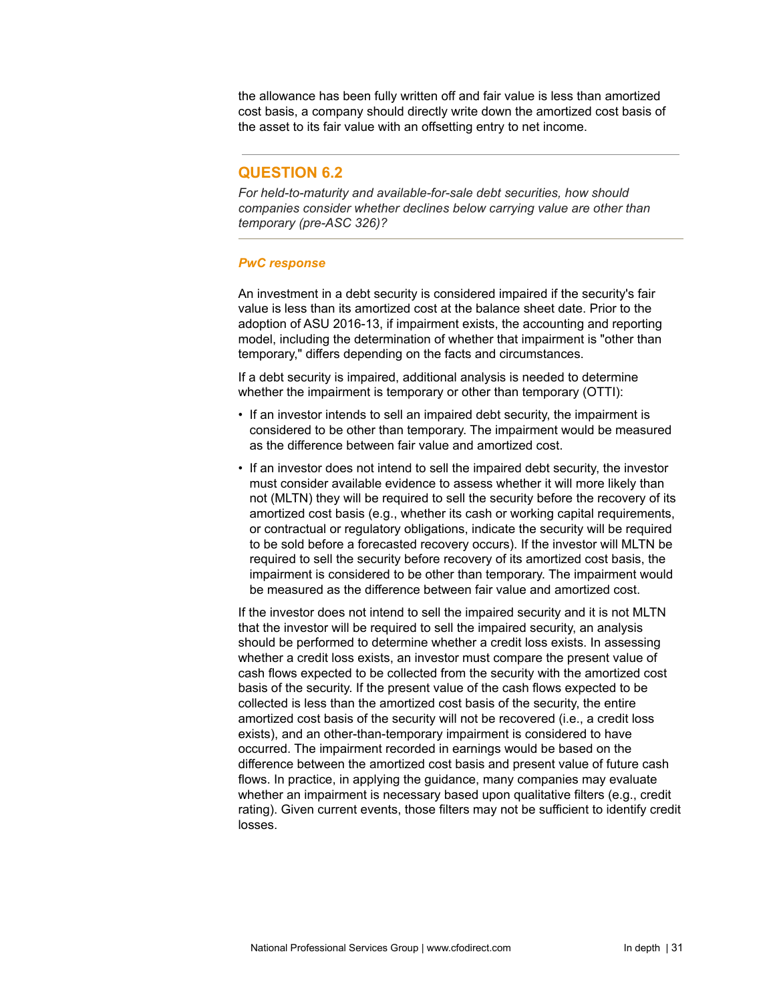the allowance has been fully written off and fair value is less than amortized cost basis, a company should directly write down the amortized cost basis of the asset to its fair value with an offsetting entry to net income.

# **QUESTION 6.2**

*For held-to-maturity and available-for-sale debt securities, how should companies consider whether declines below carrying value are other than temporary (pre-ASC 326)?*

#### *PwC response*

An investment in a debt security is considered impaired if the security's fair value is less than its amortized cost at the balance sheet date. Prior to the adoption of ASU 2016-13, if impairment exists, the accounting and reporting model, including the determination of whether that impairment is "other than temporary," differs depending on the facts and circumstances.

If a debt security is impaired, additional analysis is needed to determine whether the impairment is temporary or other than temporary (OTTI):

- If an investor intends to sell an impaired debt security, the impairment is considered to be other than temporary. The impairment would be measured as the difference between fair value and amortized cost.
- If an investor does not intend to sell the impaired debt security, the investor must consider available evidence to assess whether it will more likely than not (MLTN) they will be required to sell the security before the recovery of its amortized cost basis (e.g., whether its cash or working capital requirements, or contractual or regulatory obligations, indicate the security will be required to be sold before a forecasted recovery occurs). If the investor will MLTN be required to sell the security before recovery of its amortized cost basis, the impairment is considered to be other than temporary. The impairment would be measured as the difference between fair value and amortized cost.

If the investor does not intend to sell the impaired security and it is not MLTN that the investor will be required to sell the impaired security, an analysis should be performed to determine whether a credit loss exists. In assessing whether a credit loss exists, an investor must compare the present value of cash flows expected to be collected from the security with the amortized cost basis of the security. If the present value of the cash flows expected to be collected is less than the amortized cost basis of the security, the entire amortized cost basis of the security will not be recovered (i.e., a credit loss exists), and an other-than-temporary impairment is considered to have occurred. The impairment recorded in earnings would be based on the difference between the amortized cost basis and present value of future cash flows. In practice, in applying the guidance, many companies may evaluate whether an impairment is necessary based upon qualitative filters (e.g., credit rating). Given current events, those filters may not be sufficient to identify credit losses.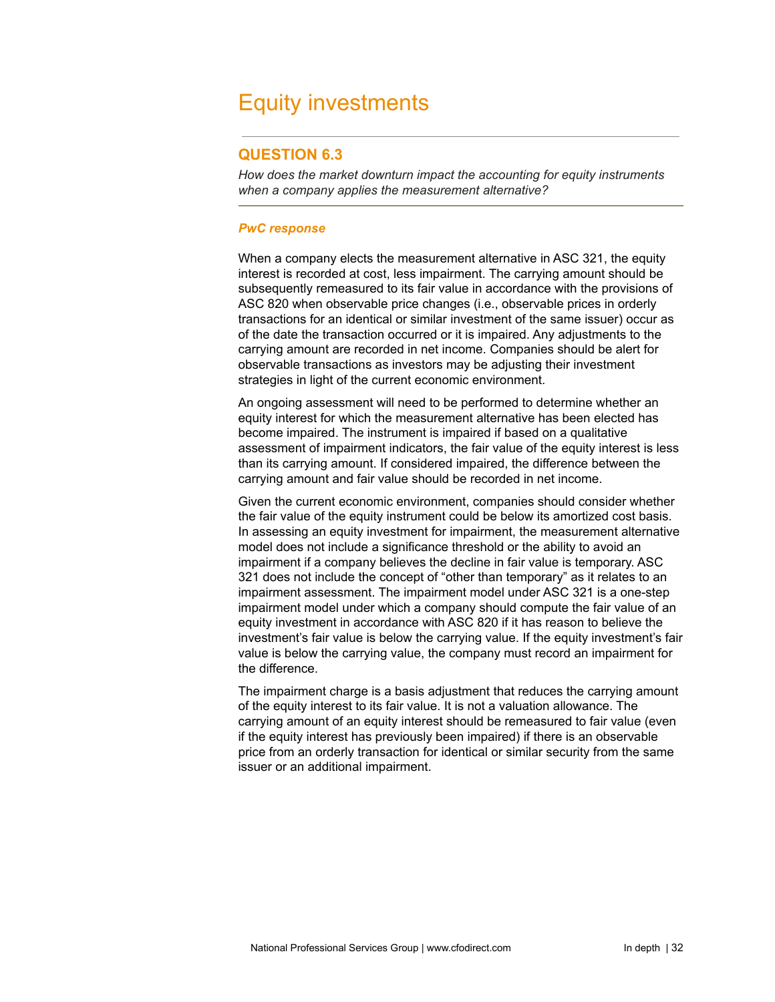# <span id="page-31-0"></span>Equity investments

# **QUESTION 6.3**

*How does the market downturn impact the accounting for equity instruments when a company applies the measurement alternative?*

#### *PwC response*

When a company elects the measurement alternative in ASC 321, the equity interest is recorded at cost, less impairment. The carrying amount should be subsequently remeasured to its fair value in accordance with the provisions of ASC 820 when observable price changes (i.e., observable prices in orderly transactions for an identical or similar investment of the same issuer) occur as of the date the transaction occurred or it is impaired. Any adjustments to the carrying amount are recorded in net income. Companies should be alert for observable transactions as investors may be adjusting their investment strategies in light of the current economic environment.

An ongoing assessment will need to be performed to determine whether an equity interest for which the measurement alternative has been elected has become impaired. The instrument is impaired if based on a qualitative assessment of impairment indicators, the fair value of the equity interest is less than its carrying amount. If considered impaired, the difference between the carrying amount and fair value should be recorded in net income.

Given the current economic environment, companies should consider whether the fair value of the equity instrument could be below its amortized cost basis. In assessing an equity investment for impairment, the measurement alternative model does not include a significance threshold or the ability to avoid an impairment if a company believes the decline in fair value is temporary. ASC 321 does not include the concept of "other than temporary" as it relates to an impairment assessment. The impairment model under ASC 321 is a one-step impairment model under which a company should compute the fair value of an equity investment in accordance with ASC 820 if it has reason to believe the investment's fair value is below the carrying value. If the equity investment's fair value is below the carrying value, the company must record an impairment for the difference.

The impairment charge is a basis adjustment that reduces the carrying amount of the equity interest to its fair value. It is not a valuation allowance. The carrying amount of an equity interest should be remeasured to fair value (even if the equity interest has previously been impaired) if there is an observable price from an orderly transaction for identical or similar security from the same issuer or an additional impairment.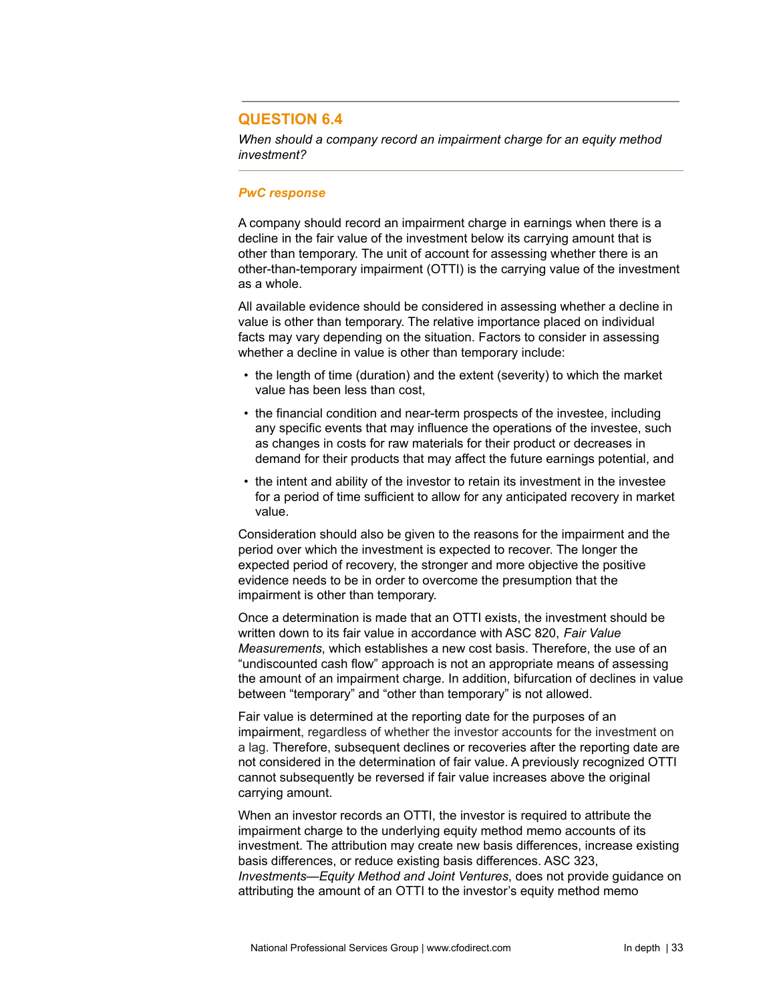# **QUESTION 6.4**

*When should a company record an impairment charge for an equity method investment?*

#### *PwC response*

A company should record an impairment charge in earnings when there is a decline in the fair value of the investment below its carrying amount that is other than temporary. The unit of account for assessing whether there is an other-than-temporary impairment (OTTI) is the carrying value of the investment as a whole.

All available evidence should be considered in assessing whether a decline in value is other than temporary. The relative importance placed on individual facts may vary depending on the situation. Factors to consider in assessing whether a decline in value is other than temporary include:

- the length of time (duration) and the extent (severity) to which the market value has been less than cost,
- the financial condition and near-term prospects of the investee, including any specific events that may influence the operations of the investee, such as changes in costs for raw materials for their product or decreases in demand for their products that may affect the future earnings potential, and
- the intent and ability of the investor to retain its investment in the investee for a period of time sufficient to allow for any anticipated recovery in market value.

Consideration should also be given to the reasons for the impairment and the period over which the investment is expected to recover. The longer the expected period of recovery, the stronger and more objective the positive evidence needs to be in order to overcome the presumption that the impairment is other than temporary.

Once a determination is made that an OTTI exists, the investment should be written down to its fair value in accordance with ASC 820, *Fair Value Measurements*, which establishes a new cost basis. Therefore, the use of an "undiscounted cash flow" approach is not an appropriate means of assessing the amount of an impairment charge. In addition, bifurcation of declines in value between "temporary" and "other than temporary" is not allowed.

Fair value is determined at the reporting date for the purposes of an impairment, regardless of whether the investor accounts for the investment on a lag. Therefore, subsequent declines or recoveries after the reporting date are not considered in the determination of fair value. A previously recognized OTTI cannot subsequently be reversed if fair value increases above the original carrying amount.

When an investor records an OTTI, the investor is required to attribute the impairment charge to the underlying equity method memo accounts of its investment. The attribution may create new basis differences, increase existing basis differences, or reduce existing basis differences. ASC 323, *Investments—Equity Method and Joint Ventures*, does not provide guidance on attributing the amount of an OTTI to the investor's equity method memo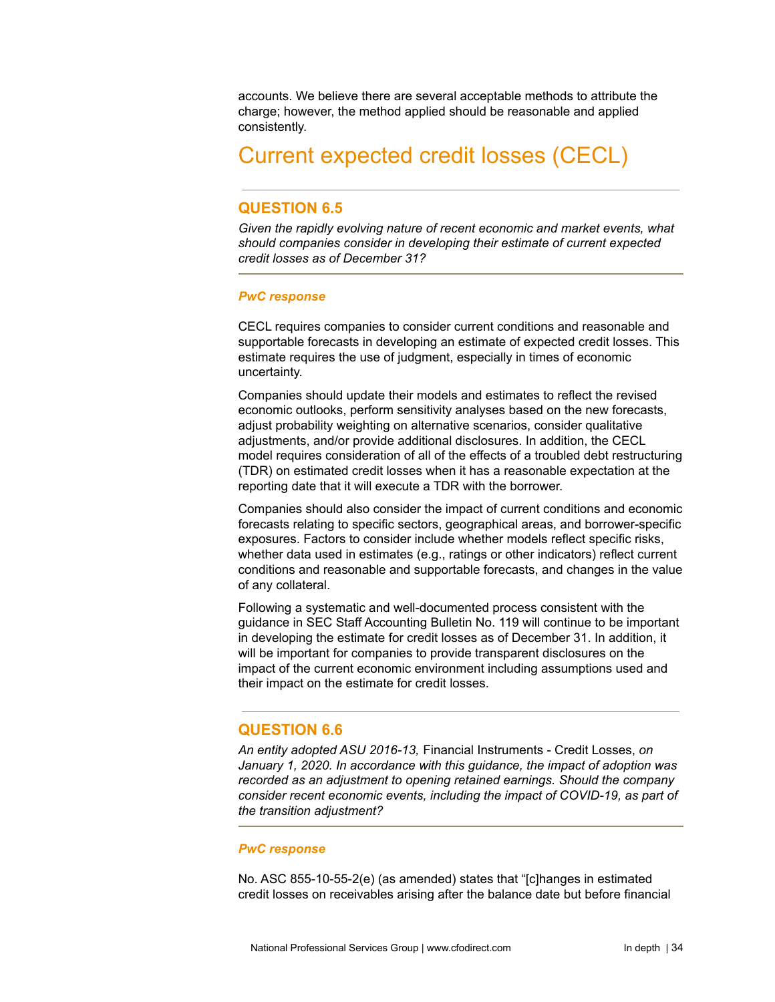accounts. We believe there are several acceptable methods to attribute the charge; however, the method applied should be reasonable and applied consistently.

# <span id="page-33-0"></span>Current expected credit losses (CECL)

# **QUESTION 6.5**

*Given the rapidly evolving nature of recent economic and market events, what should companies consider in developing their estimate of current expected credit losses as of December 31?*

#### *PwC response*

CECL requires companies to consider current conditions and reasonable and supportable forecasts in developing an estimate of expected credit losses. This estimate requires the use of judgment, especially in times of economic uncertainty.

Companies should update their models and estimates to reflect the revised economic outlooks, perform sensitivity analyses based on the new forecasts, adjust probability weighting on alternative scenarios, consider qualitative adjustments, and/or provide additional disclosures. In addition, the CECL model requires consideration of all of the effects of a troubled debt restructuring (TDR) on estimated credit losses when it has a reasonable expectation at the reporting date that it will execute a TDR with the borrower.

Companies should also consider the impact of current conditions and economic forecasts relating to specific sectors, geographical areas, and borrower-specific exposures. Factors to consider include whether models reflect specific risks, whether data used in estimates (e.g., ratings or other indicators) reflect current conditions and reasonable and supportable forecasts, and changes in the value of any collateral.

Following a systematic and well-documented process consistent with the guidance in SEC Staff Accounting Bulletin No. 119 will continue to be important in developing the estimate for credit losses as of December 31. In addition, it will be important for companies to provide transparent disclosures on the impact of the current economic environment including assumptions used and their impact on the estimate for credit losses.

# **QUESTION 6.6**

*An entity adopted ASU 2016-13,* Financial Instruments - Credit Losses, *on January 1, 2020. In accordance with this guidance, the impact of adoption was recorded as an adjustment to opening retained earnings. Should the company consider recent economic events, including the impact of COVID-19, as part of the transition adjustment?*

#### *PwC response*

No. ASC 855-10-55-2(e) (as amended) states that "[c]hanges in estimated credit losses on receivables arising after the balance date but before financial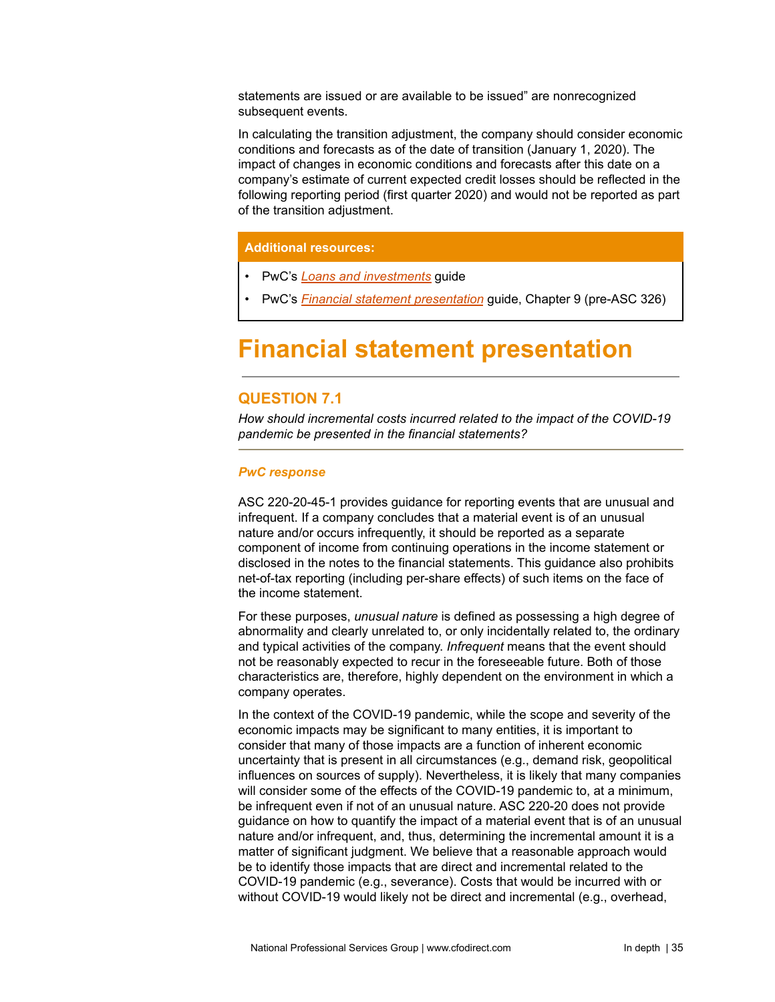statements are issued or are available to be issued" are nonrecognized subsequent events.

In calculating the transition adjustment, the company should consider economic conditions and forecasts as of the date of transition (January 1, 2020). The impact of changes in economic conditions and forecasts after this date on a company's estimate of current expected credit losses should be reflected in the following reporting period (first quarter 2020) and would not be reported as part of the transition adjustment.

### **Additional resources:**

- PwC's *Loans and [investments](https://www.pwc.com/us/en/cfodirect/publications/accounting-guides/pwc-guide-loans-investments-cecl-impairment-model.html)* guide
- PwC's *Financial statement [presentation](https://www.pwc.com/us/en/cfodirect/publications/accounting-guides/financial-statement-presentation-accounting-guide.html)* guide, Chapter 9 (pre-ASC 326)

# <span id="page-34-0"></span>**Financial statement presentation**

# **QUESTION 7.1**

*How should incremental costs incurred related to the impact of the COVID-19 pandemic be presented in the financial statements?*

#### *PwC response*

ASC 220-20-45-1 provides guidance for reporting events that are unusual and infrequent. If a company concludes that a material event is of an unusual nature and/or occurs infrequently, it should be reported as a separate component of income from continuing operations in the income statement or disclosed in the notes to the financial statements. This guidance also prohibits net-of-tax reporting (including per-share effects) of such items on the face of the income statement.

For these purposes, *unusual nature* is defined as possessing a high degree of abnormality and clearly unrelated to, or only incidentally related to, the ordinary and typical activities of the company. *Infrequent* means that the event should not be reasonably expected to recur in the foreseeable future. Both of those characteristics are, therefore, highly dependent on the environment in which a company operates.

In the context of the COVID-19 pandemic, while the scope and severity of the economic impacts may be significant to many entities, it is important to consider that many of those impacts are a function of inherent economic uncertainty that is present in all circumstances (e.g., demand risk, geopolitical influences on sources of supply). Nevertheless, it is likely that many companies will consider some of the effects of the COVID-19 pandemic to, at a minimum, be infrequent even if not of an unusual nature. ASC 220-20 does not provide guidance on how to quantify the impact of a material event that is of an unusual nature and/or infrequent, and, thus, determining the incremental amount it is a matter of significant judgment. We believe that a reasonable approach would be to identify those impacts that are direct and incremental related to the COVID-19 pandemic (e.g., severance). Costs that would be incurred with or without COVID-19 would likely not be direct and incremental (e.g., overhead,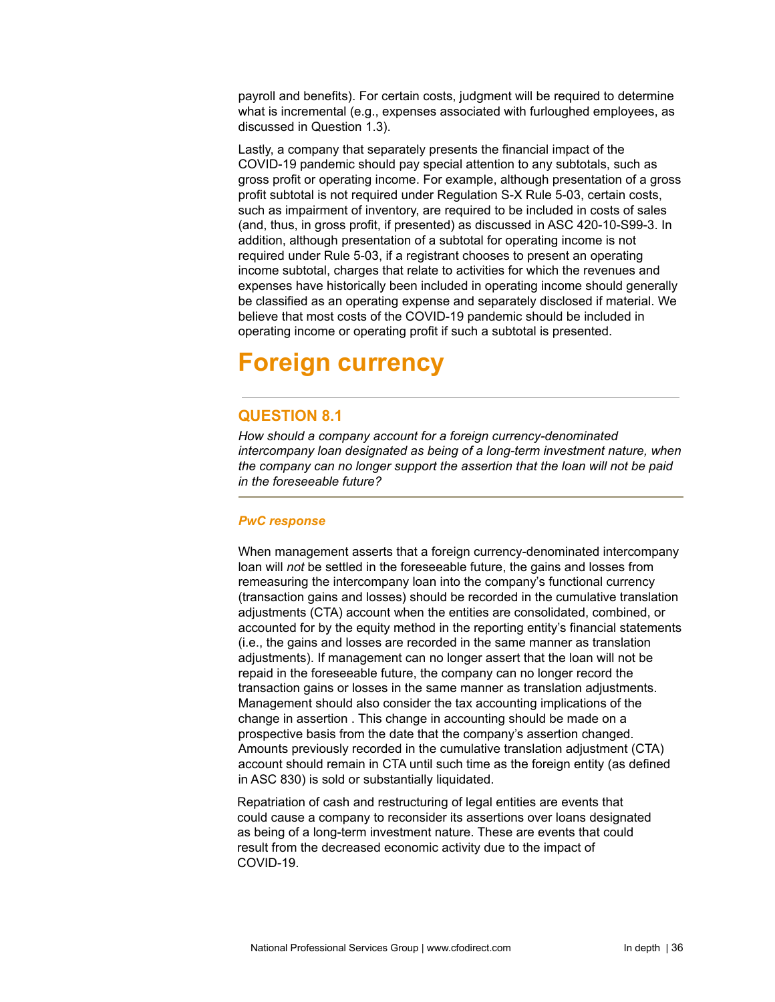payroll and benefits). For certain costs, judgment will be required to determine what is incremental (e.g., expenses associated with furloughed employees, as discussed in Question 1.3).

Lastly, a company that separately presents the financial impact of the COVID-19 pandemic should pay special attention to any subtotals, such as gross profit or operating income. For example, although presentation of a gross profit subtotal is not required under Regulation S-X Rule 5-03, certain costs, such as impairment of inventory, are required to be included in costs of sales (and, thus, in gross profit, if presented) as discussed in ASC 420-10-S99-3. In addition, although presentation of a subtotal for operating income is not required under Rule 5-03, if a registrant chooses to present an operating income subtotal, charges that relate to activities for which the revenues and expenses have historically been included in operating income should generally be classified as an operating expense and separately disclosed if material. We believe that most costs of the COVID-19 pandemic should be included in operating income or operating profit if such a subtotal is presented.

# <span id="page-35-0"></span>**Foreign currency**

# **QUESTION 8.1**

*How should a company account for a foreign currency-denominated intercompany loan designated as being of a long-term investment nature, when the company can no longer support the assertion that the loan will not be paid in the foreseeable future?*

# *PwC response*

When management asserts that a foreign currency-denominated intercompany loan will *not* be settled in the foreseeable future, the gains and losses from remeasuring the intercompany loan into the company's functional currency (transaction gains and losses) should be recorded in the cumulative translation adjustments (CTA) account when the entities are consolidated, combined, or accounted for by the equity method in the reporting entity's financial statements (i.e., the gains and losses are recorded in the same manner as translation adjustments). If management can no longer assert that the loan will not be repaid in the foreseeable future, the company can no longer record the transaction gains or losses in the same manner as translation adjustments. Management should also consider the tax accounting implications of the change in assertion . This change in accounting should be made on a prospective basis from the date that the company's assertion changed. Amounts previously recorded in the cumulative translation adjustment (CTA) account should remain in CTA until such time as the foreign entity (as defined in ASC 830) is sold or substantially liquidated.

Repatriation of cash and restructuring of legal entities are events that could cause a company to reconsider its assertions over loans designated as being of a long-term investment nature. These are events that could result from the decreased economic activity due to the impact of COVID-19.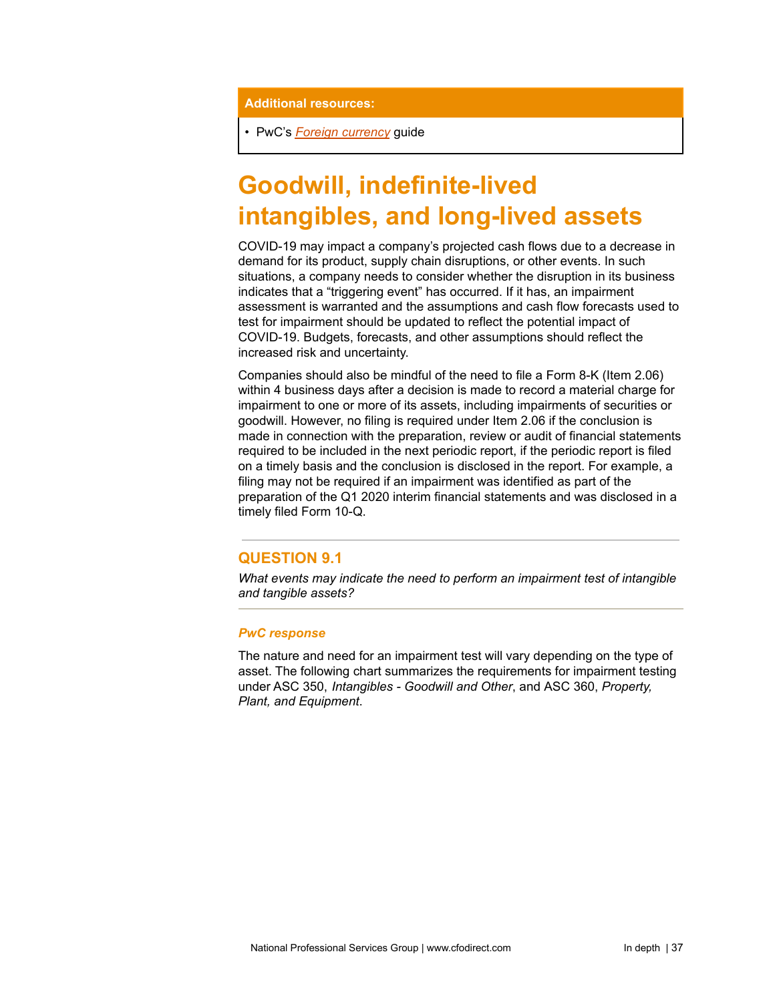**Additional resources:**

• PwC's *Foreign [currency](https://www.pwc.com/us/en/cfodirect/publications/accounting-guides/foreign-currency-reporting.html)* guide

# **Goodwill, indefinite-lived intangibles, and long-lived assets**

COVID-19 may impact a company's projected cash flows due to a decrease in demand for its product, supply chain disruptions, or other events. In such situations, a company needs to consider whether the disruption in its business indicates that a "triggering event" has occurred. If it has, an impairment assessment is warranted and the assumptions and cash flow forecasts used to test for impairment should be updated to reflect the potential impact of COVID-19. Budgets, forecasts, and other assumptions should reflect the increased risk and uncertainty.

Companies should also be mindful of the need to file a Form 8-K (Item 2.06) within 4 business days after a decision is made to record a material charge for impairment to one or more of its assets, including impairments of securities or goodwill. However, no filing is required under Item 2.06 if the conclusion is made in connection with the preparation, review or audit of financial statements required to be included in the next periodic report, if the periodic report is filed on a timely basis and the conclusion is disclosed in the report. For example, a filing may not be required if an impairment was identified as part of the preparation of the Q1 2020 interim financial statements and was disclosed in a timely filed Form 10-Q.

# **QUESTION 9.1**

*What events may indicate the need to perform an impairment test of intangible and tangible assets?*

### *PwC response*

The nature and need for an impairment test will vary depending on the type of asset. The following chart summarizes the requirements for impairment testing under ASC 350, *Intangibles - Goodwill and Other*, and ASC 360, *Property, Plant, and Equipment*.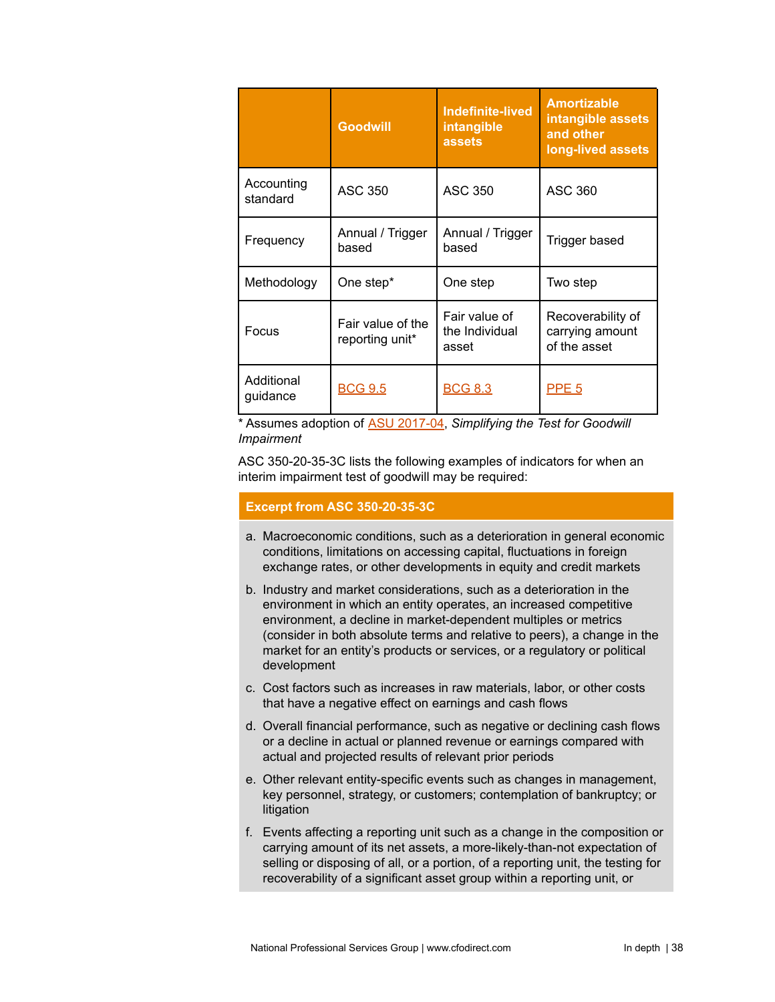|                        | <b>Goodwill</b>                      | <b>Indefinite-lived</b><br>intangible<br><b>assets</b> | <b>Amortizable</b><br>intangible assets<br>and other<br>long-lived assets |
|------------------------|--------------------------------------|--------------------------------------------------------|---------------------------------------------------------------------------|
| Accounting<br>standard | <b>ASC 350</b>                       | <b>ASC 350</b>                                         | <b>ASC 360</b>                                                            |
| Frequency              | Annual / Trigger<br>based            | Annual / Trigger<br>based                              | Trigger based                                                             |
| Methodology            | One step*                            | One step                                               | Two step                                                                  |
| Focus                  | Fair value of the<br>reporting unit* | Fair value of<br>the Individual<br>asset               | Recoverability of<br>carrying amount<br>of the asset                      |
| Additional<br>quidance | <b>BCG 9.5</b>                       | <b>BCG 8.3</b>                                         | <b>PPE 5</b>                                                              |

\* Assumes adoption of ASU [2017-04](https://www.fasb.org/jsp/FASB/Page/SectionPage&cid=1176156316498), *Simplifying the Test for Goodwill Impairment*

ASC 350-20-35-3C lists the following examples of indicators for when an interim impairment test of goodwill may be required:

## **Excerpt from ASC 350-20-35-3C**

- a. Macroeconomic conditions, such as a deterioration in general economic conditions, limitations on accessing capital, fluctuations in foreign exchange rates, or other developments in equity and credit markets
- b. Industry and market considerations, such as a deterioration in the environment in which an entity operates, an increased competitive environment, a decline in market-dependent multiples or metrics (consider in both absolute terms and relative to peers), a change in the market for an entity's products or services, or a regulatory or political development
- c. Cost factors such as increases in raw materials, labor, or other costs that have a negative effect on earnings and cash flows
- d. Overall financial performance, such as negative or declining cash flows or a decline in actual or planned revenue or earnings compared with actual and projected results of relevant prior periods
- e. Other relevant entity-specific events such as changes in management, key personnel, strategy, or customers; contemplation of bankruptcy; or litigation
- f. Events affecting a reporting unit such as a change in the composition or carrying amount of its net assets, a more-likely-than-not expectation of selling or disposing of all, or a portion, of a reporting unit, the testing for recoverability of a significant asset group within a reporting unit, or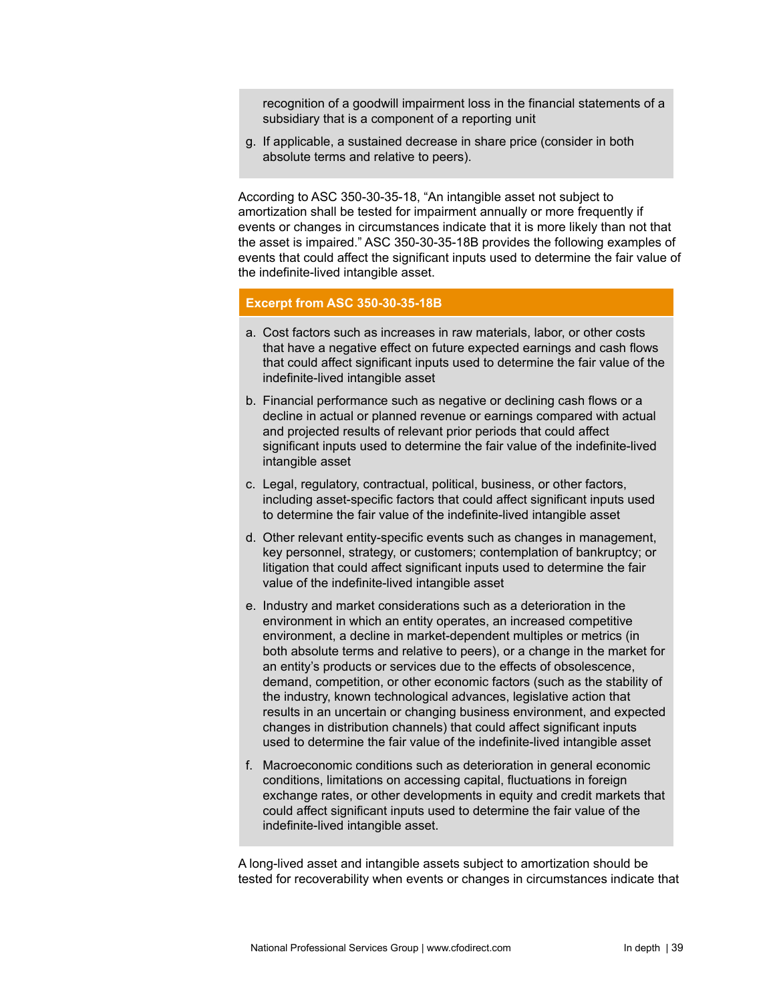recognition of a goodwill impairment loss in the financial statements of a subsidiary that is a component of a reporting unit

g. If applicable, a sustained decrease in share price (consider in both absolute terms and relative to peers).

According to ASC 350-30-35-18, "An intangible asset not subject to amortization shall be tested for impairment annually or more frequently if events or changes in circumstances indicate that it is more likely than not that the asset is impaired." ASC 350-30-35-18B provides the following examples of events that could affect the significant inputs used to determine the fair value of the indefinite-lived intangible asset.

#### **Excerpt from ASC 350-30-35-18B**

- a. Cost factors such as increases in raw materials, labor, or other costs that have a negative effect on future expected earnings and cash flows that could affect significant inputs used to determine the fair value of the indefinite-lived intangible asset
- b. Financial performance such as negative or declining cash flows or a decline in actual or planned revenue or earnings compared with actual and projected results of relevant prior periods that could affect significant inputs used to determine the fair value of the indefinite-lived intangible asset
- c. Legal, regulatory, contractual, political, business, or other factors, including asset-specific factors that could affect significant inputs used to determine the fair value of the indefinite-lived intangible asset
- d. Other relevant entity-specific events such as changes in management, key personnel, strategy, or customers; contemplation of bankruptcy; or litigation that could affect significant inputs used to determine the fair value of the indefinite-lived intangible asset
- e. Industry and market considerations such as a deterioration in the environment in which an entity operates, an increased competitive environment, a decline in market-dependent multiples or metrics (in both absolute terms and relative to peers), or a change in the market for an entity's products or services due to the effects of obsolescence, demand, competition, or other economic factors (such as the stability of the industry, known technological advances, legislative action that results in an uncertain or changing business environment, and expected changes in distribution channels) that could affect significant inputs used to determine the fair value of the indefinite-lived intangible asset
- f. Macroeconomic conditions such as deterioration in general economic conditions, limitations on accessing capital, fluctuations in foreign exchange rates, or other developments in equity and credit markets that could affect significant inputs used to determine the fair value of the indefinite-lived intangible asset.

A long-lived asset and intangible assets subject to amortization should be tested for recoverability when events or changes in circumstances indicate that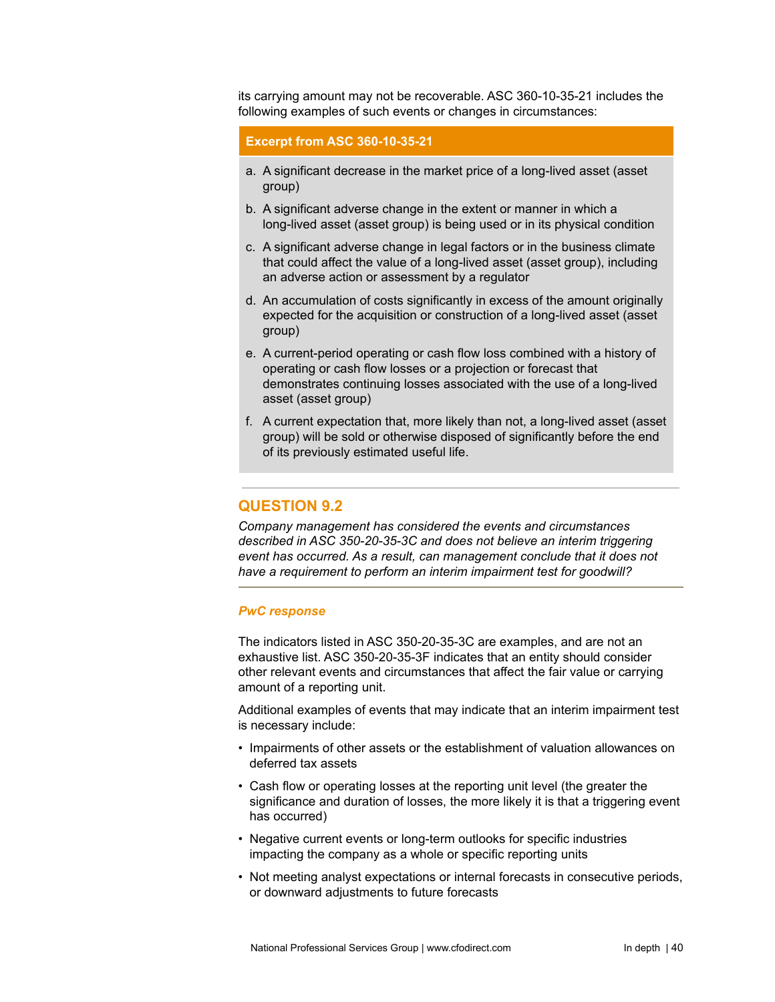its carrying amount may not be recoverable. ASC 360-10-35-21 includes the following examples of such events or changes in circumstances:

## **Excerpt from ASC 360-10-35-21**

- a. A significant decrease in the market price of a long-lived asset (asset group)
- b. A significant adverse change in the extent or manner in which a long-lived asset (asset group) is being used or in its physical condition
- c. A significant adverse change in legal factors or in the business climate that could affect the value of a long-lived asset (asset group), including an adverse action or assessment by a regulator
- d. An accumulation of costs significantly in excess of the amount originally expected for the acquisition or construction of a long-lived asset (asset group)
- e. A current-period operating or cash flow loss combined with a history of operating or cash flow losses or a projection or forecast that demonstrates continuing losses associated with the use of a long-lived asset (asset group)
- f. A current expectation that, more likely than not, a long-lived asset (asset group) will be sold or otherwise disposed of significantly before the end of its previously estimated useful life.

## **QUESTION 9.2**

*Company management has considered the events and circumstances described in ASC 350-20-35-3C and does not believe an interim triggering event has occurred. As a result, can management conclude that it does not have a requirement to perform an interim impairment test for goodwill?*

#### *PwC response*

The indicators listed in ASC 350-20-35-3C are examples, and are not an exhaustive list. ASC 350-20-35-3F indicates that an entity should consider other relevant events and circumstances that affect the fair value or carrying amount of a reporting unit.

Additional examples of events that may indicate that an interim impairment test is necessary include:

- Impairments of other assets or the establishment of valuation allowances on deferred tax assets
- Cash flow or operating losses at the reporting unit level (the greater the significance and duration of losses, the more likely it is that a triggering event has occurred)
- Negative current events or long-term outlooks for specific industries impacting the company as a whole or specific reporting units
- Not meeting analyst expectations or internal forecasts in consecutive periods, or downward adjustments to future forecasts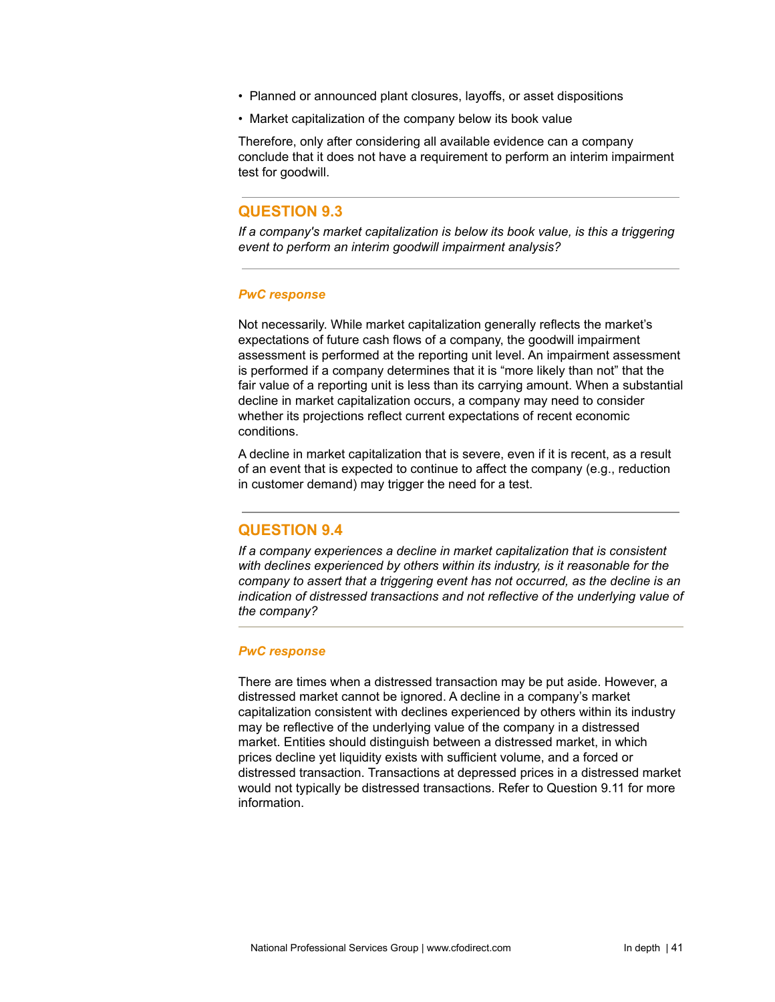- Planned or announced plant closures, layoffs, or asset dispositions
- Market capitalization of the company below its book value

Therefore, only after considering all available evidence can a company conclude that it does not have a requirement to perform an interim impairment test for goodwill.

## **QUESTION 9.3**

*If a company's market capitalization is below its book value, is this a triggering event to perform an interim goodwill impairment analysis?*

#### *PwC response*

Not necessarily. While market capitalization generally reflects the market's expectations of future cash flows of a company, the goodwill impairment assessment is performed at the reporting unit level. An impairment assessment is performed if a company determines that it is "more likely than not" that the fair value of a reporting unit is less than its carrying amount. When a substantial decline in market capitalization occurs, a company may need to consider whether its projections reflect current expectations of recent economic conditions.

A decline in market capitalization that is severe, even if it is recent, as a result of an event that is expected to continue to affect the company (e.g., reduction in customer demand) may trigger the need for a test.

## **QUESTION 9.4**

*If a company experiences a decline in market capitalization that is consistent with declines experienced by others within its industry, is it reasonable for the company to assert that a triggering event has not occurred, as the decline is an indication of distressed transactions and not reflective of the underlying value of the company?*

#### *PwC response*

There are times when a distressed transaction may be put aside. However, a distressed market cannot be ignored. A decline in a company's market capitalization consistent with declines experienced by others within its industry may be reflective of the underlying value of the company in a distressed market. Entities should distinguish between a distressed market, in which prices decline yet liquidity exists with sufficient volume, and a forced or distressed transaction. Transactions at depressed prices in a distressed market would not typically be distressed transactions. Refer to Question 9.11 for more information.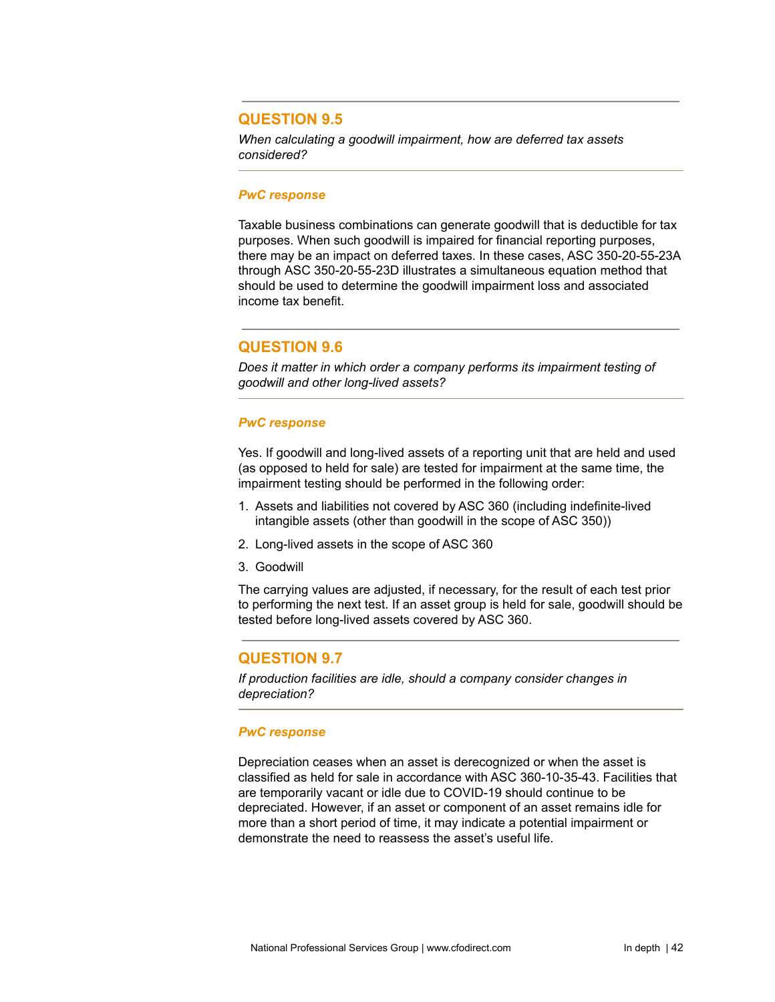# **QUESTION 9.5**

*When calculating a goodwill impairment, how are deferred tax assets considered?*

#### *PwC response*

Taxable business combinations can generate goodwill that is deductible for tax purposes. When such goodwill is impaired for financial reporting purposes, there may be an impact on deferred taxes. In these cases, ASC 350-20-55-23A through ASC [350-20-55-23D](https://inform.pwc.com/inform2/show?action=informContent&id=0110031362671333#FASB_COD_350_20_55_23D) illustrates a simultaneous equation method that should be used to determine the goodwill impairment loss and associated income tax benefit.

# **QUESTION 9.6**

*Does it matter in which order a company performs its impairment testing of goodwill and other long-lived assets?*

### *PwC response*

Yes. If goodwill and long-lived assets of a reporting unit that are held and used (as opposed to held for sale) are tested for impairment at the same time, the impairment testing should be performed in the following order:

- 1. Assets and liabilities not covered by ASC 360 (including indefinite-lived intangible assets (other than goodwill in the scope of ASC 350))
- 2. Long-lived assets in the scope of ASC 360
- 3. Goodwill

The carrying values are adjusted, if necessary, for the result of each test prior to performing the next test. If an asset group is held for sale, goodwill should be tested before long-lived assets covered by ASC 360.

## **QUESTION 9.7**

*If production facilities are idle, should a company consider changes in depreciation?*

## *PwC response*

Depreciation ceases when an asset is derecognized or when the asset is classified as held for sale in accordance with ASC 360-10-35-43. Facilities that are temporarily vacant or idle due to COVID-19 should continue to be depreciated. However, if an asset or component of an asset remains idle for more than a short period of time, it may indicate a potential impairment or demonstrate the need to reassess the asset's useful life.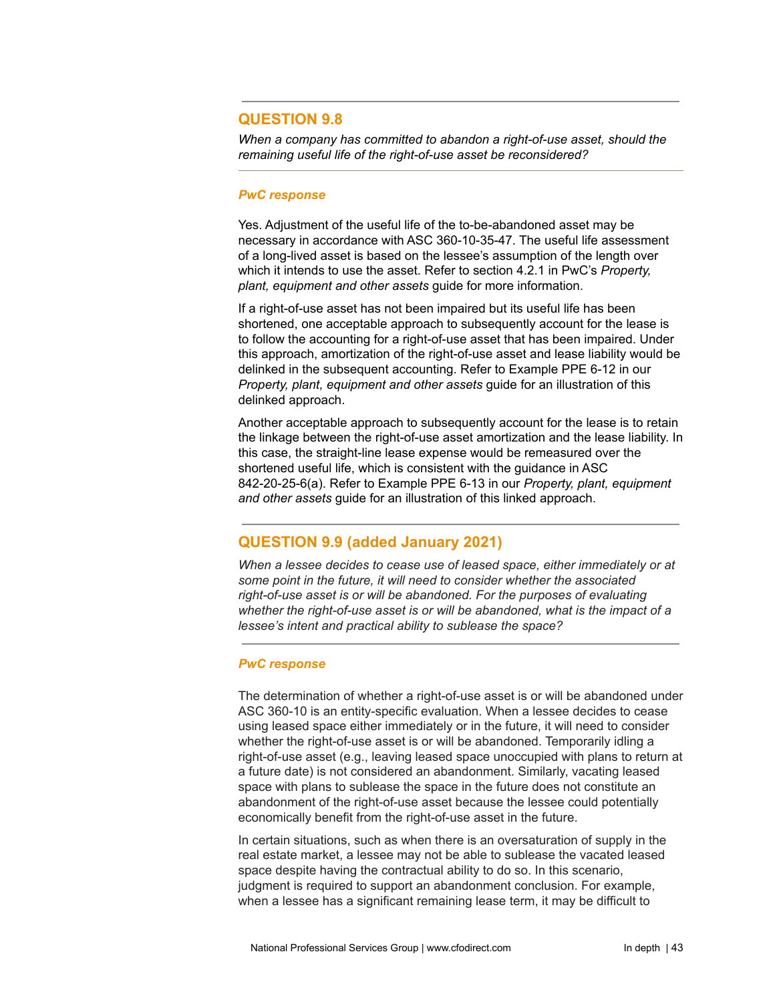# **QUESTION 9.8**

*When a company has committed to abandon a right-of-use asset, should the remaining useful life of the right-of-use asset be reconsidered?*

#### *PwC response*

Yes. Adjustment of the useful life of the to-be-abandoned asset may be necessary in accordance with ASC 360-10-35-47. The useful life assessment of a long-lived asset is based on the lessee's assumption of the length over which it intends to use the asset. Refer to section 4.2.1 in PwC's *Property, plant, equipment and other assets* guide for more information.

If a right-of-use asset has not been impaired but its useful life has been shortened, one acceptable approach to subsequently account for the lease is to follow the accounting for a right-of-use asset that has been impaired. Under this approach, amortization of the right-of-use asset and lease liability would be delinked in the subsequent accounting. Refer to Example PPE 6-12 in our *Property, plant, equipment and other assets* guide for an illustration of this delinked approach.

Another acceptable approach to subsequently account for the lease is to retain the linkage between the right-of-use asset amortization and the lease liability. In this case, the straight-line lease expense would be remeasured over the shortened useful life, which is consistent with the guidance in ASC 842-20-25-6(a). Refer to Example PPE 6-13 in our *Property, plant, equipment and other assets* guide for an illustration of this linked approach.

# **QUESTION 9.9 (added January 2021)**

*When a lessee decides to cease use of leased space, either immediately or at some point in the future, it will need to consider whether the associated right-of-use asset is or will be abandoned. For the purposes of evaluating whether the right-of-use asset is or will be abandoned, what is the impact of a lessee's intent and practical ability to sublease the space?*

### *PwC response*

The determination of whether a right-of-use asset is or will be abandoned under ASC 360-10 is an entity-specific evaluation. When a lessee decides to cease using leased space either immediately or in the future, it will need to consider whether the right-of-use asset is or will be abandoned. Temporarily idling a right-of-use asset (e.g., leaving leased space unoccupied with plans to return at a future date) is not considered an abandonment. Similarly, vacating leased space with plans to sublease the space in the future does not constitute an abandonment of the right-of-use asset because the lessee could potentially economically benefit from the right-of-use asset in the future.

In certain situations, such as when there is an oversaturation of supply in the real estate market, a lessee may not be able to sublease the vacated leased space despite having the contractual ability to do so. In this scenario, judgment is required to support an abandonment conclusion. For example, when a lessee has a significant remaining lease term, it may be difficult to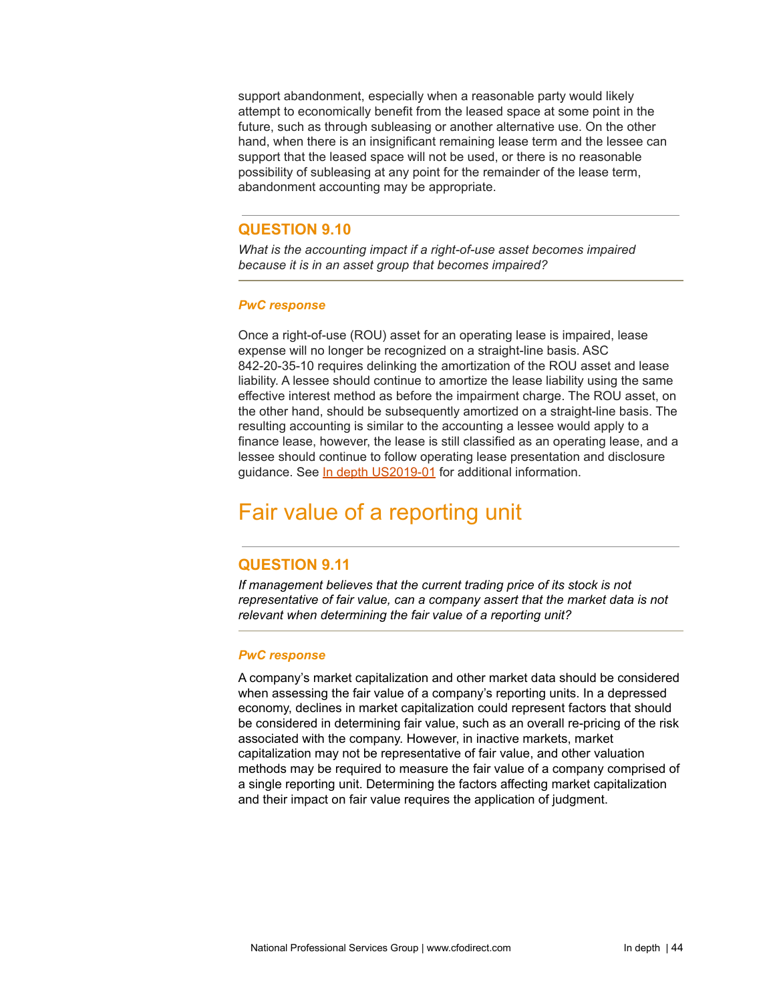support abandonment, especially when a reasonable party would likely attempt to economically benefit from the leased space at some point in the future, such as through subleasing or another alternative use. On the other hand, when there is an insignificant remaining lease term and the lessee can support that the leased space will not be used, or there is no reasonable possibility of subleasing at any point for the remainder of the lease term, abandonment accounting may be appropriate.

# **QUESTION 9.10**

*What is the accounting impact if a right-of-use asset becomes impaired because it is in an asset group that becomes impaired?*

### *PwC response*

Once a right-of-use (ROU) asset for an operating lease is impaired, lease expense will no longer be recognized on a straight-line basis. ASC 842-20-35-10 requires delinking the amortization of the ROU asset and lease liability. A lessee should continue to amortize the lease liability using the same effective interest method as before the impairment charge. The ROU asset, on the other hand, should be subsequently amortized on a straight-line basis. The resulting accounting is similar to the accounting a lessee would apply to a finance lease, however, the lease is still classified as an operating lease, and a lessee should continue to follow operating lease presentation and disclosure guidance. See In depth [US2019-01](https://www.pwc.com/us/en/cfodirect/publications/in-depth/leasing-right-of-use-faqs.html) for additional information.

# Fair value of a reporting unit

# **QUESTION 9.11**

*If management believes that the current trading price of its stock is not representative of fair value, can a company assert that the market data is not relevant when determining the fair value of a reporting unit?*

### *PwC response*

A company's market capitalization and other market data should be considered when assessing the fair value of a company's reporting units. In a depressed economy, declines in market capitalization could represent factors that should be considered in determining fair value, such as an overall re-pricing of the risk associated with the company. However, in inactive markets, market capitalization may not be representative of fair value, and other valuation methods may be required to measure the fair value of a company comprised of a single reporting unit. Determining the factors affecting market capitalization and their impact on fair value requires the application of judgment.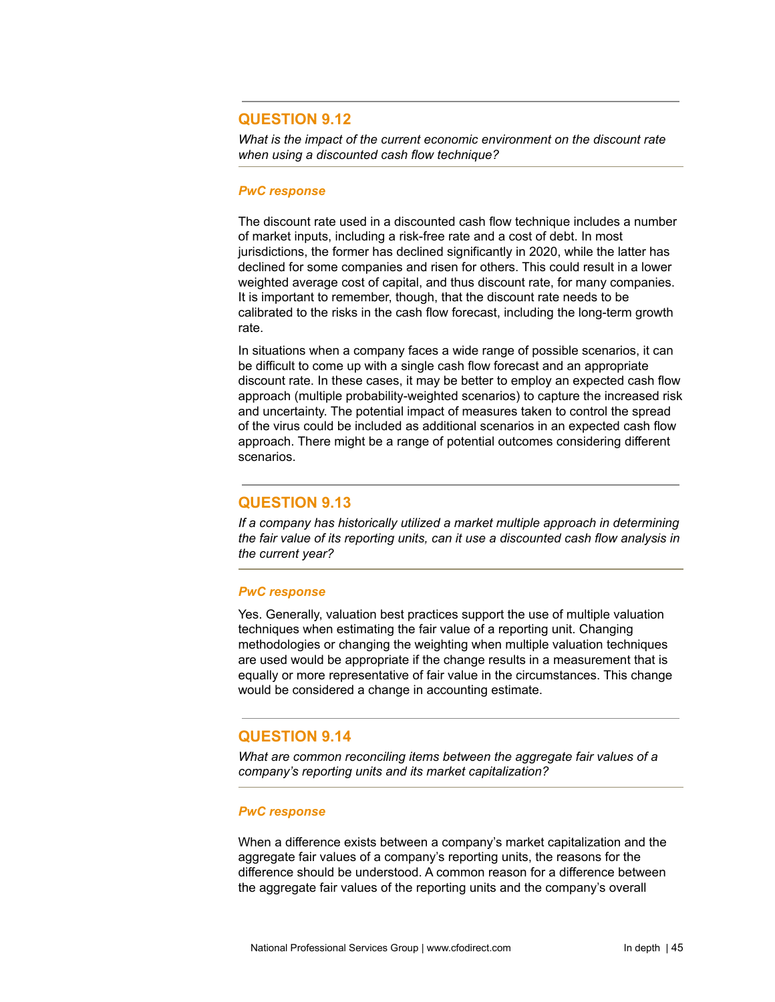# **QUESTION 9.12**

*What is the impact of the current economic environment on the discount rate when using a discounted cash flow technique?*

#### *PwC response*

The discount rate used in a discounted cash flow technique includes a number of market inputs, including a risk-free rate and a cost of debt. In most jurisdictions, the former has declined significantly in 2020, while the latter has declined for some companies and risen for others. This could result in a lower weighted average cost of capital, and thus discount rate, for many companies. It is important to remember, though, that the discount rate needs to be calibrated to the risks in the cash flow forecast, including the long-term growth rate.

In situations when a company faces a wide range of possible scenarios, it can be difficult to come up with a single cash flow forecast and an appropriate discount rate. In these cases, it may be better to employ an expected cash flow approach (multiple probability-weighted scenarios) to capture the increased risk and uncertainty. The potential impact of measures taken to control the spread of the virus could be included as additional scenarios in an expected cash flow approach. There might be a range of potential outcomes considering different scenarios.

# **QUESTION 9.13**

*If a company has historically utilized a market multiple approach in determining the fair value of its reporting units, can it use a discounted cash flow analysis in the current year?*

### *PwC response*

Yes. Generally, valuation best practices support the use of multiple valuation techniques when estimating the fair value of a reporting unit. Changing methodologies or changing the weighting when multiple valuation techniques are used would be appropriate if the change results in a measurement that is equally or more representative of fair value in the circumstances. This change would be considered a change in accounting estimate.

## **QUESTION 9.14**

*What are common reconciling items between the aggregate fair values of a company's reporting units and its market capitalization?*

### *PwC response*

When a difference exists between a company's market capitalization and the aggregate fair values of a company's reporting units, the reasons for the difference should be understood. A common reason for a difference between the aggregate fair values of the reporting units and the company's overall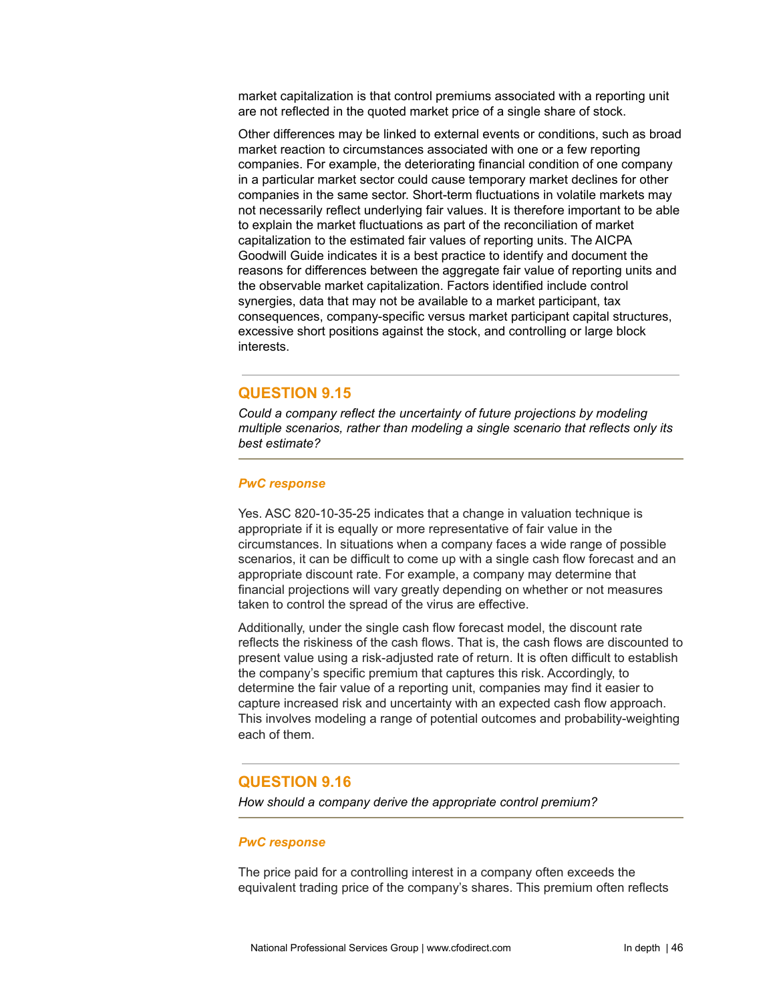market capitalization is that control premiums associated with a reporting unit are not reflected in the quoted market price of a single share of stock.

Other differences may be linked to external events or conditions, such as broad market reaction to circumstances associated with one or a few reporting companies. For example, the deteriorating financial condition of one company in a particular market sector could cause temporary market declines for other companies in the same sector. Short-term fluctuations in volatile markets may not necessarily reflect underlying fair values. It is therefore important to be able to explain the market fluctuations as part of the reconciliation of market capitalization to the estimated fair values of reporting units. The AICPA Goodwill Guide indicates it is a best practice to identify and document the reasons for differences between the aggregate fair value of reporting units and the observable market capitalization. Factors identified include control synergies, data that may not be available to a market participant, tax consequences, company-specific versus market participant capital structures, excessive short positions against the stock, and controlling or large block interests.

# **QUESTION 9.15**

*Could a company reflect the uncertainty of future projections by modeling multiple scenarios, rather than modeling a single scenario that reflects only its best estimate?*

### *PwC response*

Yes. ASC 820-10-35-25 indicates that a change in valuation technique is appropriate if it is equally or more representative of fair value in the circumstances. In situations when a company faces a wide range of possible scenarios, it can be difficult to come up with a single cash flow forecast and an appropriate discount rate. For example, a company may determine that financial projections will vary greatly depending on whether or not measures taken to control the spread of the virus are effective.

Additionally, under the single cash flow forecast model, the discount rate reflects the riskiness of the cash flows. That is, the cash flows are discounted to present value using a risk-adjusted rate of return. It is often difficult to establish the company's specific premium that captures this risk. Accordingly, to determine the fair value of a reporting unit, companies may find it easier to capture increased risk and uncertainty with an expected cash flow approach. This involves modeling a range of potential outcomes and probability-weighting each of them.

# **QUESTION 9.16**

*How should a company derive the appropriate control premium?*

#### *PwC response*

The price paid for a controlling interest in a company often exceeds the equivalent trading price of the company's shares. This premium often reflects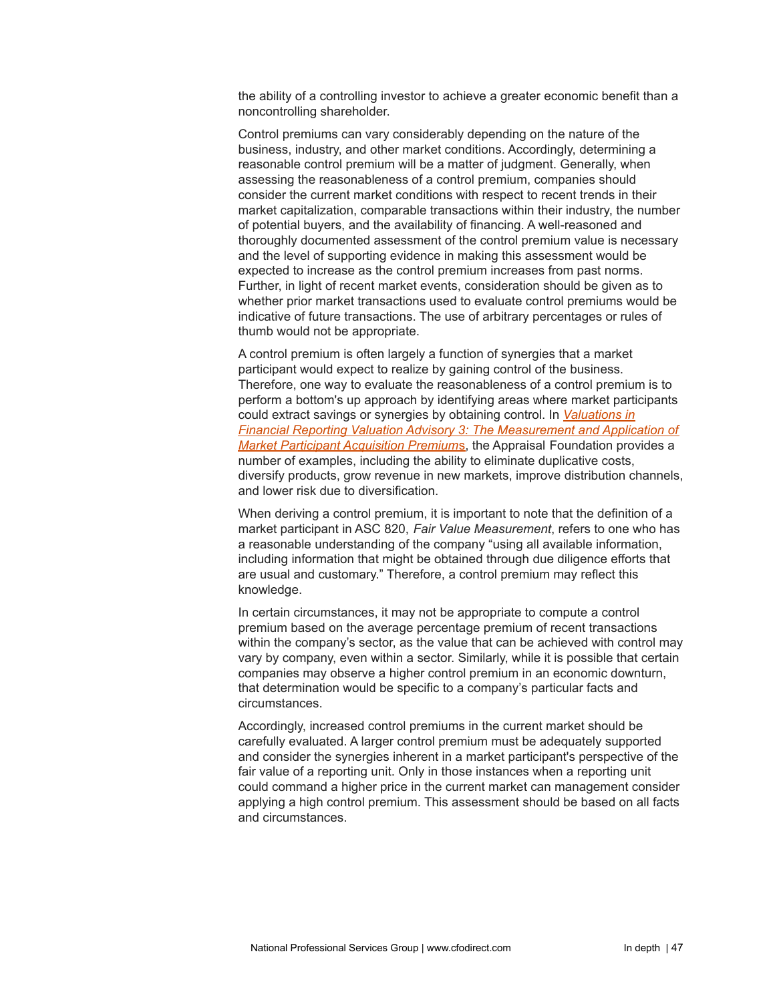the ability of a controlling investor to achieve a greater economic benefit than a noncontrolling shareholder.

Control premiums can vary considerably depending on the nature of the business, industry, and other market conditions. Accordingly, determining a reasonable control premium will be a matter of judgment. Generally, when assessing the reasonableness of a control premium, companies should consider the current market conditions with respect to recent trends in their market capitalization, comparable transactions within their industry, the number of potential buyers, and the availability of financing. A well-reasoned and thoroughly documented assessment of the control premium value is necessary and the level of supporting evidence in making this assessment would be expected to increase as the control premium increases from past norms. Further, in light of recent market events, consideration should be given as to whether prior market transactions used to evaluate control premiums would be indicative of future transactions. The use of arbitrary percentages or rules of thumb would not be appropriate.

A control premium is often largely a function of synergies that a market participant would expect to realize by gaining control of the business. Therefore, one way to evaluate the reasonableness of a control premium is to perform a bottom's up approach by identifying areas where market participants could extract savings or synergies by obtaining control. In *[Valuations](https://appraisalfoundation.sharefile.com/share/view/sa5378ae8f7541ba9) in Financial Reporting Valuation Advisory 3: The [Measurement](https://appraisalfoundation.sharefile.com/share/view/sa5378ae8f7541ba9) and Application of Market Participant [Acquisition](https://appraisalfoundation.sharefile.com/share/view/sa5378ae8f7541ba9) Premium*s, the Appraisal Foundation provides a number of examples, including the ability to eliminate duplicative costs, diversify products, grow revenue in new markets, improve distribution channels, and lower risk due to diversification.

When deriving a control premium, it is important to note that the definition of a market participant in ASC 820, *Fair Value Measurement*, refers to one who has a reasonable understanding of the company "using all available information, including information that might be obtained through due diligence efforts that are usual and customary." Therefore, a control premium may reflect this knowledge.

In certain circumstances, it may not be appropriate to compute a control premium based on the average percentage premium of recent transactions within the company's sector, as the value that can be achieved with control may vary by company, even within a sector. Similarly, while it is possible that certain companies may observe a higher control premium in an economic downturn, that determination would be specific to a company's particular facts and circumstances.

Accordingly, increased control premiums in the current market should be carefully evaluated. A larger control premium must be adequately supported and consider the synergies inherent in a market participant's perspective of the fair value of a reporting unit. Only in those instances when a reporting unit could command a higher price in the current market can management consider applying a high control premium. This assessment should be based on all facts and circumstances.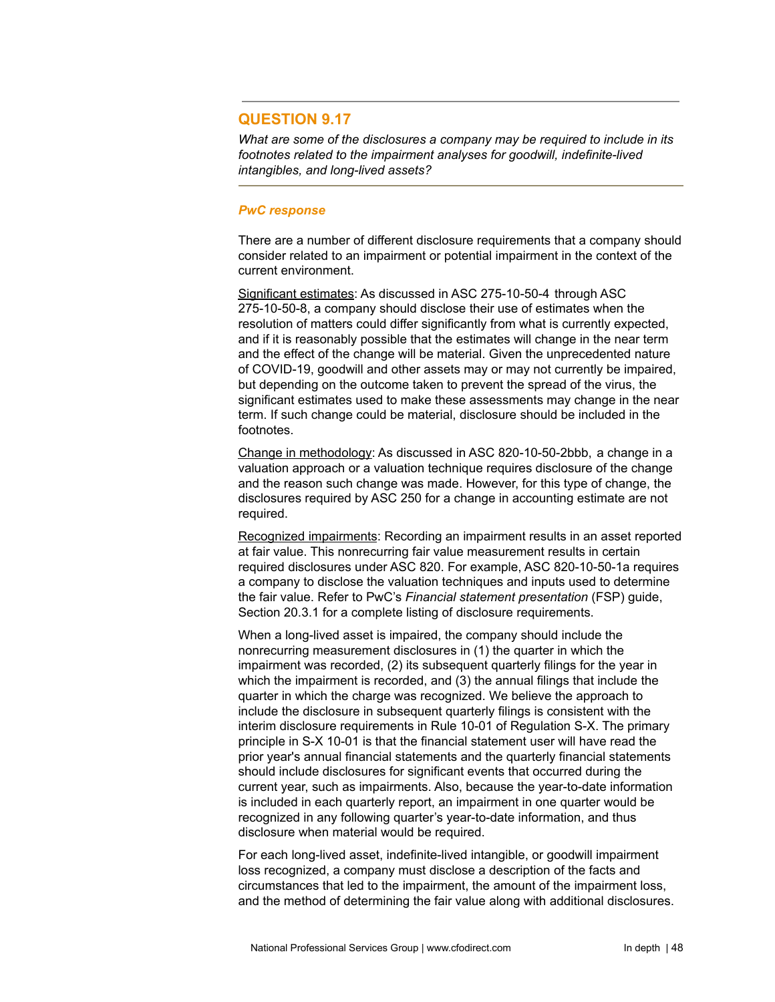## **QUESTION 9.17**

*What are some of the disclosures a company may be required to include in its footnotes related to the impairment analyses for goodwill, indefinite-lived intangibles, and long-lived assets?*

#### *PwC response*

There are a number of different disclosure requirements that a company should consider related to an impairment or potential impairment in the context of the current environment.

Significant estimates: As discussed in ASC 275-10-50-4 through ASC 275-10-50-8, a company should disclose their use of estimates when the resolution of matters could differ significantly from what is currently expected, and if it is reasonably possible that the estimates will change in the near [term](https://inform.pwc.com/inform2/show?action=informContent&id=0110031369660407) and the effect of the change will be material. Given the unprecedented nature of COVID-19, goodwill and other assets may or may not currently be impaired, but depending on the outcome taken to prevent the spread of the virus, the significant estimates used to make these assessments may change in the near term. If such change could be material, disclosure should be included in the footnotes.

Change in methodology: As discussed in ASC 820-10-50-2bbb, a change in a valuation approach or a valuation technique requires disclosure of the change and the reason such change was made. However, for this type of change, the disclosures required by ASC 250 for a change in accounting estimate are not required.

Recognized impairments: Recording an impairment results in an asset reported at fair value. This nonrecurring fair value measurement results in certain required disclosures under ASC 820. For example, ASC 820-10-50-1a requires a company to disclose the valuation techniques and [inputs](https://inform.pwc.com/inform2/show?action=informContent&id=0110031362651687) used to determine the fair value. Refer to PwC's *Financial statement presentation* (FSP) guide, Section 20.3.1 for a complete listing of disclosure requirements.

When a long-lived asset is impaired, the company should include the nonrecurring measurement disclosures in (1) the quarter in which the impairment was recorded, (2) its subsequent quarterly filings for the year in which the impairment is recorded, and (3) the annual filings that include the quarter in which the charge was recognized. We believe the approach to include the disclosure in subsequent quarterly filings is consistent with the interim disclosure requirements in Rule 10-01 of Regulation S-X. The primary principle in S-X 10-01 is that the financial statement user will have read the prior year's annual financial statements and the quarterly financial statements should include disclosures for significant events that occurred during the current year, such as impairments. Also, because the year-to-date information is included in each quarterly report, an impairment in one quarter would be recognized in any following quarter's year-to-date information, and thus disclosure when material would be required.

For each long-lived asset, indefinite-lived intangible, or goodwill impairment loss recognized, a company must disclose a description of the facts and circumstances that led to the impairment, the amount of the impairment loss, and the method of determining the fair value along with additional disclosures.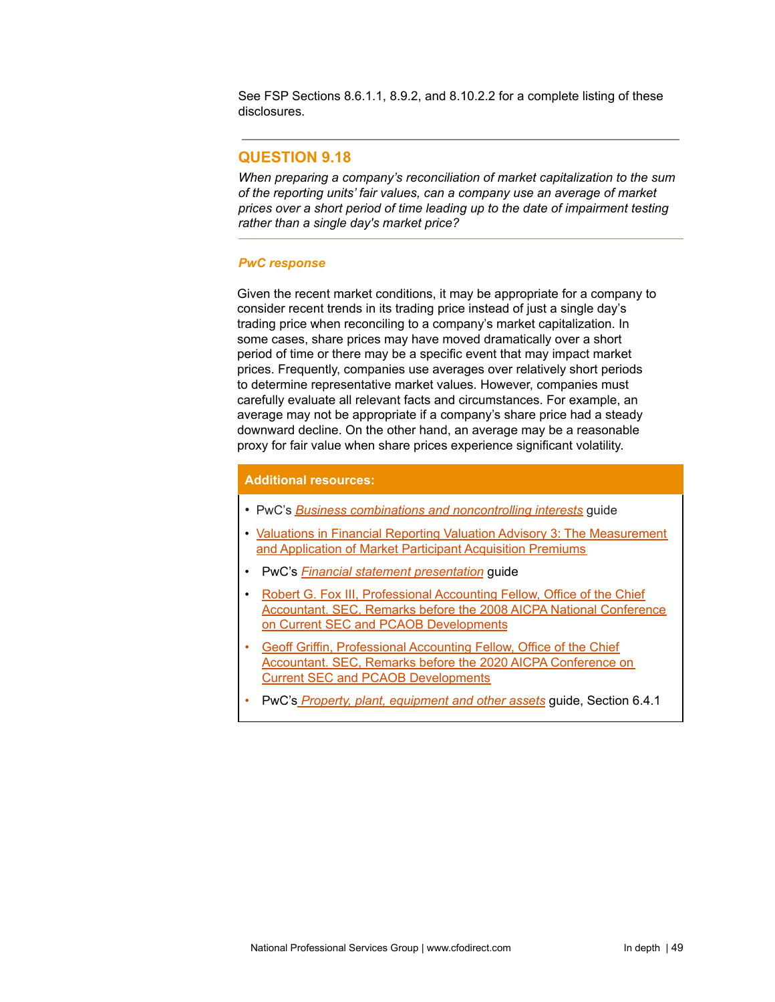See FSP Sections 8.6.1.1, 8.9.2, and 8.10.2.2 for a complete listing of these disclosures.

# **QUESTION 9.18**

*When preparing a company's reconciliation of market capitalization to the sum of the reporting units' fair values, can a company use an average of market prices over a short period of time leading up to the date of impairment testing rather than a single day's market price?*

### *PwC response*

Given the recent market conditions, it may be appropriate for a company to consider recent trends in its trading price instead of just a single day's trading price when reconciling to a company's market capitalization. In some cases, share prices may have moved dramatically over a short period of time or there may be a specific event that may impact market prices. Frequently, companies use averages over relatively short periods to determine representative market values. However, companies must carefully evaluate all relevant facts and circumstances. For example, an average may not be appropriate if a company's share price had a steady downward decline. On the other hand, an average may be a reasonable proxy for fair value when share prices experience significant volatility.

### **Additional resources:**

- PwC's *Business combinations and [noncontrolling](https://www.pwc.com/us/en/cfodirect/publications/accounting-guides/global-guide-to-accounting-for-business-combinations-and-noncontrolling-interests.html) interests* guide
- Valuations in Financial Reporting Valuation Advisory 3: The [Measurement](https://appraisalfoundation.sharefile.com/share/view/sa5378ae8f7541ba9) and [Application](https://appraisalfoundation.sharefile.com/share/view/sa5378ae8f7541ba9) of Market Participant Acquisition Premiums
- PwC's *Financial statement [presentation](https://www.pwc.com/us/en/cfodirect/publications/accounting-guides/financial-statement-presentation-accounting-guide.html)* guide
- Robert G. Fox III, [Professional](https://www.sec.gov/news/speech/2008/spch120808rgf.htm) Accounting Fellow, Office of the Chief [Accountant.](https://www.sec.gov/news/speech/2008/spch120808rgf.htm) SEC, Remarks before the 2008 AICPA National Conference on Current SEC and PCAOB [Developments](https://www.sec.gov/news/speech/2008/spch120808rgf.htm)
- Geoff Griffin, [Professional](https://www.sec.gov/news/speech/griffin-remarks-aicpa-2020) Accounting Fellow, Office of the Chief [Accountant.](https://www.sec.gov/news/speech/griffin-remarks-aicpa-2020) SEC, Remarks before the 2020 AICPA Conference on Current SEC and PCAOB [Developments](https://www.sec.gov/news/speech/griffin-remarks-aicpa-2020)
- PwC's *Property, plant, [equipment](https://www.pwc.com/us/en/cfodirect/publications/accounting-guides/property-plant-equipment-accounting-guide.html) and other assets* guide, Section 6.4.1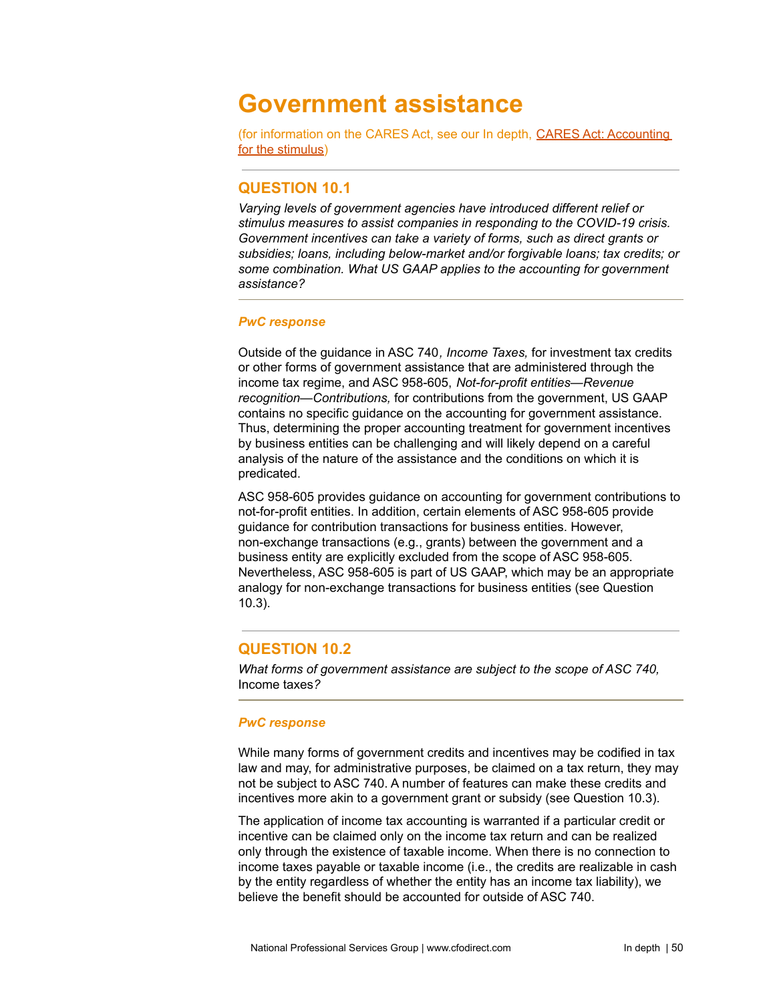# **Government assistance**

(for information on the CARES Act, see our In depth, CARES Act: [Accounting](https://www.pwc.com/us/en/cfodirect/publications/in-depth/cares-act-accounting-stimulus.html) for the [stimulus](https://www.pwc.com/us/en/cfodirect/publications/in-depth/cares-act-accounting-stimulus.html))

# **QUESTION 10.1**

*Varying levels of government agencies have introduced different relief or stimulus measures to assist companies in responding to the COVID-19 crisis. Government incentives can take a variety of forms, such as direct grants or subsidies; loans, including below-market and/or forgivable loans; tax credits; or some combination. What US GAAP applies to the accounting for government assistance?*

### *PwC response*

Outside of the guidance in ASC 740*, Income Taxes,* for investment tax credits or other forms of government assistance that are administered through the income tax regime, and ASC 958-605, *Not-for-profit entities—Revenue recognition—Contributions,* for contributions from the government, US GAAP contains no specific guidance on the accounting for government assistance. Thus, determining the proper accounting treatment for government incentives by business entities can be challenging and will likely depend on a careful analysis of the nature of the assistance and the conditions on which it is predicated.

ASC 958-605 provides guidance on accounting for government contributions to not-for-profit entities. In addition, certain elements of ASC 958-605 provide guidance for contribution transactions for business entities. However, non-exchange transactions (e.g., grants) between the government and a business entity are explicitly excluded from the scope of ASC 958-605. Nevertheless, ASC 958-605 is part of US GAAP, which may be an appropriate analogy for non-exchange transactions for business entities (see Question 10.3).

# **QUESTION 10.2**

*What forms of government assistance are subject to the scope of ASC 740,* Income taxes*?*

## *PwC response*

While many forms of government credits and incentives may be codified in tax law and may, for administrative purposes, be claimed on a tax return, they may not be subject to ASC 740. A number of features can make these credits and incentives more akin to a government grant or subsidy (see Question 10.3).

The application of income tax accounting is warranted if a particular credit or incentive can be claimed only on the income tax return and can be realized only through the existence of taxable income. When there is no connection to income taxes payable or taxable income (i.e., the credits are realizable in cash by the entity regardless of whether the entity has an income tax liability), we believe the benefit should be accounted for outside of ASC 740.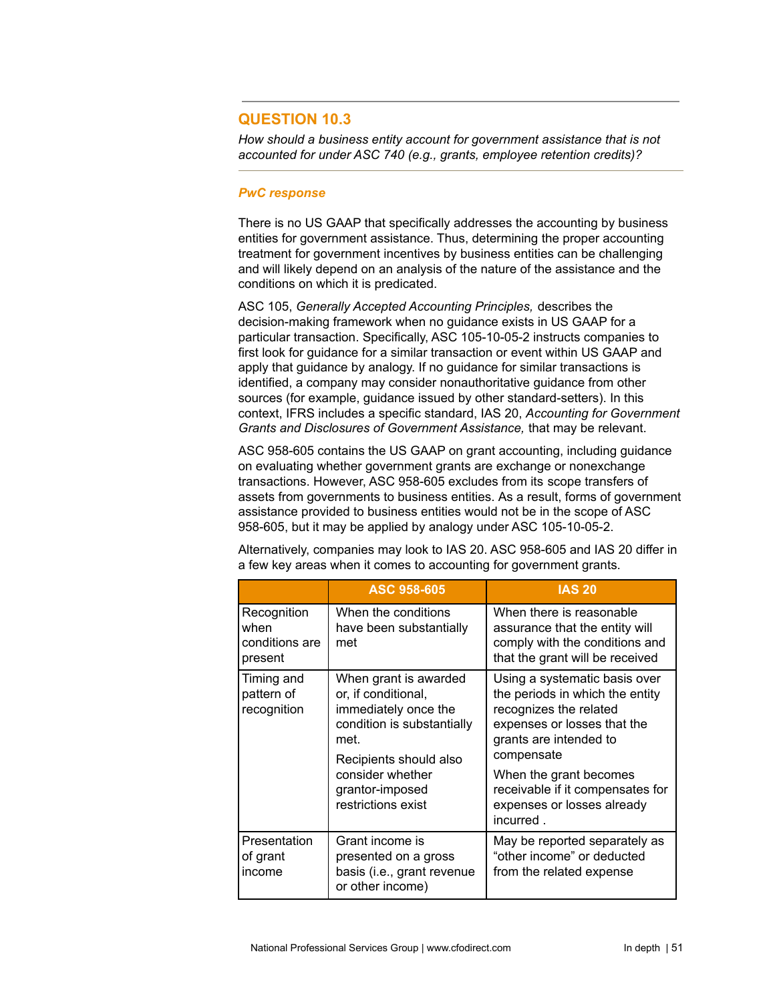# **QUESTION 10.3**

*How should a business entity account for government assistance that is not accounted for under ASC 740 (e.g., grants, employee retention credits)?*

#### *PwC response*

There is no US GAAP that specifically addresses the accounting by business entities for government assistance. Thus, determining the proper accounting treatment for government incentives by business entities can be challenging and will likely depend on an analysis of the nature of the assistance and the conditions on which it is predicated.

ASC 105, *Generally Accepted Accounting Principles,* describes the decision-making framework when no guidance exists in US GAAP for a particular transaction. Specifically, ASC 105-10-05-2 instructs companies to first look for guidance for a similar transaction or event within US GAAP and apply that guidance by analogy. If no guidance for similar transactions is identified, a company may consider nonauthoritative guidance from other sources (for example, guidance issued by other standard-setters). In this context, IFRS includes a specific standard, IAS 20, *Accounting for Government Grants and Disclosures of Government Assistance,* that may be relevant.

ASC 958-605 contains the US GAAP on grant accounting, including guidance on evaluating whether government grants are exchange or nonexchange transactions. However, ASC 958-605 excludes from its scope transfers of assets from governments to business entities. As a result, forms of government assistance provided to business entities would not be in the scope of ASC 958-605, but it may be applied by analogy under ASC 105-10-05-2.

|                                                  | ASC 958-605                                                                                                                                                                                       | <b>IAS 20</b>                                                                                                                                                                                                                                                              |
|--------------------------------------------------|---------------------------------------------------------------------------------------------------------------------------------------------------------------------------------------------------|----------------------------------------------------------------------------------------------------------------------------------------------------------------------------------------------------------------------------------------------------------------------------|
| Recognition<br>when<br>conditions are<br>present | When the conditions<br>have been substantially<br>met                                                                                                                                             | When there is reasonable<br>assurance that the entity will<br>comply with the conditions and<br>that the grant will be received                                                                                                                                            |
| Timing and<br>pattern of<br>recognition          | When grant is awarded<br>or, if conditional,<br>immediately once the<br>condition is substantially<br>met.<br>Recipients should also<br>consider whether<br>grantor-imposed<br>restrictions exist | Using a systematic basis over<br>the periods in which the entity<br>recognizes the related<br>expenses or losses that the<br>grants are intended to<br>compensate<br>When the grant becomes<br>receivable if it compensates for<br>expenses or losses already<br>incurred. |
| Presentation<br>of grant<br>income               | Grant income is<br>presented on a gross<br>basis (i.e., grant revenue<br>or other income)                                                                                                         | May be reported separately as<br>"other income" or deducted<br>from the related expense                                                                                                                                                                                    |

Alternatively, companies may look to IAS 20. ASC 958-605 and IAS 20 differ in a few key areas when it comes to accounting for government grants.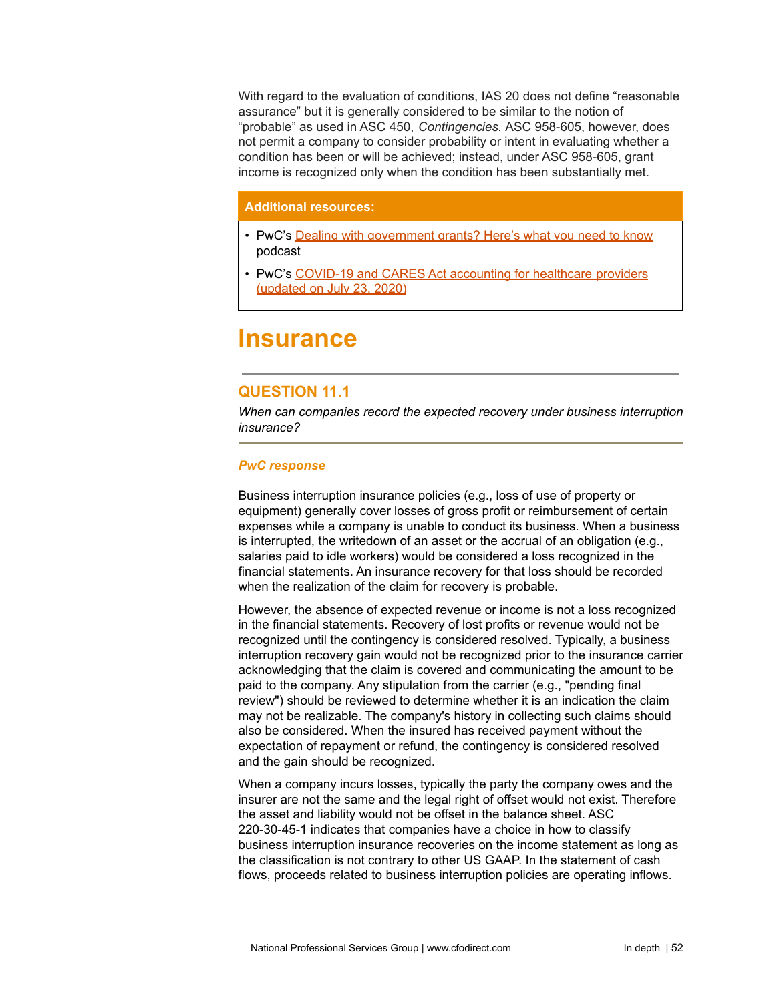With regard to the evaluation of conditions, IAS 20 does not define "reasonable assurance" but it is generally considered to be similar to the notion of "probable" as used in ASC 450, *Contingencies.* ASC 958-605, however, does not permit a company to consider probability or intent in evaluating whether a condition has been or will be achieved; instead, under ASC 958-605, grant income is recognized only when the condition has been substantially met.

## **Additional resources:**

- PwC's Dealing with [government](https://www.pwc.com/us/en/cfodirect/accounting-podcast/government-grants-accounting-considerations.html) grants? Here's what you need to know podcast
- PwC's COVID-19 and CARES Act [accounting](https://www.pwc.com/us/en/industries/health-industries/library/healthcare-providers-covid-19-cares-act.html) for healthcare providers [\(updated](https://www.pwc.com/us/en/industries/health-industries/library/healthcare-providers-covid-19-cares-act.html) on July 23, 2020)

# **Insurance**

# **QUESTION 11.1**

*When can companies record the expected recovery under business interruption insurance?*

## *PwC response*

Business interruption insurance policies (e.g., loss of use of property or equipment) generally cover losses of gross profit or reimbursement of certain expenses while a company is unable to conduct its business. When a business is interrupted, the writedown of an asset or the accrual of an obligation (e.g., salaries paid to idle workers) would be considered a loss recognized in the financial statements. An insurance recovery for that loss should be recorded when the realization of the claim for recovery is probable.

However, the absence of expected revenue or income is not a loss recognized in the financial statements. Recovery of lost profits or revenue would not be recognized until the contingency is considered resolved. Typically, a business interruption recovery gain would not be recognized prior to the insurance carrier acknowledging that the claim is covered and communicating the amount to be paid to the company. Any stipulation from the carrier (e.g., "pending final review") should be reviewed to determine whether it is an indication the claim may not be realizable. The company's history in collecting such claims should also be considered. When the insured has received payment without the expectation of repayment or refund, the contingency is considered resolved and the gain should be recognized.

When a company incurs losses, typically the party the company owes and the insurer are not the same and the legal right of offset would not exist. Therefore the asset and liability would not be offset in the balance sheet. ASC 220-30-45-1 indicates that companies have a choice in how to classify business interruption insurance recoveries on the income statement as long as the classification is not contrary to other US GAAP. In the statement of cash flows, proceeds related to business interruption policies are operating inflows.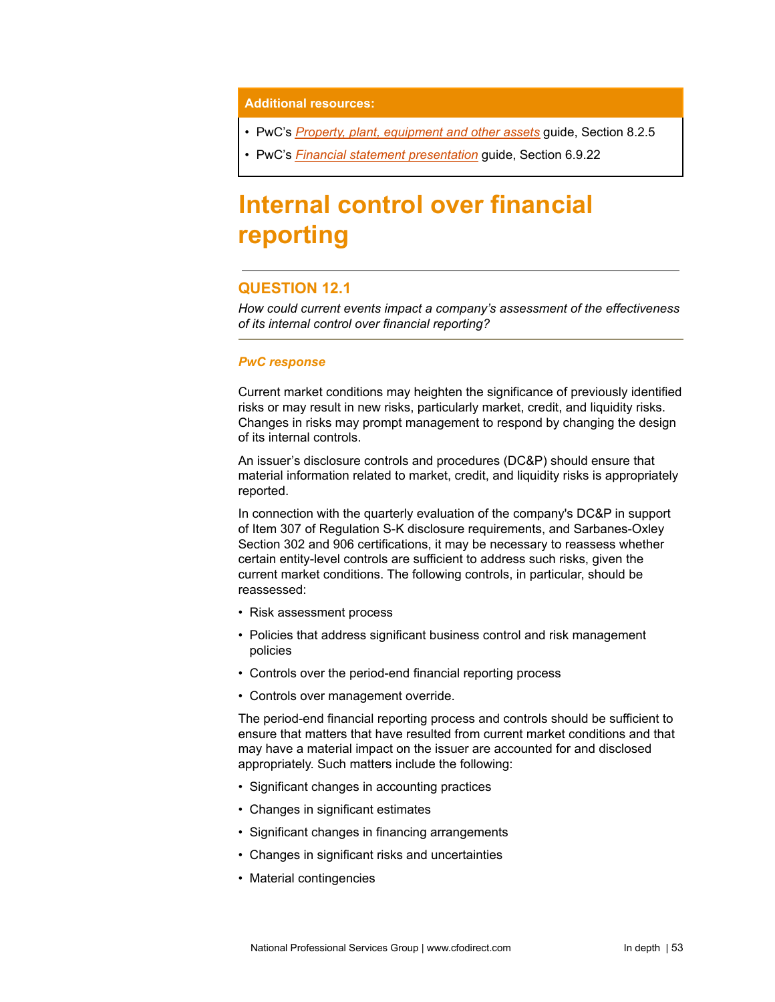#### **Additional resources:**

- PwC's *Property, plant, [equipment](https://www.pwc.com/us/en/cfodirect/publications/accounting-guides/property-plant-equipment-accounting-guide.html) and other assets* guide, Section 8.2.5
- PwC's *Financial statement [presentation](https://www.pwc.com/us/en/cfodirect/publications/accounting-guides/financial-statement-presentation-accounting-guide.html)* guide, Section 6.9.22

# **Internal control over financial reporting**

# **QUESTION 12.1**

*How could current events impact a company's assessment of the effectiveness of its internal control over financial reporting?*

#### *PwC response*

Current market conditions may heighten the significance of previously identified risks or may result in new risks, particularly market, credit, and liquidity risks. Changes in risks may prompt management to respond by changing the design of its internal controls.

An issuer's disclosure controls and procedures (DC&P) should ensure that material information related to market, credit, and liquidity risks is appropriately reported.

In connection with the quarterly evaluation of the company's DC&P in support of Item 307 of Regulation S-K disclosure requirements, and Sarbanes-Oxley Section 302 and 906 certifications, it may be necessary to reassess whether certain entity-level controls are sufficient to address such risks, given the current market conditions. The following controls, in particular, should be reassessed:

- Risk assessment process
- Policies that address significant business control and risk management policies
- Controls over the period-end financial reporting process
- Controls over management override.

The period-end financial reporting process and controls should be sufficient to ensure that matters that have resulted from current market conditions and that may have a material impact on the issuer are accounted for and disclosed appropriately. Such matters include the following:

- Significant changes in accounting practices
- Changes in significant estimates
- Significant changes in financing arrangements
- Changes in significant risks and uncertainties
- Material contingencies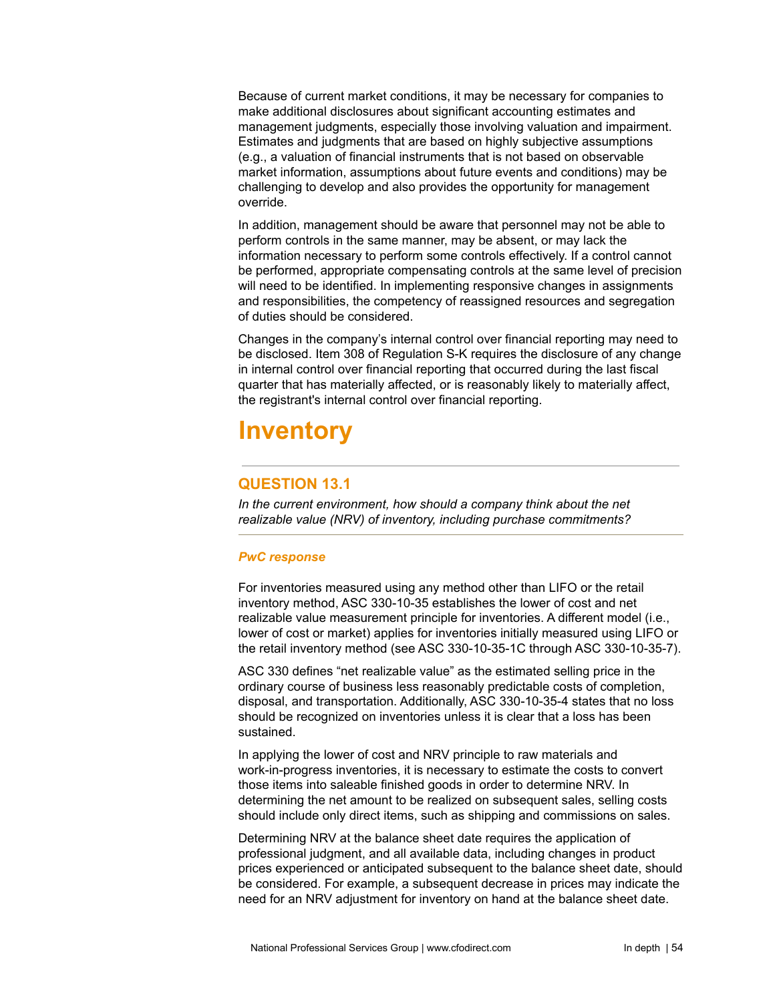Because of current market conditions, it may be necessary for companies to make additional disclosures about significant accounting estimates and management judgments, especially those involving valuation and impairment. Estimates and judgments that are based on highly subjective assumptions (e.g., a valuation of financial instruments that is not based on observable market information, assumptions about future events and conditions) may be challenging to develop and also provides the opportunity for management override.

In addition, management should be aware that personnel may not be able to perform controls in the same manner, may be absent, or may lack the information necessary to perform some controls effectively. If a control cannot be performed, appropriate compensating controls at the same level of precision will need to be identified. In implementing responsive changes in assignments and responsibilities, the competency of reassigned resources and segregation of duties should be considered.

Changes in the company's internal control over financial reporting may need to be disclosed. Item 308 of Regulation S-K requires the disclosure of any change in internal control over financial reporting that occurred during the last fiscal quarter that has materially affected, or is reasonably likely to materially affect, the registrant's internal control over financial reporting.

# **Inventory**

# **QUESTION 13.1**

*In the current environment, how should a company think about the net realizable value (NRV) of inventory, including purchase commitments?*

## *PwC response*

For inventories measured using any method other than LIFO or the retail inventory method, ASC 330-10-35 establishes the lower of cost and net realizable value measurement principle for inventories. A different model (i.e., lower of cost or market) applies for inventories initially measured using LIFO or the retail inventory method (see ASC 330-10-35-1C through ASC 330-10-35-7).

ASC 330 defines "net realizable value" as the estimated selling price in the ordinary course of business less reasonably predictable costs of completion, disposal, and transportation. Additionally, ASC 330-10-35-4 states that no loss should be recognized on inventories unless it is clear that a loss has been sustained.

In applying the lower of cost and NRV principle to raw materials and work-in-progress inventories, it is necessary to estimate the costs to convert those items into saleable finished goods in order to determine NRV. In determining the net amount to be realized on subsequent sales, selling costs should include only direct items, such as shipping and commissions on sales.

Determining NRV at the balance sheet date requires the application of professional judgment, and all available data, including changes in product prices experienced or anticipated subsequent to the balance sheet date, should be considered. For example, a subsequent decrease in prices may indicate the need for an NRV adjustment for inventory on hand at the balance sheet date.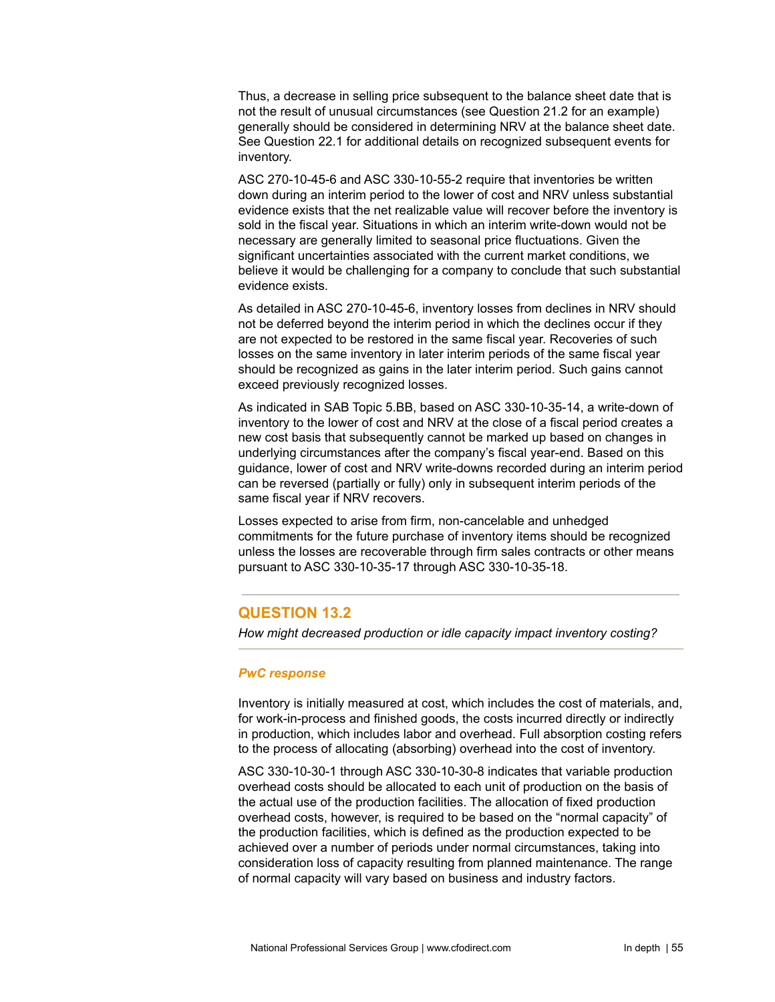Thus, a decrease in selling price subsequent to the balance sheet date that is not the result of unusual circumstances (see Question 21.2 for an example) generally should be considered in determining NRV at the balance sheet date. See Question 22.1 for additional details on recognized subsequent events for inventory.

ASC 270-10-45-6 and ASC 330-10-55-2 require that inventories be written down during an interim period to the lower of cost and NRV unless substantial evidence exists that the net realizable value will recover before the inventory is sold in the fiscal year. Situations in which an interim write-down would not be necessary are generally limited to seasonal price fluctuations. Given the significant uncertainties associated with the current market conditions, we believe it would be challenging for a company to conclude that such substantial evidence exists.

As detailed in ASC 270-10-45-6, inventory losses from declines in NRV should not be deferred beyond the interim period in which the declines occur if they are not expected to be restored in the same fiscal year. Recoveries of such losses on the same inventory in later interim periods of the same fiscal year should be recognized as gains in the later interim period. Such gains cannot exceed previously recognized losses.

As indicated in SAB Topic 5.BB, based on ASC 330-10-35-14, a write-down of inventory to the lower of cost and NRV at the close of a fiscal period creates a new cost basis that subsequently cannot be marked up based on changes in underlying circumstances after the company's fiscal year-end. Based on this guidance, lower of cost and NRV write-downs recorded during an interim period can be reversed (partially or fully) only in subsequent interim periods of the same fiscal year if NRV recovers.

Losses expected to arise from firm, non-cancelable and unhedged commitments for the future purchase of inventory items should be recognized unless the losses are recoverable through firm sales contracts or other means pursuant to ASC 330-10-35-17 through ASC 330-10-35-18.

# **QUESTION 13.2**

*How might decreased production or idle capacity impact inventory costing?*

### *PwC response*

Inventory is initially measured at cost, which includes the cost of materials, and, for work-in-process and finished goods, the costs incurred directly or indirectly in production, which includes labor and overhead. Full absorption costing refers to the process of allocating (absorbing) overhead into the cost of inventory.

ASC 330-10-30-1 through ASC 330-10-30-8 indicates that variable production overhead costs should be allocated to each unit of production on the basis of the actual use of the production facilities. The allocation of fixed production overhead costs, however, is required to be based on the "normal capacity" of the production facilities, which is defined as the production expected to be achieved over a number of periods under normal circumstances, taking into consideration loss of capacity resulting from planned maintenance. The range of normal capacity will vary based on business and industry factors.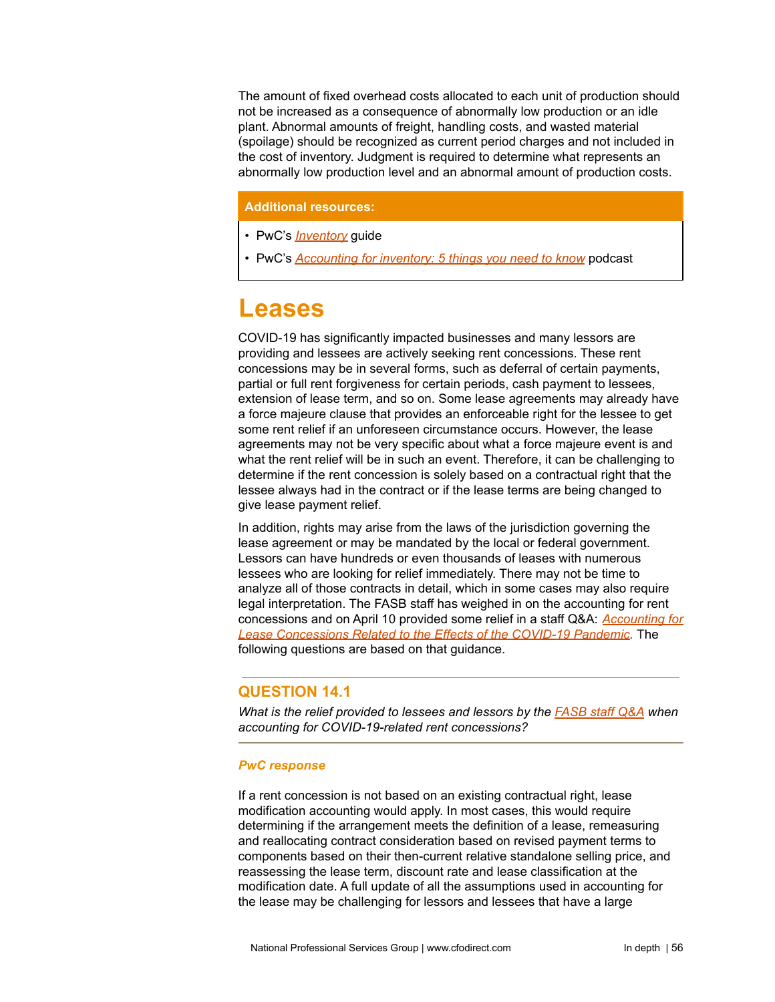The amount of fixed overhead costs allocated to each unit of production should not be increased as a consequence of abnormally low production or an idle plant. Abnormal amounts of freight, handling costs, and wasted material (spoilage) should be recognized as current period charges and not included in the cost of inventory. Judgment is required to determine what represents an abnormally low production level and an abnormal amount of production costs.

## **Additional resources:**

- PwC's *[Inventory](https://www.pwc.com/us/en/cfodirect/publications/accounting-guides/accounting-inventory-guide.html)* guide
- PwC's *[Accounting](https://www.pwc.com/us/en/cfodirect/multimedia/podcasts/inventory-accounting-basics.html) for inventory: 5 things you need to know* podcast

# **Leases**

COVID-19 has significantly impacted businesses and many lessors are providing and lessees are actively seeking rent concessions. These rent concessions may be in several forms, such as deferral of certain payments, partial or full rent forgiveness for certain periods, cash payment to lessees, extension of lease term, and so on. Some lease agreements may already have a force majeure clause that provides an enforceable right for the lessee to get some rent relief if an unforeseen circumstance occurs. However, the lease agreements may not be very specific about what a force majeure event is and what the rent relief will be in such an event. Therefore, it can be challenging to determine if the rent concession is solely based on a contractual right that the lessee always had in the contract or if the lease terms are being changed to give lease payment relief.

In addition, rights may arise from the laws of the jurisdiction governing the lease agreement or may be mandated by the local or federal government. Lessors can have hundreds or even thousands of leases with numerous lessees who are looking for relief immediately. There may not be time to analyze all of those contracts in detail, which in some cases may also require legal interpretation. The FASB staff has weighed in on the accounting for rent concessions and on April 10 provided some relief in a staff Q&A: *[Accounting](https://www.fasb.org/cs/Satellite?c=FASBContent_C&cid=1176174459740&pagename=FASB%2FFASBContent_C%2FGeneralContentDisplay) for Lease [Concessions](https://www.fasb.org/cs/Satellite?c=FASBContent_C&cid=1176174459740&pagename=FASB%2FFASBContent_C%2FGeneralContentDisplay) Related to the Effects of the COVID-19 Pandemic.* The following questions are based on that guidance.

# **QUESTION 14.1**

*What is the relief provided to lessees and lessors by the [FASB](https://www.fasb.org/cs/Satellite?c=FASBContent_C&cid=1176174459740&pagename=FASB%2FFASBContent_C%2FGeneralContentDisplay) staff Q&A when accounting for COVID-19-related rent concessions?*

## *PwC response*

If a rent concession is not based on an existing contractual right, lease modification accounting would apply. In most cases, this would require determining if the arrangement meets the definition of a lease, remeasuring and reallocating contract consideration based on revised payment terms to components based on their then-current relative standalone selling price, and reassessing the lease term, discount rate and lease classification at the modification date. A full update of all the assumptions used in accounting for the lease may be challenging for lessors and lessees that have a large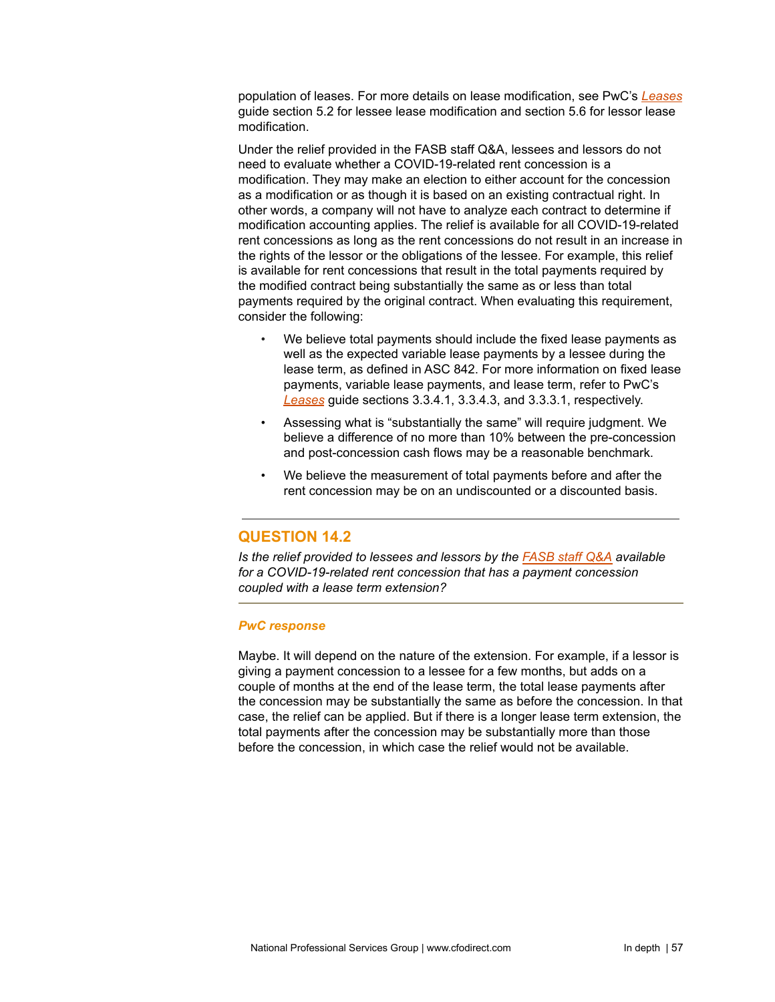population of leases. For more details on lease modification, see PwC's *[Leases](https://www.pwc.com/us/en/cfodirect/publications/accounting-guides/pwc-lease-accounting-guide-asc-842.html)* guide section 5.2 for lessee lease modification and section 5.6 for lessor lease modification.

Under the relief provided in the FASB staff Q&A, lessees and lessors do not need to evaluate whether a COVID-19-related rent concession is a modification. They may make an election to either account for the concession as a modification or as though it is based on an existing contractual right. In other words, a company will not have to analyze each contract to determine if modification accounting applies. The relief is available for all COVID-19-related rent concessions as long as the rent concessions do not result in an increase in the rights of the lessor or the obligations of the lessee. For example, this relief is available for rent concessions that result in the total payments required by the modified contract being substantially the same as or less than total payments required by the original contract. When evaluating this requirement, consider the following:

- We believe total payments should include the fixed lease payments as well as the expected variable lease payments by a lessee during the lease term, as defined in ASC 842. For more information on fixed lease payments, variable lease payments, and lease term, refer to PwC's *[Leases](https://www.pwc.com/us/en/cfodirect/publications/accounting-guides/pwc-lease-accounting-guide-asc-842.html)* guide sections 3.3.4.1, 3.3.4.3, and 3.3.3.1, respectively.
- Assessing what is "substantially the same" will require judgment. We believe a difference of no more than 10% between the pre-concession and post-concession cash flows may be a reasonable benchmark.
- We believe the measurement of total payments before and after the rent concession may be on an undiscounted or a discounted basis.

# **QUESTION 14.2**

*Is the relief provided to lessees and lessors by the [FASB](https://www.fasb.org/cs/Satellite?c=FASBContent_C&cid=1176174459740&pagename=FASB%2FFASBContent_C%2FGeneralContentDisplay) staff Q&A available for a COVID-19-related rent concession that has a payment concession coupled with a lease term extension?*

### *PwC response*

Maybe. It will depend on the nature of the extension. For example, if a lessor is giving a payment concession to a lessee for a few months, but adds on a couple of months at the end of the lease term, the total lease payments after the concession may be substantially the same as before the concession. In that case, the relief can be applied. But if there is a longer lease term extension, the total payments after the concession may be substantially more than those before the concession, in which case the relief would not be available.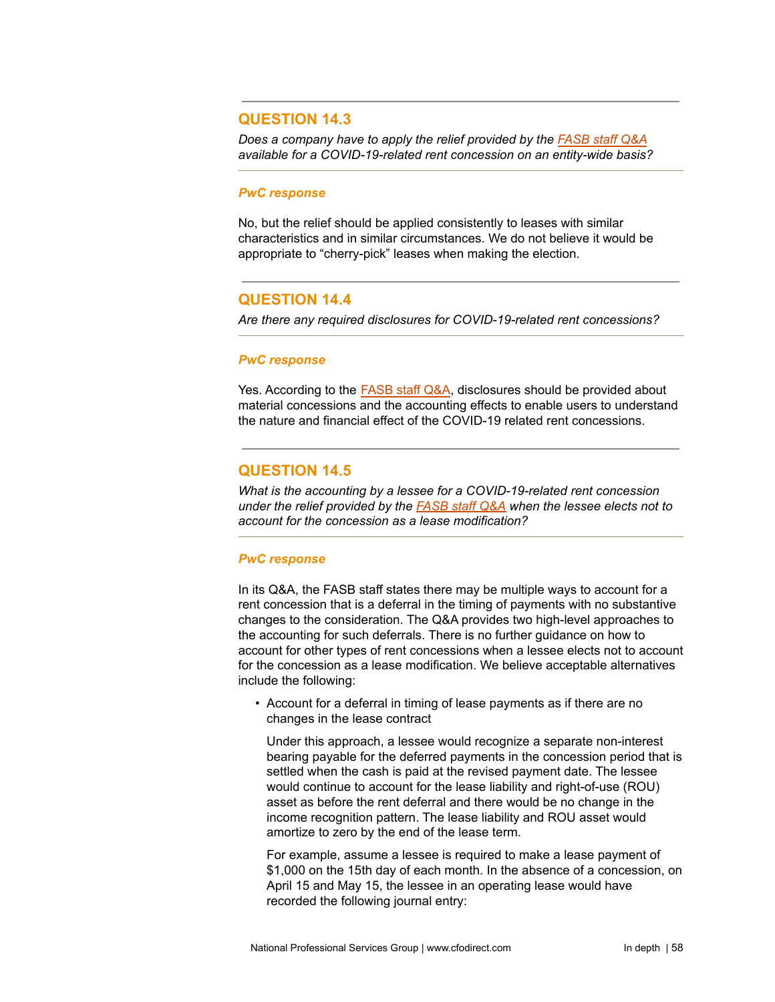# **QUESTION 14.3**

*Does a company have to apply the relief provided by the [FASB](https://www.fasb.org/cs/Satellite?c=FASBContent_C&cid=1176174459740&pagename=FASB%2FFASBContent_C%2FGeneralContentDisplay) staff Q&A available for a COVID-19-related rent concession on an entity-wide basis?*

#### *PwC response*

No, but the relief should be applied consistently to leases with similar characteristics and in similar circumstances. We do not believe it would be appropriate to "cherry-pick" leases when making the election.

## **QUESTION 14.4**

*Are there any required disclosures for COVID-19-related rent concessions?*

#### *PwC response*

Yes. According to the [FASB](https://www.fasb.org/cs/Satellite?c=FASBContent_C&cid=1176174459740&pagename=FASB%2FFASBContent_C%2FGeneralContentDisplay) staff Q&A, disclosures should be provided about material concessions and the accounting effects to enable users to understand the nature and financial effect of the COVID-19 related rent concessions.

## **QUESTION 14.5**

*What is the accounting by a lessee for a COVID-19-related rent concession under the relief provided by the [FASB](https://www.fasb.org/cs/Satellite?c=FASBContent_C&cid=1176174459740&pagename=FASB%2FFASBContent_C%2FGeneralContentDisplay) staff Q&A when the lessee elects not to account for the concession as a lease modification?*

## *PwC response*

In its Q&A, the FASB staff states there may be multiple ways to account for a rent concession that is a deferral in the timing of payments with no substantive changes to the consideration. The Q&A provides two high-level approaches to the accounting for such deferrals. There is no further guidance on how to account for other types of rent concessions when a lessee elects not to account for the concession as a lease modification. We believe acceptable alternatives include the following:

• Account for a deferral in timing of lease payments as if there are no changes in the lease contract

Under this approach, a lessee would recognize a separate non-interest bearing payable for the deferred payments in the concession period that is settled when the cash is paid at the revised payment date. The lessee would continue to account for the lease liability and right-of-use (ROU) asset as before the rent deferral and there would be no change in the income recognition pattern. The lease liability and ROU asset would amortize to zero by the end of the lease term.

For example, assume a lessee is required to make a lease payment of \$1,000 on the 15th day of each month. In the absence of a concession, on April 15 and May 15, the lessee in an operating lease would have recorded the following journal entry: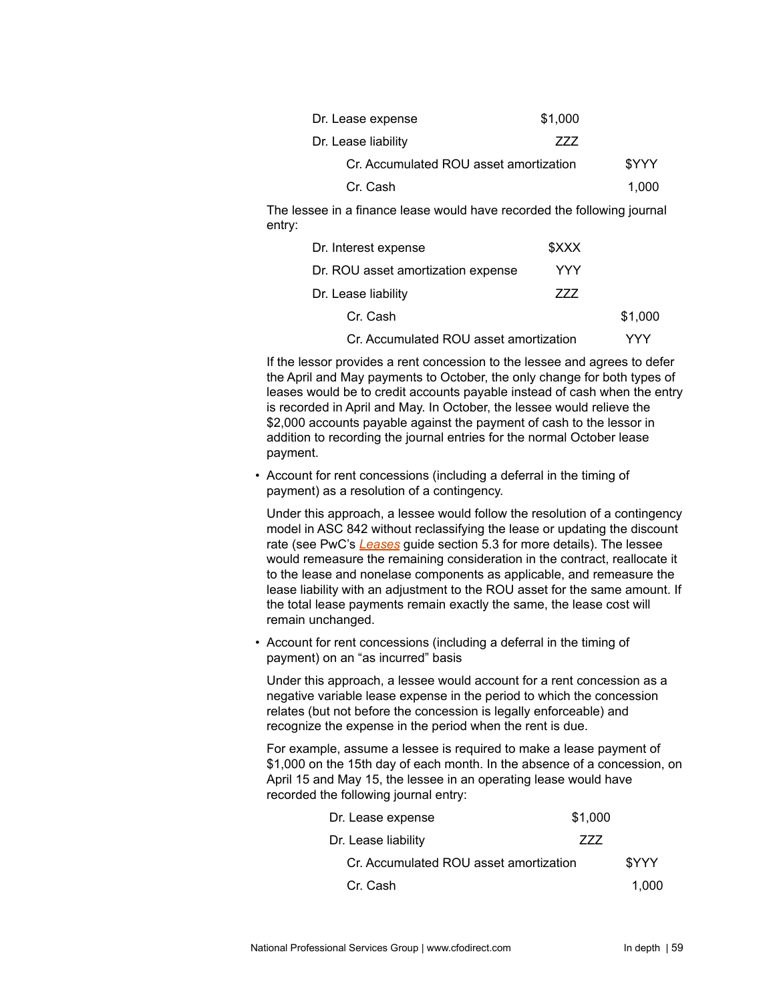| Dr. Lease expense                      | \$1,000 |       |
|----------------------------------------|---------|-------|
| Dr. Lease liability                    | 777     |       |
| Cr. Accumulated ROU asset amortization |         | \$YYY |
| Cr. Cash                               |         | 1.000 |
|                                        |         |       |

The lessee in a finance lease would have recorded the following journal entry:

| Dr. Interest expense                   | \$XXX |         |
|----------------------------------------|-------|---------|
| Dr. ROU asset amortization expense     | YYY   |         |
| Dr. Lease liability                    | 777   |         |
| Cr. Cash                               |       | \$1,000 |
| Cr. Accumulated ROU asset amortization |       | VYY     |

If the lessor provides a rent concession to the lessee and agrees to defer the April and May payments to October, the only change for both types of leases would be to credit accounts payable instead of cash when the entry is recorded in April and May. In October, the lessee would relieve the \$2,000 accounts payable against the payment of cash to the lessor in addition to recording the journal entries for the normal October lease payment.

• Account for rent concessions (including a deferral in the timing of payment) as a resolution of a contingency.

Under this approach, a lessee would follow the resolution of a contingency model in ASC 842 without reclassifying the lease or updating the discount rate (see PwC's *[Leases](https://www.pwc.com/us/en/cfodirect/publications/accounting-guides/pwc-lease-accounting-guide-asc-842.html)* guide section 5.3 for more details). The lessee would remeasure the remaining consideration in the contract, reallocate it to the lease and nonelase components as applicable, and remeasure the lease liability with an adjustment to the ROU asset for the same amount. If the total lease payments remain exactly the same, the lease cost will remain unchanged.

• Account for rent concessions (including a deferral in the timing of payment) on an "as incurred" basis

Under this approach, a lessee would account for a rent concession as a negative variable lease expense in the period to which the concession relates (but not before the concession is legally enforceable) and recognize the expense in the period when the rent is due.

For example, assume a lessee is required to make a lease payment of \$1,000 on the 15th day of each month. In the absence of a concession, on April 15 and May 15, the lessee in an operating lease would have recorded the following journal entry:

| Dr. Lease expense                      | \$1,000 |       |
|----------------------------------------|---------|-------|
| Dr. Lease liability                    | 777     |       |
| Cr. Accumulated ROU asset amortization |         | \$YYY |
| Cr. Cash                               |         | 1.000 |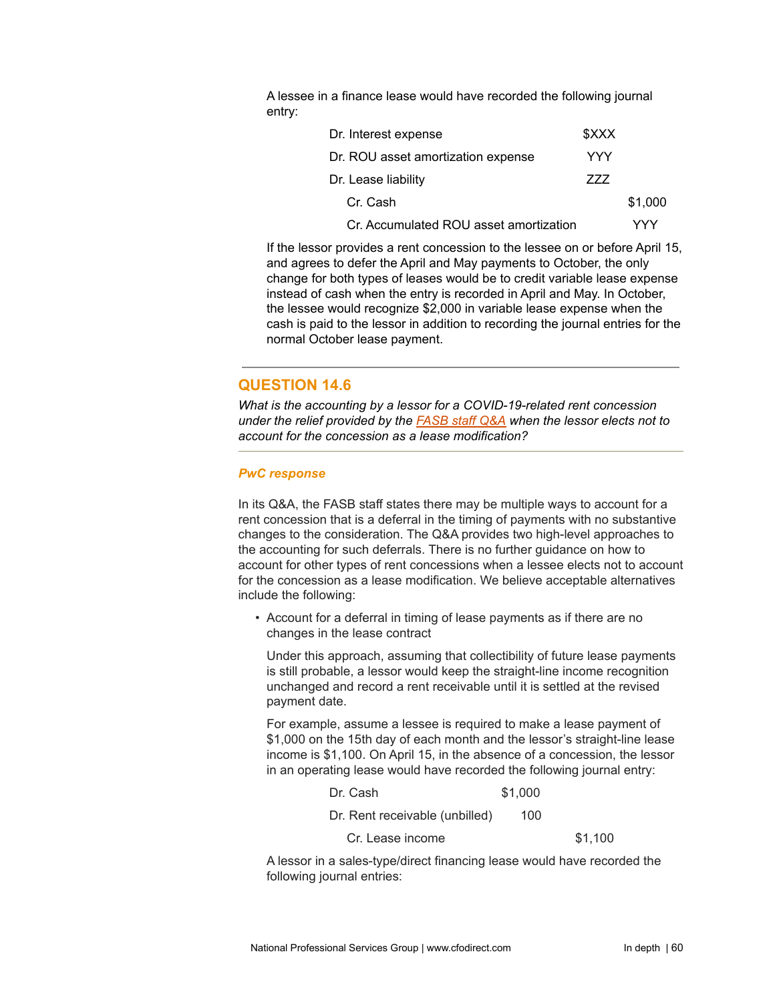A lessee in a finance lease would have recorded the following journal entry:

| Dr. Interest expense                   | <b>SXXX</b> |         |
|----------------------------------------|-------------|---------|
| Dr. ROU asset amortization expense     | YYY         |         |
| Dr. Lease liability                    | 777         |         |
| Cr. Cash                               |             | \$1,000 |
| Cr. Accumulated ROU asset amortization |             | YYY     |

If the lessor provides a rent concession to the lessee on or before April 15, and agrees to defer the April and May payments to October, the only change for both types of leases would be to credit variable lease expense instead of cash when the entry is recorded in April and May. In October, the lessee would recognize \$2,000 in variable lease expense when the cash is paid to the lessor in addition to recording the journal entries for the normal October lease payment.

# **QUESTION 14.6**

*What is the accounting by a lessor for a COVID-19-related rent concession under the relief provided by the [FASB](https://www.fasb.org/cs/Satellite?c=FASBContent_C&cid=1176174459740&pagename=FASB%2FFASBContent_C%2FGeneralContentDisplay) staff Q&A when the lessor elects not to account for the concession as a lease modification?*

## *PwC response*

In its Q&A, the FASB staff states there may be multiple ways to account for a rent concession that is a deferral in the timing of payments with no substantive changes to the consideration. The Q&A provides two high-level approaches to the accounting for such deferrals. There is no further guidance on how to account for other types of rent concessions when a lessee elects not to account for the concession as a lease modification. We believe acceptable alternatives include the following:

• Account for a deferral in timing of lease payments as if there are no changes in the lease contract

Under this approach, assuming that collectibility of future lease payments is still probable, a lessor would keep the straight-line income recognition unchanged and record a rent receivable until it is settled at the revised payment date.

For example, assume a lessee is required to make a lease payment of \$1,000 on the 15th day of each month and the lessor's straight-line lease income is \$1,100. On April 15, in the absence of a concession, the lessor in an operating lease would have recorded the following journal entry:

|  |  | Dr. Cash | \$1,000 |
|--|--|----------|---------|
|--|--|----------|---------|

Dr. Rent receivable (unbilled) 100

Cr. Lease income \$1,100

A lessor in a sales-type/direct financing lease would have recorded the following journal entries: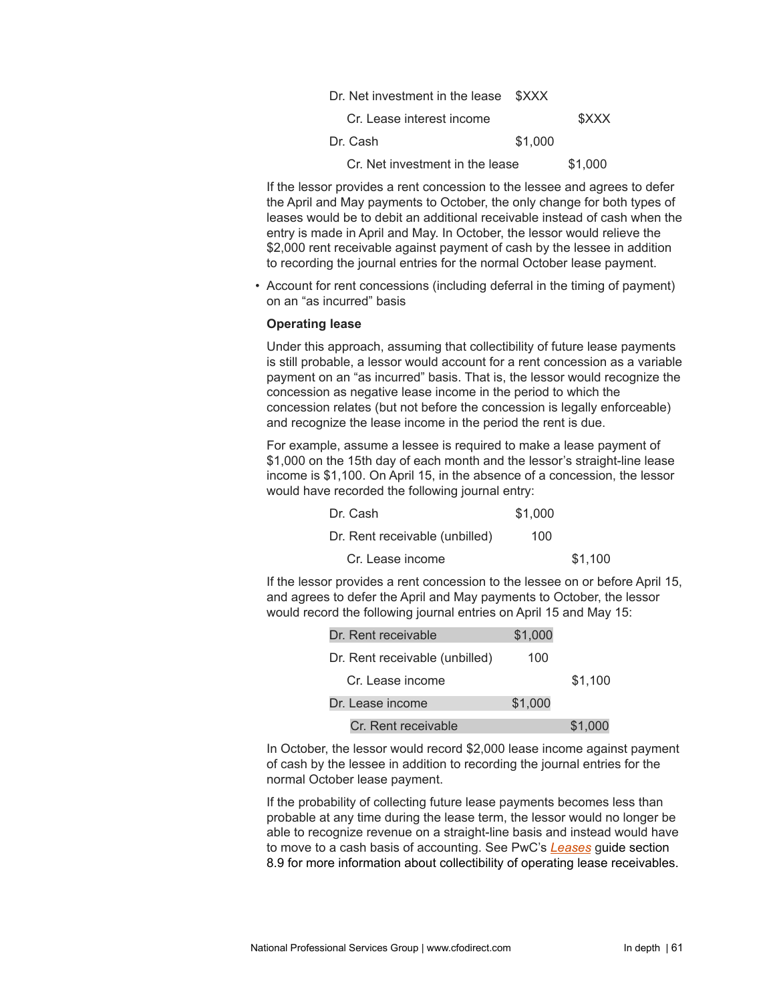| Dr. Net investment in the lease \$XXX |         |         |
|---------------------------------------|---------|---------|
| Cr. Lease interest income             |         | \$XXX   |
| Dr. Cash                              | \$1,000 |         |
| Cr. Net investment in the lease       |         | \$1,000 |

If the lessor provides a rent concession to the lessee and agrees to defer the April and May payments to October, the only change for both types of leases would be to debit an additional receivable instead of cash when the entry is made in April and May. In October, the lessor would relieve the \$2,000 rent receivable against payment of cash by the lessee in addition to recording the journal entries for the normal October lease payment.

• Account for rent concessions (including deferral in the timing of payment) on an "as incurred" basis

#### **Operating lease**

Under this approach, assuming that collectibility of future lease payments is still probable, a lessor would account for a rent concession as a variable payment on an "as incurred" basis. That is, the lessor would recognize the concession as negative lease income in the period to which the concession relates (but not before the concession is legally enforceable) and recognize the lease income in the period the rent is due.

For example, assume a lessee is required to make a lease payment of \$1,000 on the 15th day of each month and the lessor's straight-line lease income is \$1,100. On April 15, in the absence of a concession, the lessor would have recorded the following journal entry:

| Dr. Cash                       | \$1,000 |         |
|--------------------------------|---------|---------|
| Dr. Rent receivable (unbilled) | 100     |         |
| Cr. Lease income               |         | \$1.100 |

If the lessor provides a rent concession to the lessee on or before April 15, and agrees to defer the April and May payments to October, the lessor would record the following journal entries on April 15 and May 15:

| Dr. Rent receivable            | \$1,000 |         |
|--------------------------------|---------|---------|
| Dr. Rent receivable (unbilled) | 100     |         |
| Cr. Lease income               |         | \$1,100 |
| Dr. Lease income               | \$1,000 |         |
| Cr. Rent receivable            |         | \$1,000 |

In October, the lessor would record \$2,000 lease income against payment of cash by the lessee in addition to recording the journal entries for the normal October lease payment.

If the probability of collecting future lease payments becomes less than probable at any time during the lease term, the lessor would no longer be able to recognize revenue on a straight-line basis and instead would have to move to a cash basis of accounting. See PwC's *[Leases](https://www.pwc.com/us/en/cfodirect/publications/accounting-guides/pwc-lease-accounting-guide-asc-842.html)* guide section 8.9 for more information about collectibility of operating lease receivables.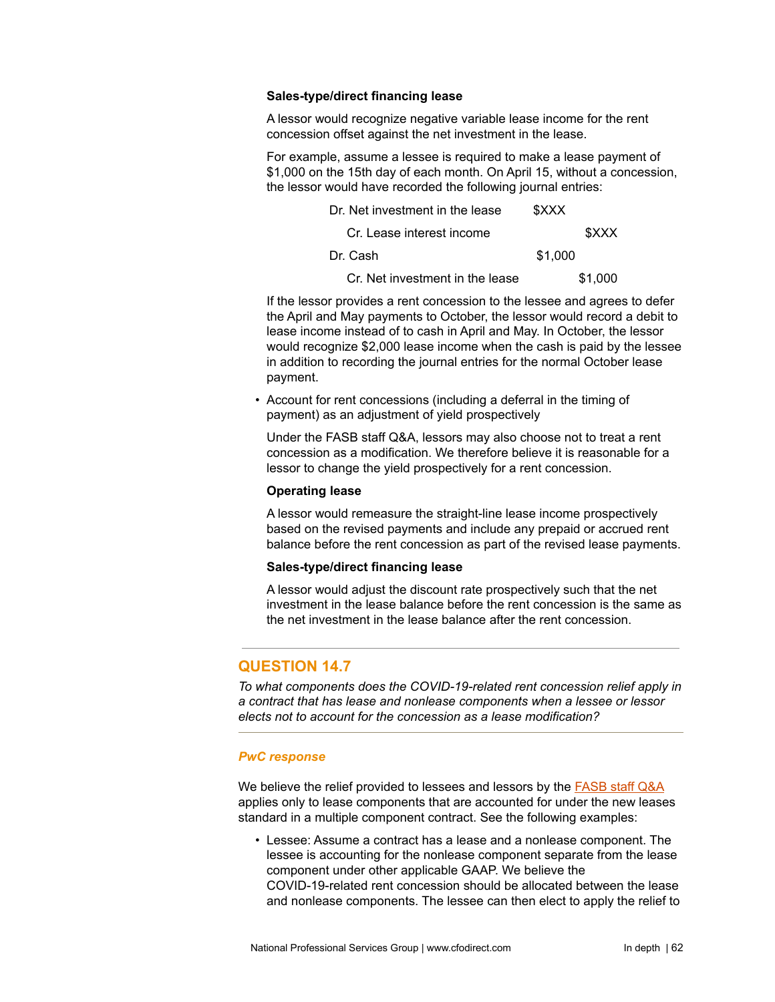#### **Sales-type/direct financing lease**

A lessor would recognize negative variable lease income for the rent concession offset against the net investment in the lease.

For example, assume a lessee is required to make a lease payment of \$1,000 on the 15th day of each month. On April 15, without a concession, the lessor would have recorded the following journal entries:

| Dr. Net investment in the lease | \$XXX   |
|---------------------------------|---------|
| Cr. Lease interest income       | \$XXX   |
| Dr. Cash                        | \$1,000 |
| Cr. Net investment in the lease | \$1,000 |

If the lessor provides a rent concession to the lessee and agrees to defer the April and May payments to October, the lessor would record a debit to lease income instead of to cash in April and May. In October, the lessor would recognize \$2,000 lease income when the cash is paid by the lessee in addition to recording the journal entries for the normal October lease payment.

• Account for rent concessions (including a deferral in the timing of payment) as an adjustment of yield prospectively

Under the FASB staff Q&A, lessors may also choose not to treat a rent concession as a modification. We therefore believe it is reasonable for a lessor to change the yield prospectively for a rent concession.

#### **Operating lease**

A lessor would remeasure the straight-line lease income prospectively based on the revised payments and include any prepaid or accrued rent balance before the rent concession as part of the revised lease payments.

### **Sales-type/direct financing lease**

A lessor would adjust the discount rate prospectively such that the net investment in the lease balance before the rent concession is the same as the net investment in the lease balance after the rent concession.

# **QUESTION 14.7**

*To what components does the COVID-19-related rent concession relief apply in a contract that has lease and nonlease components when a lessee or lessor elects not to account for the concession as a lease modification?*

#### *PwC response*

We believe the relief provided to lessees and lessors by the **[FASB](https://www.fasb.org/cs/Satellite?c=FASBContent_C&cid=1176174459740&pagename=FASB%2FFASBContent_C%2FGeneralContentDisplay)** staff Q&A applies only to lease components that are accounted for under the new leases standard in a multiple component contract. See the following examples:

• Lessee: Assume a contract has a lease and a nonlease component. The lessee is accounting for the nonlease component separate from the lease component under other applicable GAAP. We believe the COVID-19-related rent concession should be allocated between the lease and nonlease components. The lessee can then elect to apply the relief to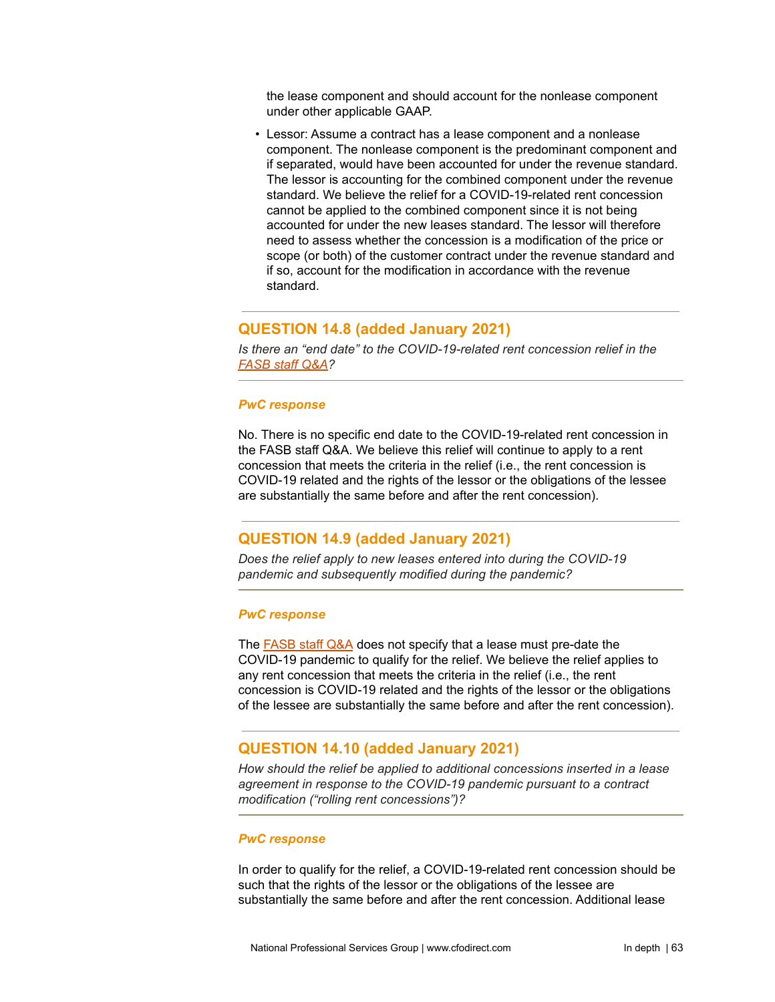the lease component and should account for the nonlease component under other applicable GAAP.

• Lessor: Assume a contract has a lease component and a nonlease component. The nonlease component is the predominant component and if separated, would have been accounted for under the revenue standard. The lessor is accounting for the combined component under the revenue standard. We believe the relief for a COVID-19-related rent concession cannot be applied to the combined component since it is not being accounted for under the new leases standard. The lessor will therefore need to assess whether the concession is a modification of the price or scope (or both) of the customer contract under the revenue standard and if so, account for the modification in accordance with the revenue standard.

# **QUESTION 14.8 (added January 2021)**

*Is there an "end date" to the COVID-19-related rent concession relief in the [FASB](https://www.fasb.org/cs/Satellite?c=FASBContent_C&cid=1176174459740&pagename=FASB%2FFASBContent_C%2FGeneralContentDisplay) staff Q&A?*

#### *PwC response*

No. There is no specific end date to the COVID-19-related rent concession in the FASB staff Q&A. We believe this relief will continue to apply to a rent concession that meets the criteria in the relief (i.e., the rent concession is COVID-19 related and the rights of the lessor or the obligations of the lessee are substantially the same before and after the rent concession).

## **QUESTION 14.9 (added January 2021)**

*Does the relief apply to new leases entered into during the COVID-19 pandemic and subsequently modified during the pandemic?*

#### *PwC response*

The [FASB](https://www.fasb.org/cs/Satellite?c=FASBContent_C&cid=1176174459740&pagename=FASB%2FFASBContent_C%2FGeneralContentDisplay) staff Q&A does not specify that a lease must pre-date the COVID-19 pandemic to qualify for the relief. We believe the relief applies to any rent concession that meets the criteria in the relief (i.e., the rent concession is COVID-19 related and the rights of the lessor or the obligations of the lessee are substantially the same before and after the rent concession).

## **QUESTION 14.10 (added January 2021)**

*How should the relief be applied to additional concessions inserted in a lease agreement in response to the COVID-19 pandemic pursuant to a contract modification ("rolling rent concessions")?*

#### *PwC response*

In order to qualify for the relief, a COVID-19-related rent concession should be such that the rights of the lessor or the obligations of the lessee are substantially the same before and after the rent concession. Additional lease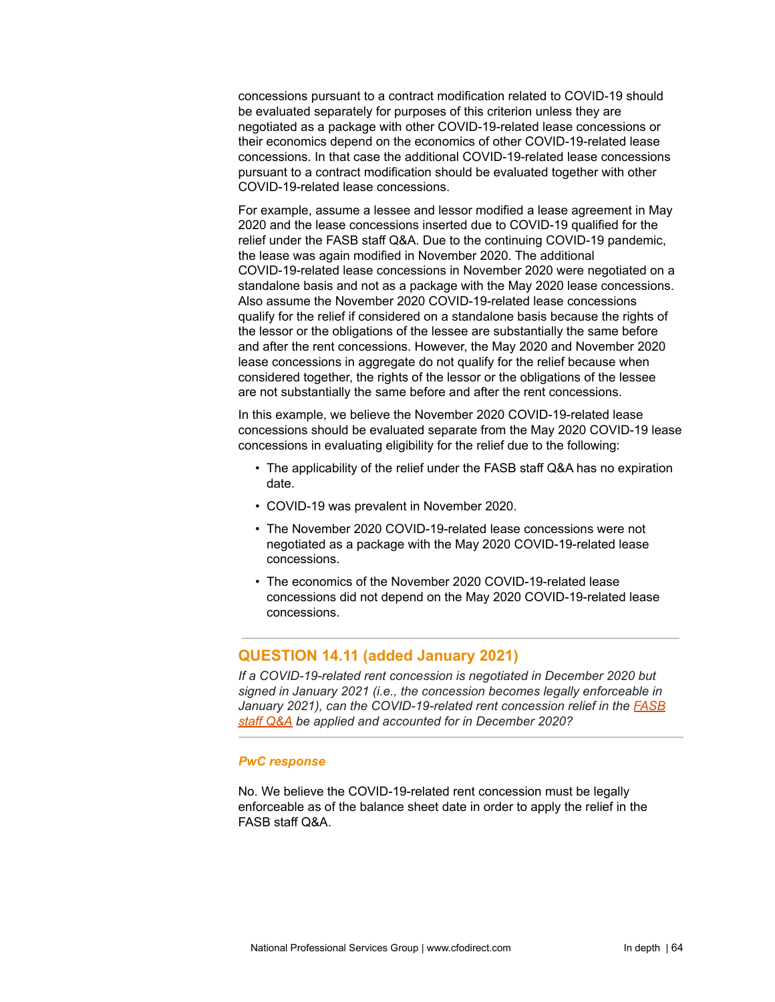concessions pursuant to a contract modification related to COVID-19 should be evaluated separately for purposes of this criterion unless they are negotiated as a package with other COVID-19-related lease concessions or their economics depend on the economics of other COVID-19-related lease concessions. In that case the additional COVID-19-related lease concessions pursuant to a contract modification should be evaluated together with other COVID-19-related lease concessions.

For example, assume a lessee and lessor modified a lease agreement in May 2020 and the lease concessions inserted due to COVID-19 qualified for the relief under the FASB staff Q&A. Due to the continuing COVID-19 pandemic, the lease was again modified in November 2020. The additional COVID-19-related lease concessions in November 2020 were negotiated on a standalone basis and not as a package with the May 2020 lease concessions. Also assume the November 2020 COVID-19-related lease concessions qualify for the relief if considered on a standalone basis because the rights of the lessor or the obligations of the lessee are substantially the same before and after the rent concessions. However, the May 2020 and November 2020 lease concessions in aggregate do not qualify for the relief because when considered together, the rights of the lessor or the obligations of the lessee are not substantially the same before and after the rent concessions.

In this example, we believe the November 2020 COVID-19-related lease concessions should be evaluated separate from the May 2020 COVID-19 lease concessions in evaluating eligibility for the relief due to the following:

- The applicability of the relief under the FASB staff Q&A has no expiration date.
- COVID-19 was prevalent in November 2020.
- The November 2020 COVID-19-related lease concessions were not negotiated as a package with the May 2020 COVID-19-related lease concessions.
- The economics of the November 2020 COVID-19-related lease concessions did not depend on the May 2020 COVID-19-related lease concessions.

# **QUESTION 14.11 (added January 2021)**

*If a COVID-19-related rent concession is negotiated in December 2020 but signed in January 2021 (i.e., the concession becomes legally enforceable in January 2021), can the COVID-19-related rent concession relief in the [FASB](https://www.fasb.org/cs/Satellite?c=FASBContent_C&cid=1176174459740&pagename=FASB%2FFASBContent_C%2FGeneralContentDisplay) staff [Q&A](https://www.fasb.org/cs/Satellite?c=FASBContent_C&cid=1176174459740&pagename=FASB%2FFASBContent_C%2FGeneralContentDisplay) be applied and accounted for in December 2020?*

### *PwC response*

No. We believe the COVID-19-related rent concession must be legally enforceable as of the balance sheet date in order to apply the relief in the FASB staff Q&A.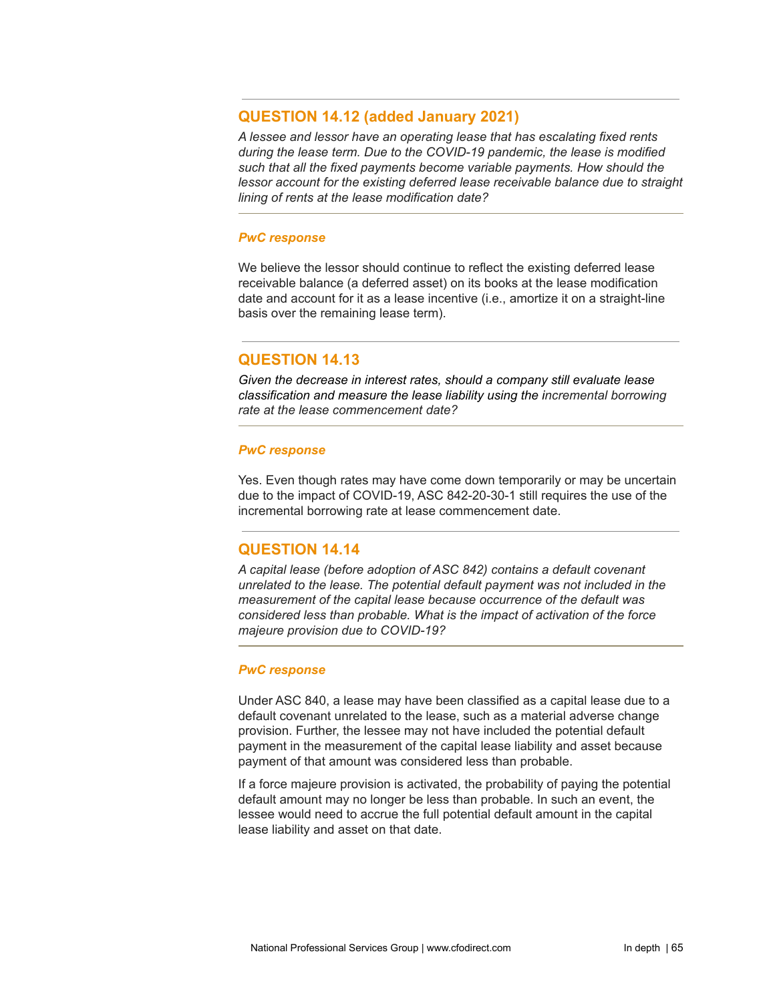## **QUESTION 14.12 (added January 2021)**

*A lessee and lessor have an operating lease that has escalating fixed rents during the lease term. Due to the COVID-19 pandemic, the lease is modified such that all the fixed payments become variable payments. How should the lessor account for the existing deferred lease receivable balance due to straight lining of rents at the lease modification date?*

### *PwC response*

We believe the lessor should continue to reflect the existing deferred lease receivable balance (a deferred asset) on its books at the lease modification date and account for it as a lease incentive (i.e., amortize it on a straight-line basis over the remaining lease term).

# **QUESTION 14.13**

*Given the decrease in interest rates, should a company still evaluate lease classification and measure the lease liability using the incremental borrowing rate at the lease commencement date?*

### *PwC response*

Yes. Even though rates may have come down temporarily or may be uncertain due to the impact of COVID-19, ASC 842-20-30-1 still requires the use of the incremental borrowing rate at lease commencement date.

# **QUESTION 14.14**

*A capital lease (before adoption of ASC 842) contains a default covenant unrelated to the lease. The potential default payment was not included in the measurement of the capital lease because occurrence of the default was considered less than probable. What is the impact of activation of the force majeure provision due to COVID-19?*

### *PwC response*

Under ASC 840, a lease may have been classified as a capital lease due to a default covenant unrelated to the lease, such as a material adverse change provision. Further, the lessee may not have included the potential default payment in the measurement of the capital lease liability and asset because payment of that amount was considered less than probable.

If a force majeure provision is activated, the probability of paying the potential default amount may no longer be less than probable. In such an event, the lessee would need to accrue the full potential default amount in the capital lease liability and asset on that date.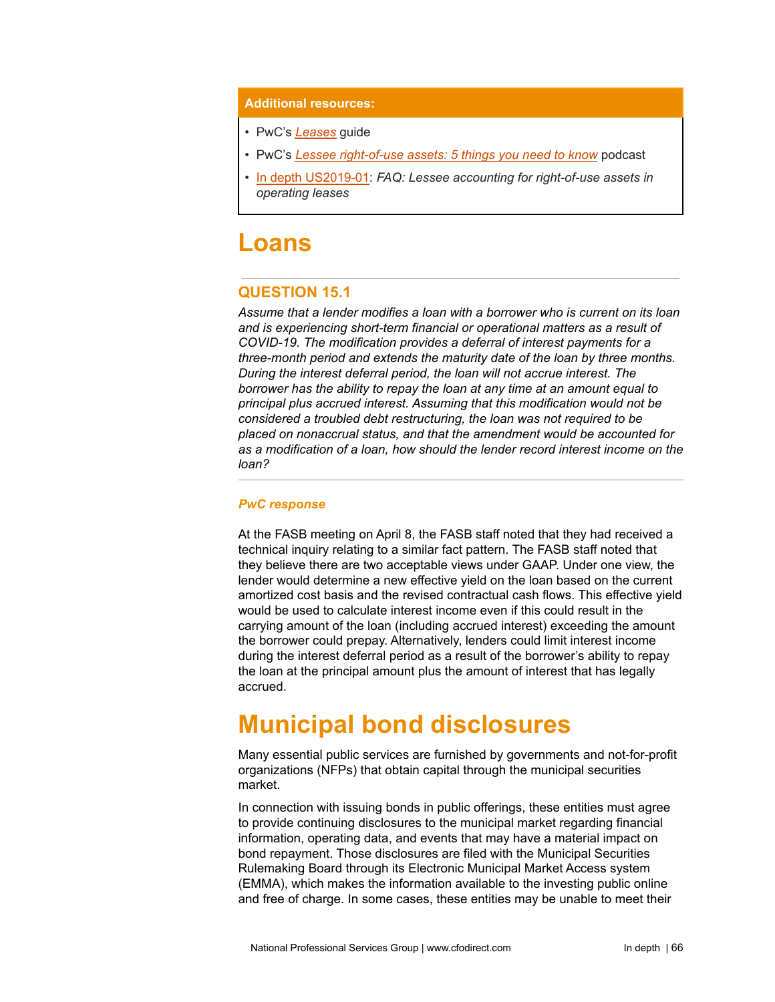#### **Additional resources:**

- PwC's *[Leases](https://www.pwc.com/us/en/cfodirect/publications/accounting-guides/pwc-lease-accounting-guide-asc-842.html)* guide
- PwC's *Lessee [right-of-use](https://www.pwc.com/us/en/cfodirect/multimedia/podcasts/lessee-right-of-use-assets.html) assets: 5 things you need to know* podcast
- In depth [US2019-01:](https://www.pwc.com/us/en/cfodirect/publications/in-depth/leasing-right-of-use-faqs.html) *FAQ: Lessee accounting for right-of-use assets in operating leases*

# **Loans**

# **QUESTION 15.1**

*Assume that a lender modifies a loan with a borrower who is current on its loan and is experiencing short-term financial or operational matters as a result of COVID-19. The modification provides a deferral of interest payments for a three-month period and extends the maturity date of the loan by three months. During the interest deferral period, the loan will not accrue interest. The borrower has the ability to repay the loan at any time at an amount equal to principal plus accrued interest. Assuming that this modification would not be considered a troubled debt restructuring, the loan was not required to be placed on nonaccrual status, and that the amendment would be accounted for as a modification of a loan, how should the lender record interest income on the loan?*

### *PwC response*

At the FASB meeting on April 8, the FASB staff noted that they had received a technical inquiry relating to a similar fact pattern. The FASB staff noted that they believe there are two acceptable views under GAAP. Under one view, the lender would determine a new effective yield on the loan based on the current amortized cost basis and the revised contractual cash flows. This effective yield would be used to calculate interest income even if this could result in the carrying amount of the loan (including accrued interest) exceeding the amount the borrower could prepay. Alternatively, lenders could limit interest income during the interest deferral period as a result of the borrower's ability to repay the loan at the principal amount plus the amount of interest that has legally accrued.

# **Municipal bond disclosures**

Many essential public services are furnished by governments and not-for-profit organizations (NFPs) that obtain capital through the municipal securities market.

In connection with issuing bonds in public offerings, these entities must agree to provide continuing disclosures to the municipal market regarding financial information, operating data, and events that may have a material impact on bond repayment. Those disclosures are filed with the Municipal Securities Rulemaking Board through its Electronic Municipal Market Access system (EMMA), which makes the information available to the investing public online and free of charge. In some cases, these entities may be unable to meet their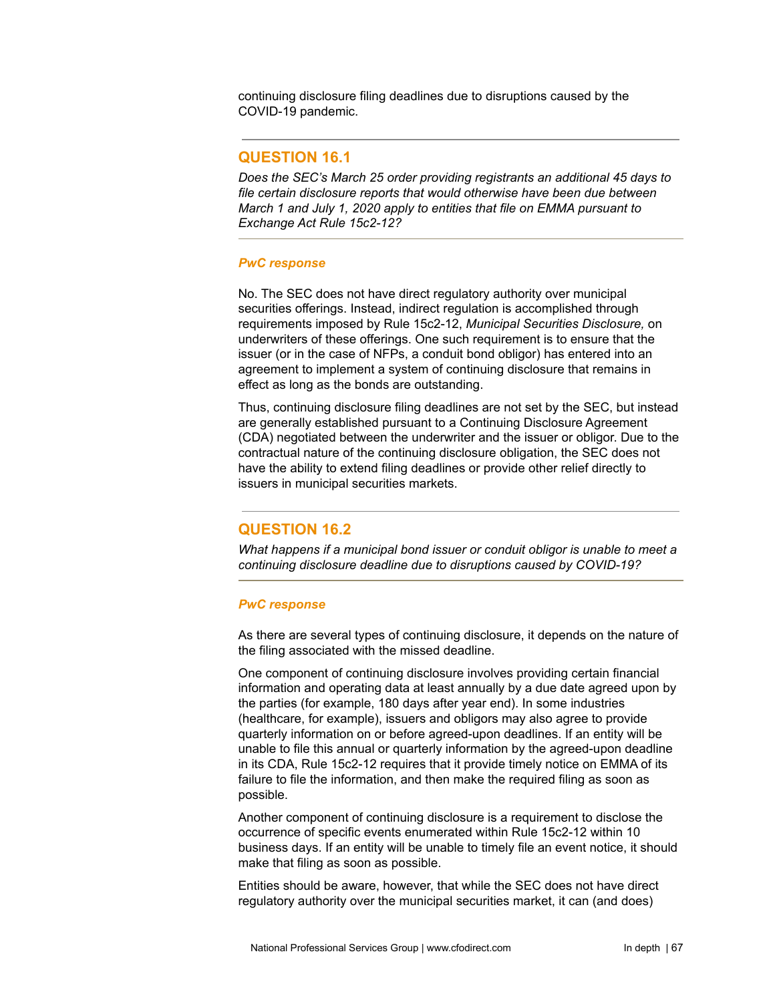continuing disclosure filing deadlines due to disruptions caused by the COVID-19 pandemic.

## **QUESTION 16.1**

*Does the SEC's March 25 order providing registrants an additional 45 days to file certain disclosure reports that would otherwise have been due between March 1 and July 1, 2020 apply to entities that file on EMMA pursuant to Exchange Act Rule 15c2-12?*

### *PwC response*

No. The SEC does not have direct regulatory authority over municipal securities offerings. Instead, indirect regulation is accomplished through requirements imposed by Rule 15c2-12, *Municipal Securities Disclosure,* on underwriters of these offerings. One such requirement is to ensure that the issuer (or in the case of NFPs, a conduit bond obligor) has entered into an agreement to implement a system of continuing disclosure that remains in effect as long as the bonds are outstanding.

Thus, continuing disclosure filing deadlines are not set by the SEC, but instead are generally established pursuant to a Continuing Disclosure Agreement (CDA) negotiated between the underwriter and the issuer or obligor. Due to the contractual nature of the continuing disclosure obligation, the SEC does not have the ability to extend filing deadlines or provide other relief directly to issuers in municipal securities markets.

# **QUESTION 16.2**

*What happens if a municipal bond issuer or conduit obligor is unable to meet a continuing disclosure deadline due to disruptions caused by COVID-19?*

### *PwC response*

As there are several types of continuing disclosure, it depends on the nature of the filing associated with the missed deadline.

One component of continuing disclosure involves providing certain financial information and operating data at least annually by a due date agreed upon by the parties (for example, 180 days after year end). In some industries (healthcare, for example), issuers and obligors may also agree to provide quarterly information on or before agreed-upon deadlines. If an entity will be unable to file this annual or quarterly information by the agreed-upon deadline in its CDA, Rule 15c2-12 requires that it provide timely notice on EMMA of its failure to file the information, and then make the required filing as soon as possible.

Another component of continuing disclosure is a requirement to disclose the occurrence of specific events enumerated within Rule 15c2-12 within 10 business days. If an entity will be unable to timely file an event notice, it should make that filing as soon as possible.

Entities should be aware, however, that while the SEC does not have direct regulatory authority over the municipal securities market, it can (and does)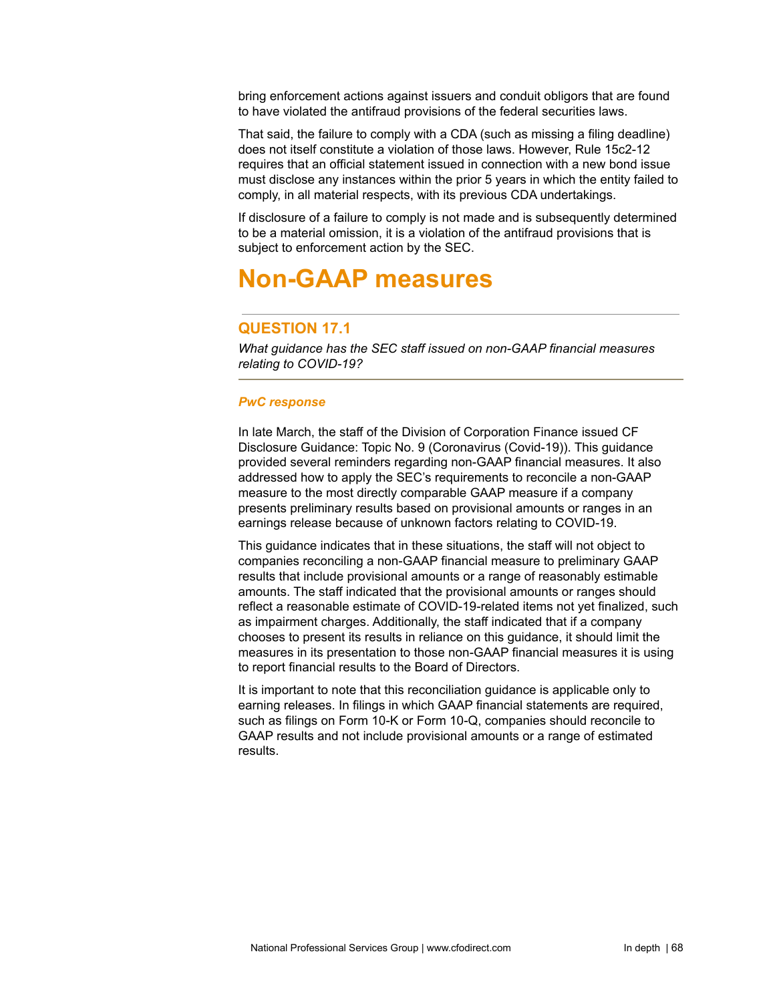bring enforcement actions against issuers and conduit obligors that are found to have violated the antifraud provisions of the federal securities laws.

That said, the failure to comply with a CDA (such as missing a filing deadline) does not itself constitute a violation of those laws. However, Rule 15c2-12 requires that an official statement issued in connection with a new bond issue must disclose any instances within the prior 5 years in which the entity failed to comply, in all material respects, with its previous CDA undertakings.

If disclosure of a failure to comply is not made and is subsequently determined to be a material omission, it is a violation of the antifraud provisions that is subject to enforcement action by the SEC.

# **Non-GAAP measures**

# **QUESTION 17.1**

*What guidance has the SEC staff issued on non-GAAP financial measures relating to COVID-19?*

### *PwC response*

In late March, the staff of the Division of Corporation Finance issued CF Disclosure Guidance: Topic No. 9 (Coronavirus (Covid-19)). This guidance provided several reminders regarding non-GAAP financial measures. It also addressed how to apply the SEC's requirements to reconcile a non-GAAP measure to the most directly comparable GAAP measure if a company presents preliminary results based on provisional amounts or ranges in an earnings release because of unknown factors relating to COVID-19.

This guidance indicates that in these situations, the staff will not object to companies reconciling a non-GAAP financial measure to preliminary GAAP results that include provisional amounts or a range of reasonably estimable amounts. The staff indicated that the provisional amounts or ranges should reflect a reasonable estimate of COVID-19-related items not yet finalized, such as impairment charges. Additionally, the staff indicated that if a company chooses to present its results in reliance on this guidance, it should limit the measures in its presentation to those non-GAAP financial measures it is using to report financial results to the Board of Directors.

It is important to note that this reconciliation guidance is applicable only to earning releases. In filings in which GAAP financial statements are required, such as filings on Form 10-K or Form 10-Q, companies should reconcile to GAAP results and not include provisional amounts or a range of estimated results.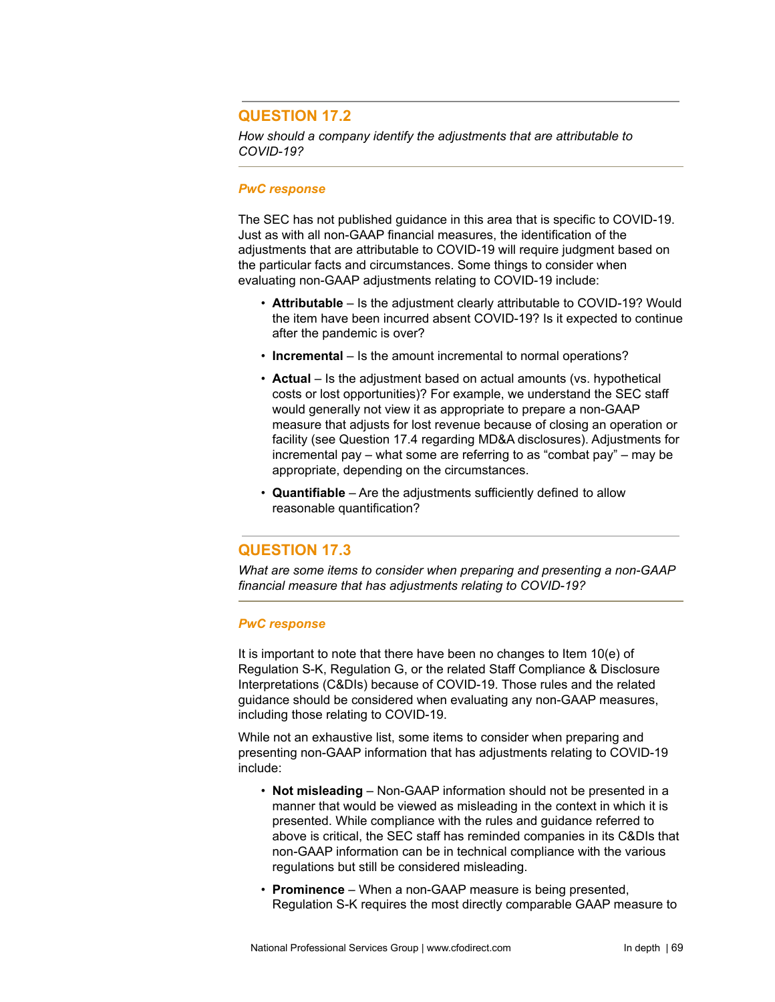# **QUESTION 17.2**

*How should a company identify the adjustments that are attributable to COVID-19?*

#### *PwC response*

The SEC has not published guidance in this area that is specific to COVID-19. Just as with all non-GAAP financial measures, the identification of the adjustments that are attributable to COVID-19 will require judgment based on the particular facts and circumstances. Some things to consider when evaluating non-GAAP adjustments relating to COVID-19 include:

- **Attributable** Is the adjustment clearly attributable to COVID-19? Would the item have been incurred absent COVID-19? Is it expected to continue after the pandemic is over?
- **Incremental** Is the amount incremental to normal operations?
- **Actual** Is the adjustment based on actual amounts (vs. hypothetical costs or lost opportunities)? For example, we understand the SEC staff would generally not view it as appropriate to prepare a non-GAAP measure that adjusts for lost revenue because of closing an operation or facility (see Question 17.4 regarding MD&A disclosures). Adjustments for incremental pay – what some are referring to as "combat pay" – may be appropriate, depending on the circumstances.
- **Quantifiable** Are the adjustments sufficiently defined to allow reasonable quantification?

# **QUESTION 17.3**

*What are some items to consider when preparing and presenting a non-GAAP financial measure that has adjustments relating to COVID-19?*

### *PwC response*

It is important to note that there have been no changes to Item 10(e) of Regulation S-K, Regulation G, or the related Staff Compliance & Disclosure Interpretations (C&DIs) because of COVID-19. Those rules and the related guidance should be considered when evaluating any non-GAAP measures, including those relating to COVID-19.

While not an exhaustive list, some items to consider when preparing and presenting non-GAAP information that has adjustments relating to COVID-19 include:

- **Not misleading** Non-GAAP information should not be presented in a manner that would be viewed as misleading in the context in which it is presented. While compliance with the rules and guidance referred to above is critical, the SEC staff has reminded companies in its C&DIs that non-GAAP information can be in technical compliance with the various regulations but still be considered misleading.
- **Prominence** When a non-GAAP measure is being presented, Regulation S-K requires the most directly comparable GAAP measure to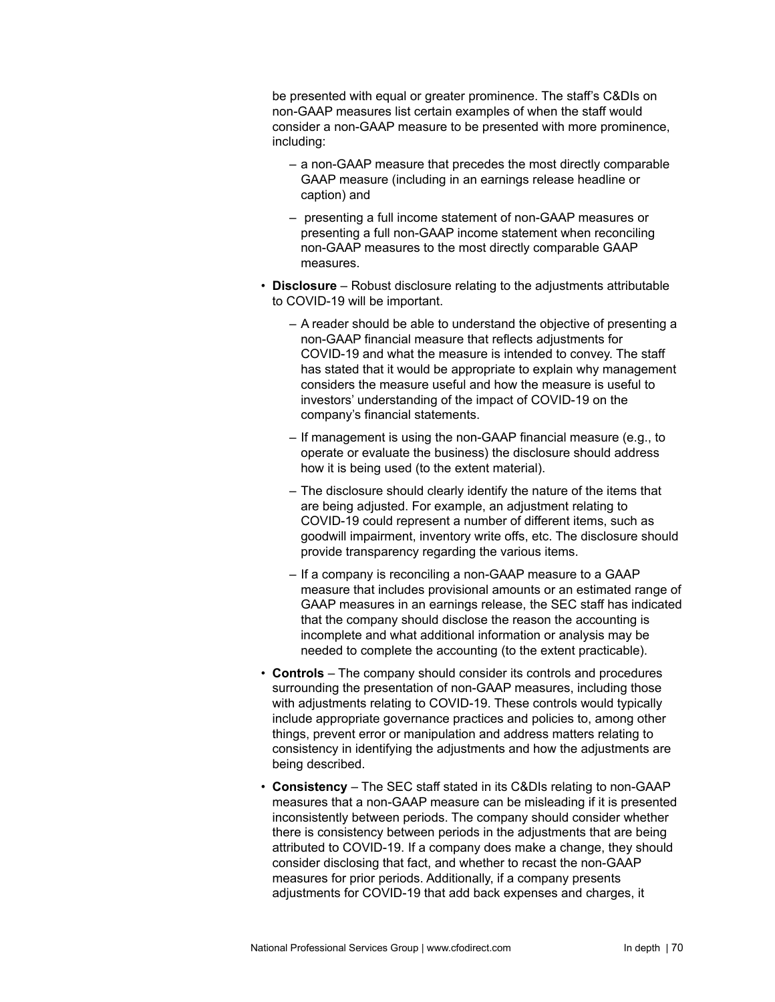be presented with equal or greater prominence. The staff's C&DIs on non-GAAP measures list certain examples of when the staff would consider a non-GAAP measure to be presented with more prominence, including:

- a non-GAAP measure that precedes the most directly comparable GAAP measure (including in an earnings release headline or caption) and
- presenting a full income statement of non-GAAP measures or presenting a full non-GAAP income statement when reconciling non-GAAP measures to the most directly comparable GAAP measures.
- **Disclosure** Robust disclosure relating to the adjustments attributable to COVID-19 will be important.
	- A reader should be able to understand the objective of presenting a non-GAAP financial measure that reflects adjustments for COVID-19 and what the measure is intended to convey. The staff has stated that it would be appropriate to explain why management considers the measure useful and how the measure is useful to investors' understanding of the impact of COVID-19 on the company's financial statements.
	- If management is using the non-GAAP financial measure (e.g., to operate or evaluate the business) the disclosure should address how it is being used (to the extent material).
	- The disclosure should clearly identify the nature of the items that are being adjusted. For example, an adjustment relating to COVID-19 could represent a number of different items, such as goodwill impairment, inventory write offs, etc. The disclosure should provide transparency regarding the various items.
	- If a company is reconciling a non-GAAP measure to a GAAP measure that includes provisional amounts or an estimated range of GAAP measures in an earnings release, the SEC staff has indicated that the company should disclose the reason the accounting is incomplete and what additional information or analysis may be needed to complete the accounting (to the extent practicable).
- **Controls** The company should consider its controls and procedures surrounding the presentation of non-GAAP measures, including those with adjustments relating to COVID-19. These controls would typically include appropriate governance practices and policies to, among other things, prevent error or manipulation and address matters relating to consistency in identifying the adjustments and how the adjustments are being described.
- **Consistency** The SEC staff stated in its C&DIs relating to non-GAAP measures that a non-GAAP measure can be misleading if it is presented inconsistently between periods. The company should consider whether there is consistency between periods in the adjustments that are being attributed to COVID-19. If a company does make a change, they should consider disclosing that fact, and whether to recast the non-GAAP measures for prior periods. Additionally, if a company presents adjustments for COVID-19 that add back expenses and charges, it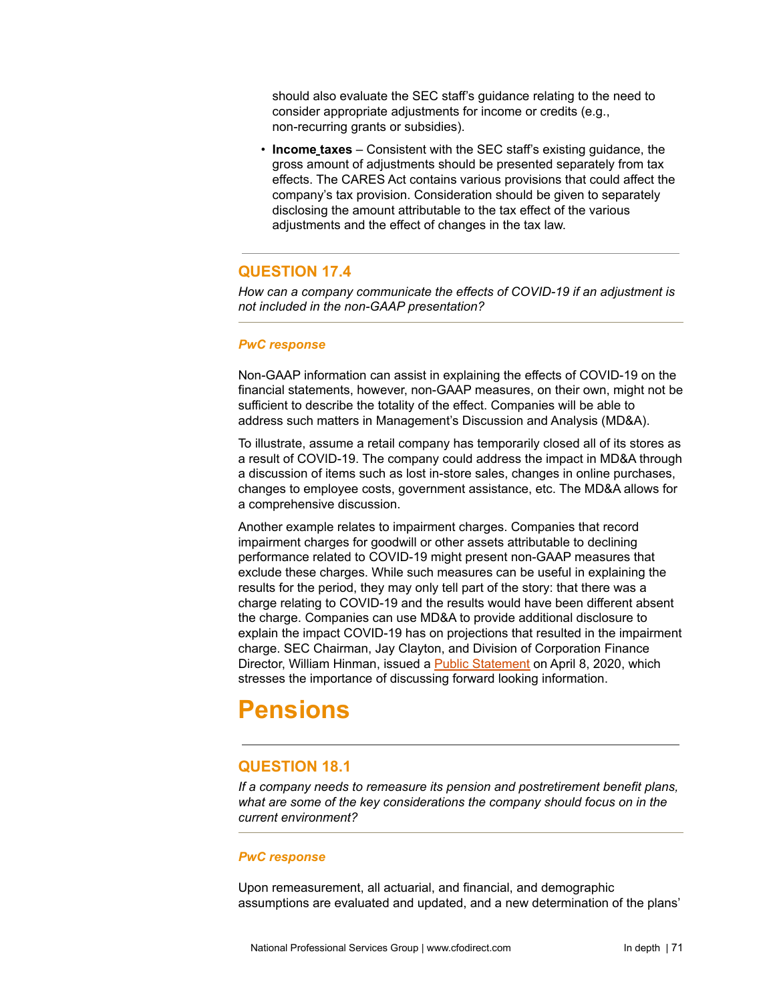should also evaluate the SEC staff's guidance relating to the need to consider appropriate adjustments for income or credits (e.g., non-recurring grants or subsidies).

• **Income taxes** – Consistent with the SEC staff's existing guidance, the gross amount of adjustments should be presented separately from tax effects. The CARES Act contains various provisions that could affect the company's tax provision. Consideration should be given to separately disclosing the amount attributable to the tax effect of the various adjustments and the effect of changes in the tax law.

# **QUESTION 17.4**

*How can a company communicate the effects of COVID-19 if an adjustment is not included in the non-GAAP presentation?*

## *PwC response*

Non-GAAP information can assist in explaining the effects of COVID-19 on the financial statements, however, non-GAAP measures, on their own, might not be sufficient to describe the totality of the effect. Companies will be able to address such matters in Management's Discussion and Analysis (MD&A).

To illustrate, assume a retail company has temporarily closed all of its stores as a result of COVID-19. The company could address the impact in MD&A through a discussion of items such as lost in-store sales, changes in online purchases, changes to employee costs, government assistance, etc. The MD&A allows for a comprehensive discussion.

Another example relates to impairment charges. Companies that record impairment charges for goodwill or other assets attributable to declining performance related to COVID-19 might present non-GAAP measures that exclude these charges. While such measures can be useful in explaining the results for the period, they may only tell part of the story: that there was a charge relating to COVID-19 and the results would have been different absent the charge. Companies can use MD&A to provide additional disclosure to explain the impact COVID-19 has on projections that resulted in the impairment charge. SEC Chairman, Jay Clayton, and Division of Corporation Finance Director, William Hinman, issued a Public [Statement](https://www.sec.gov/news/public-statement/statement-clayton-hinman) on April 8, 2020, which stresses the importance of discussing forward looking information.

# **Pensions**

# **QUESTION 18.1**

*If a company needs to remeasure its pension and postretirement benefit plans, what are some of the key considerations the company should focus on in the current environment?*

## *PwC response*

Upon remeasurement, all actuarial, and financial, and demographic assumptions are evaluated and updated, and a new determination of the plans'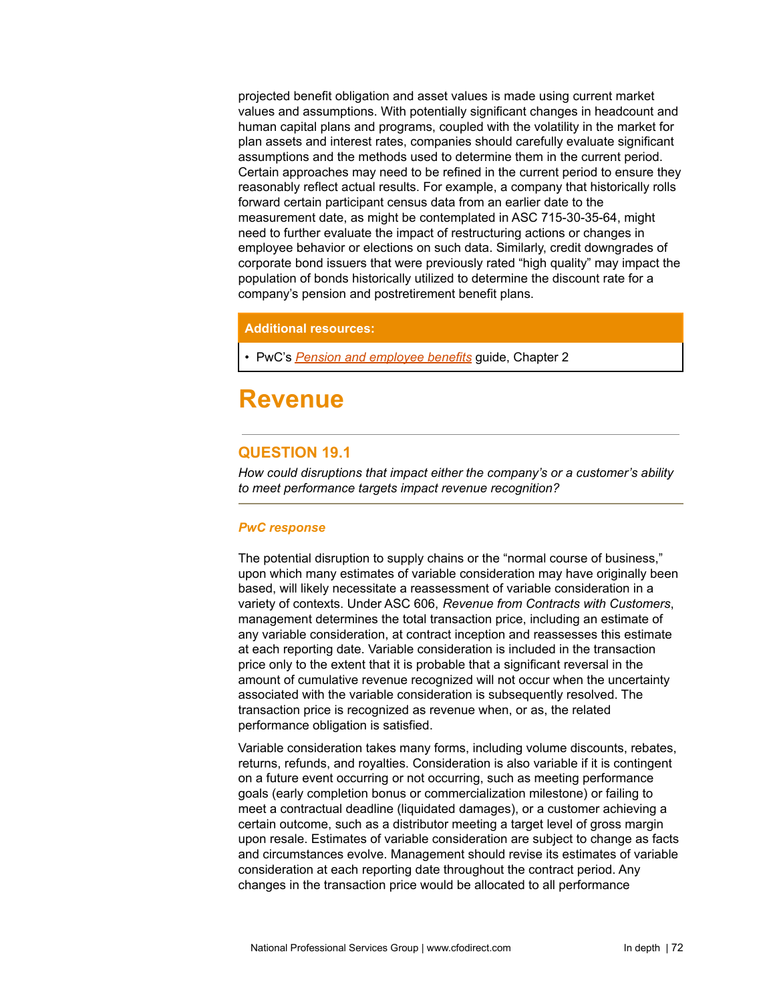projected benefit obligation and asset values is made using current market values and assumptions. With potentially significant changes in headcount and human capital plans and programs, coupled with the volatility in the market for plan assets and interest rates, companies should carefully evaluate significant assumptions and the methods used to determine them in the current period. Certain approaches may need to be refined in the current period to ensure they reasonably reflect actual results. For example, a company that historically rolls forward certain participant census data from an earlier date to the measurement date, as might be contemplated in ASC 715-30-35-64, might need to further evaluate the impact of restructuring actions or changes in employee behavior or elections on such data. Similarly, credit downgrades of corporate bond issuers that were previously rated "high quality" may impact the population of bonds historically utilized to determine the discount rate for a company's pension and postretirement benefit plans.

## **Additional resources:**

• PwC's *Pension and [employee](https://www.pwc.com/us/en/cfodirect/publications/accounting-guides/pension-employee-benefits-accounting-guide.html) benefits* guide, Chapter 2

# **Revenue**

# **QUESTION 19.1**

*How could disruptions that impact either the company's or a customer's ability to meet performance targets impact revenue recognition?*

#### *PwC response*

The potential disruption to supply chains or the "normal course of business," upon which many estimates of variable consideration may have originally been based, will likely necessitate a reassessment of variable consideration in a variety of contexts. Under ASC 606, *Revenue from Contracts with Customers*, management determines the total transaction price, including an estimate of any variable consideration, at contract inception and reassesses this estimate at each reporting date. Variable consideration is included in the transaction price only to the extent that it is probable that a significant reversal in the amount of cumulative revenue recognized will not occur when the uncertainty associated with the variable consideration is subsequently resolved. The transaction price is recognized as revenue when, or as, the related performance obligation is satisfied.

Variable consideration takes many forms, including volume discounts, rebates, returns, refunds, and royalties. Consideration is also variable if it is contingent on a future event occurring or not occurring, such as meeting performance goals (early completion bonus or commercialization milestone) or failing to meet a contractual deadline (liquidated damages), or a customer achieving a certain outcome, such as a distributor meeting a target level of gross margin upon resale. Estimates of variable consideration are subject to change as facts and circumstances evolve. Management should revise its estimates of variable consideration at each reporting date throughout the contract period. Any changes in the transaction price would be allocated to all performance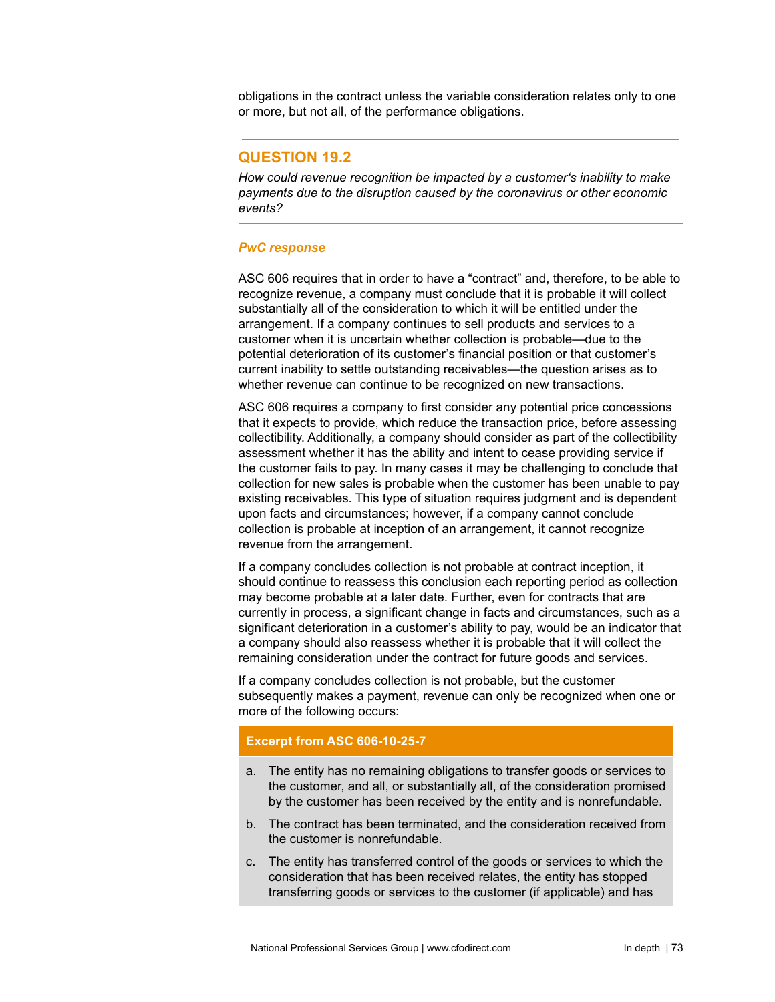obligations in the contract unless the variable consideration relates only to one or more, but not all, of the performance obligations.

## **QUESTION 19.2**

*How could revenue recognition be impacted by a customer's inability to make payments due to the disruption caused by the coronavirus or other economic events?*

#### *PwC response*

ASC 606 requires that in order to have a "contract" and, therefore, to be able to recognize revenue, a company must conclude that it is probable it will collect substantially all of the consideration to which it will be entitled under the arrangement. If a company continues to sell products and services to a customer when it is uncertain whether collection is probable—due to the potential deterioration of its customer's financial position or that customer's current inability to settle outstanding receivables—the question arises as to whether revenue can continue to be recognized on new transactions.

ASC 606 requires a company to first consider any potential price concessions that it expects to provide, which reduce the transaction price, before assessing collectibility. Additionally, a company should consider as part of the collectibility assessment whether it has the ability and intent to cease providing service if the customer fails to pay. In many cases it may be challenging to conclude that collection for new sales is probable when the customer has been unable to pay existing receivables. This type of situation requires judgment and is dependent upon facts and circumstances; however, if a company cannot conclude collection is probable at inception of an arrangement, it cannot recognize revenue from the arrangement.

If a company concludes collection is not probable at contract inception, it should continue to reassess this conclusion each reporting period as collection may become probable at a later date. Further, even for contracts that are currently in process, a significant change in facts and circumstances, such as a significant deterioration in a customer's ability to pay, would be an indicator that a company should also reassess whether it is probable that it will collect the remaining consideration under the contract for future goods and services.

If a company concludes collection is not probable, but the customer subsequently makes a payment, revenue can only be recognized when one or more of the following occurs:

## **Excerpt from ASC 606-10-25-7**

- a. The entity has no remaining obligations to transfer goods or services to the customer, and all, or substantially all, of the consideration promised by the customer has been received by the entity and is nonrefundable.
- b. The contract has been terminated, and the consideration received from the customer is nonrefundable.
- c. The entity has transferred control of the goods or services to which the consideration that has been received relates, the entity has stopped transferring goods or services to the customer (if applicable) and has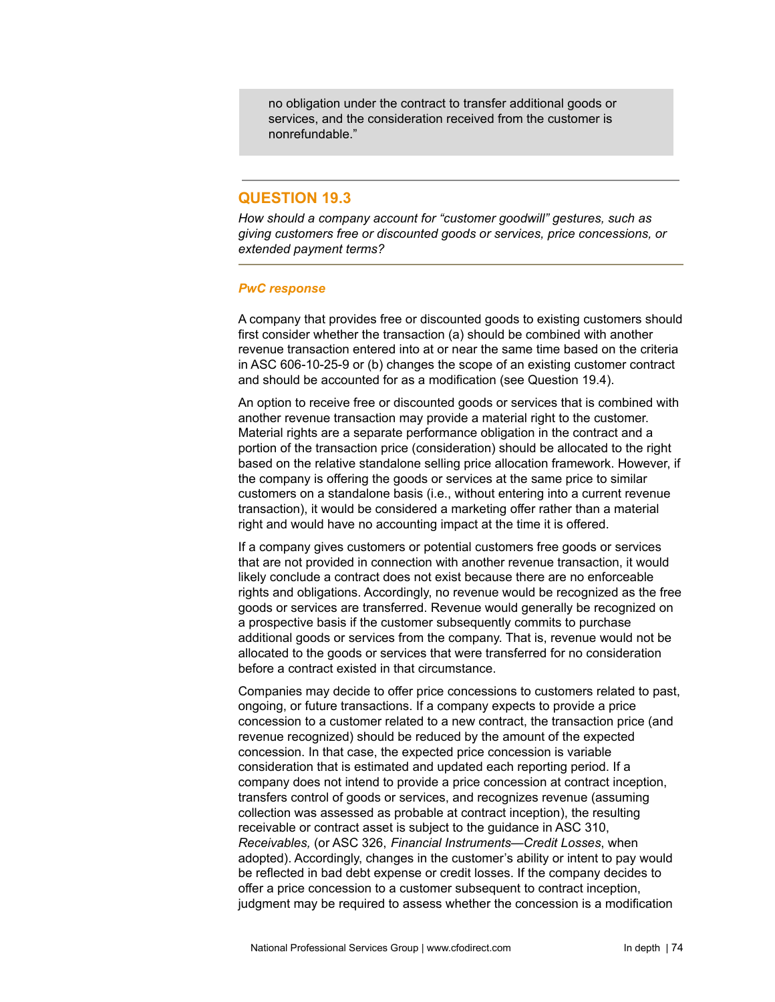no obligation under the contract to transfer additional goods or services, and the consideration received from the customer is nonrefundable."

# **QUESTION 19.3**

*How should a company account for "customer goodwill" gestures, such as giving customers free or discounted goods or services, price concessions, or extended payment terms?*

#### *PwC response*

A company that provides free or discounted goods to existing customers should first consider whether the transaction (a) should be combined with another revenue transaction entered into at or near the same time based on the criteria in ASC 606-10-25-9 or (b) changes the scope of an existing customer contract and should be accounted for as a modification (see Question 19.4).

An option to receive free or discounted goods or services that is combined with another revenue transaction may provide a material right to the customer. Material rights are a separate performance obligation in the contract and a portion of the transaction price (consideration) should be allocated to the right based on the relative standalone selling price allocation framework. However, if the company is offering the goods or services at the same price to similar customers on a standalone basis (i.e., without entering into a current revenue transaction), it would be considered a marketing offer rather than a material right and would have no accounting impact at the time it is offered.

If a company gives customers or potential customers free goods or services that are not provided in connection with another revenue transaction, it would likely conclude a contract does not exist because there are no enforceable rights and obligations. Accordingly, no revenue would be recognized as the free goods or services are transferred. Revenue would generally be recognized on a prospective basis if the customer subsequently commits to purchase additional goods or services from the company. That is, revenue would not be allocated to the goods or services that were transferred for no consideration before a contract existed in that circumstance.

Companies may decide to offer price concessions to customers related to past, ongoing, or future transactions. If a company expects to provide a price concession to a customer related to a new contract, the transaction price (and revenue recognized) should be reduced by the amount of the expected concession. In that case, the expected price concession is variable consideration that is estimated and updated each reporting period. If a company does not intend to provide a price concession at contract inception, transfers control of goods or services, and recognizes revenue (assuming collection was assessed as probable at contract inception), the resulting receivable or contract asset is subject to the guidance in ASC 310, *Receivables,* (or ASC 326, *Financial Instruments—Credit Losses*, when adopted). Accordingly, changes in the customer's ability or intent to pay would be reflected in bad debt expense or credit losses. If the company decides to offer a price concession to a customer subsequent to contract inception, judgment may be required to assess whether the concession is a modification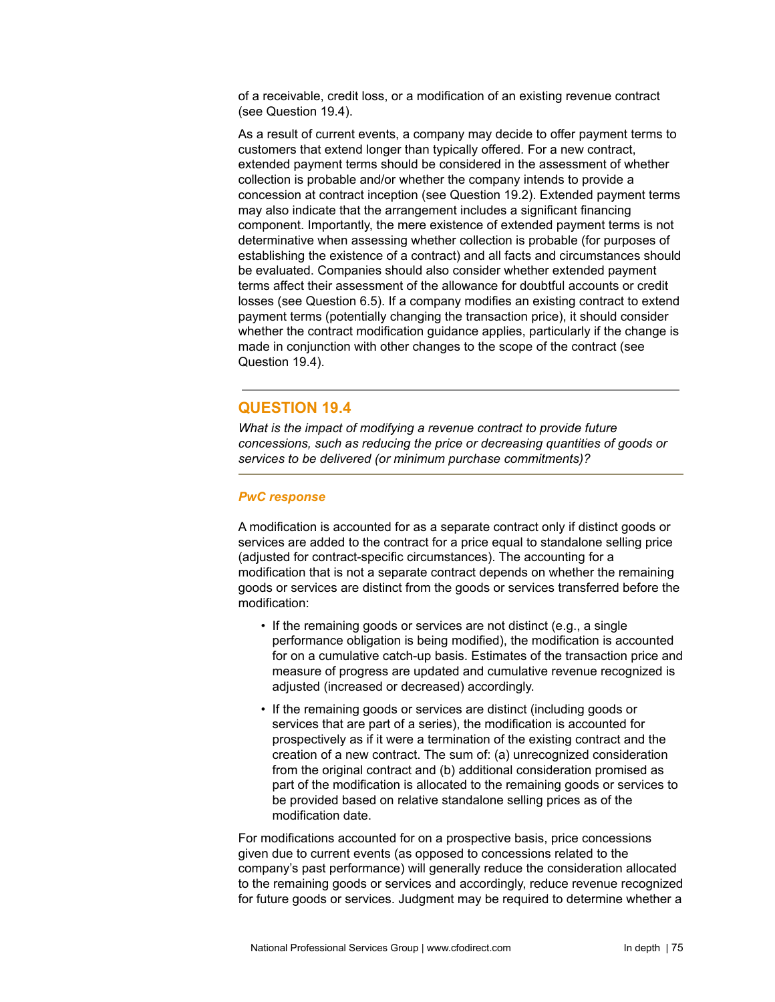of a receivable, credit loss, or a modification of an existing revenue contract (see Question 19.4).

As a result of current events, a company may decide to offer payment terms to customers that extend longer than typically offered. For a new contract, extended payment terms should be considered in the assessment of whether collection is probable and/or whether the company intends to provide a concession at contract inception (see Question 19.2). Extended payment terms may also indicate that the arrangement includes a significant financing component. Importantly, the mere existence of extended payment terms is not determinative when assessing whether collection is probable (for purposes of establishing the existence of a contract) and all facts and circumstances should be evaluated. Companies should also consider whether extended payment terms affect their assessment of the allowance for doubtful accounts or credit losses (see Question 6.5). If a company modifies an existing contract to extend payment terms (potentially changing the transaction price), it should consider whether the contract modification guidance applies, particularly if the change is made in conjunction with other changes to the scope of the contract (see Question 19.4).

## **QUESTION 19.4**

*What is the impact of modifying a revenue contract to provide future concessions, such as reducing the price or decreasing quantities of goods or services to be delivered (or minimum purchase commitments)?*

## *PwC response*

A modification is accounted for as a separate contract only if distinct goods or services are added to the contract for a price equal to standalone selling price (adjusted for contract-specific circumstances). The accounting for a modification that is not a separate contract depends on whether the remaining goods or services are distinct from the goods or services transferred before the modification:

- If the remaining goods or services are not distinct (e.g., a single performance obligation is being modified), the modification is accounted for on a cumulative catch-up basis. Estimates of the transaction price and measure of progress are updated and cumulative revenue recognized is adjusted (increased or decreased) accordingly.
- If the remaining goods or services are distinct (including goods or services that are part of a series), the modification is accounted for prospectively as if it were a termination of the existing contract and the creation of a new contract. The sum of: (a) unrecognized consideration from the original contract and (b) additional consideration promised as part of the modification is allocated to the remaining goods or services to be provided based on relative standalone selling prices as of the modification date.

For modifications accounted for on a prospective basis, price concessions given due to current events (as opposed to concessions related to the company's past performance) will generally reduce the consideration allocated to the remaining goods or services and accordingly, reduce revenue recognized for future goods or services. Judgment may be required to determine whether a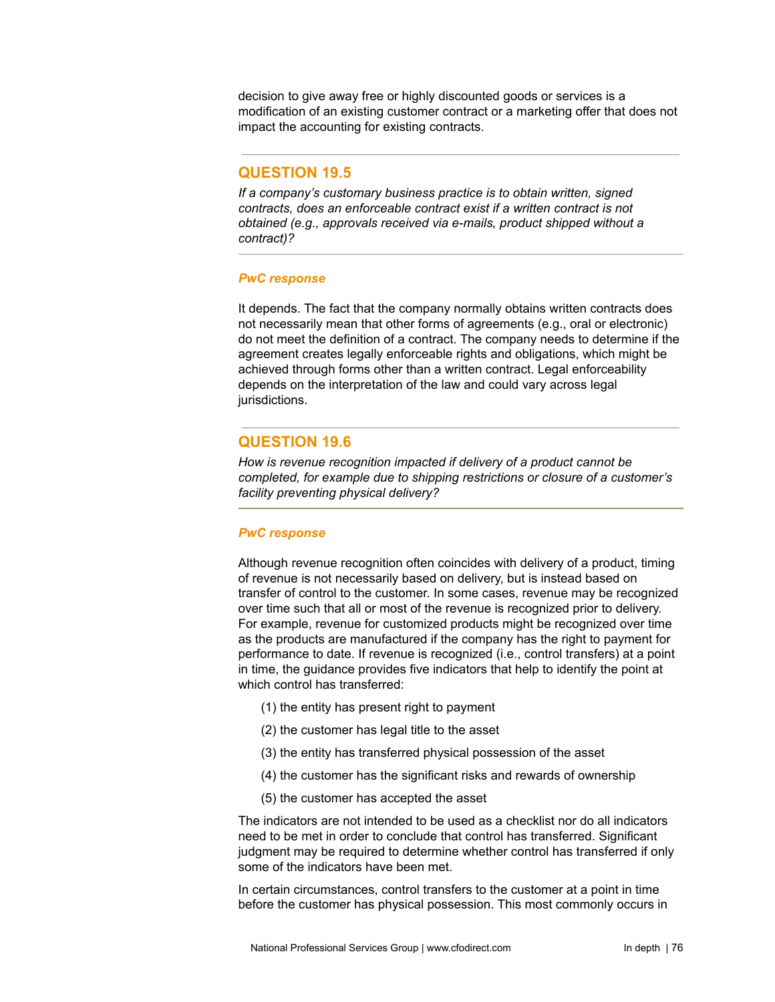decision to give away free or highly discounted goods or services is a modification of an existing customer contract or a marketing offer that does not impact the accounting for existing contracts.

# **QUESTION 19.5**

*If a company's customary business practice is to obtain written, signed contracts, does an enforceable contract exist if a written contract is not obtained (e.g., approvals received via e-mails, product shipped without a contract)?*

#### *PwC response*

It depends. The fact that the company normally obtains written contracts does not necessarily mean that other forms of agreements (e.g., oral or electronic) do not meet the definition of a contract. The company needs to determine if the agreement creates legally enforceable rights and obligations, which might be achieved through forms other than a written contract. Legal enforceability depends on the interpretation of the law and could vary across legal jurisdictions.

## **QUESTION 19.6**

*How is revenue recognition impacted if delivery of a product cannot be completed, for example due to shipping restrictions or closure of a customer's facility preventing physical delivery?*

## *PwC response*

Although revenue recognition often coincides with delivery of a product, timing of revenue is not necessarily based on delivery, but is instead based on transfer of control to the customer. In some cases, revenue may be recognized over time such that all or most of the revenue is recognized prior to delivery. For example, revenue for customized products might be recognized over time as the products are manufactured if the company has the right to payment for performance to date. If revenue is recognized (i.e., control transfers) at a point in time, the guidance provides five indicators that help to identify the point at which control has transferred:

- (1) the entity has present right to payment
- (2) the customer has legal title to the asset
- (3) the entity has transferred physical possession of the asset
- (4) the customer has the significant risks and rewards of ownership
- (5) the customer has accepted the asset

The indicators are not intended to be used as a checklist nor do all indicators need to be met in order to conclude that control has transferred. Significant judgment may be required to determine whether control has transferred if only some of the indicators have been met.

In certain circumstances, control transfers to the customer at a point in time before the customer has physical possession. This most commonly occurs in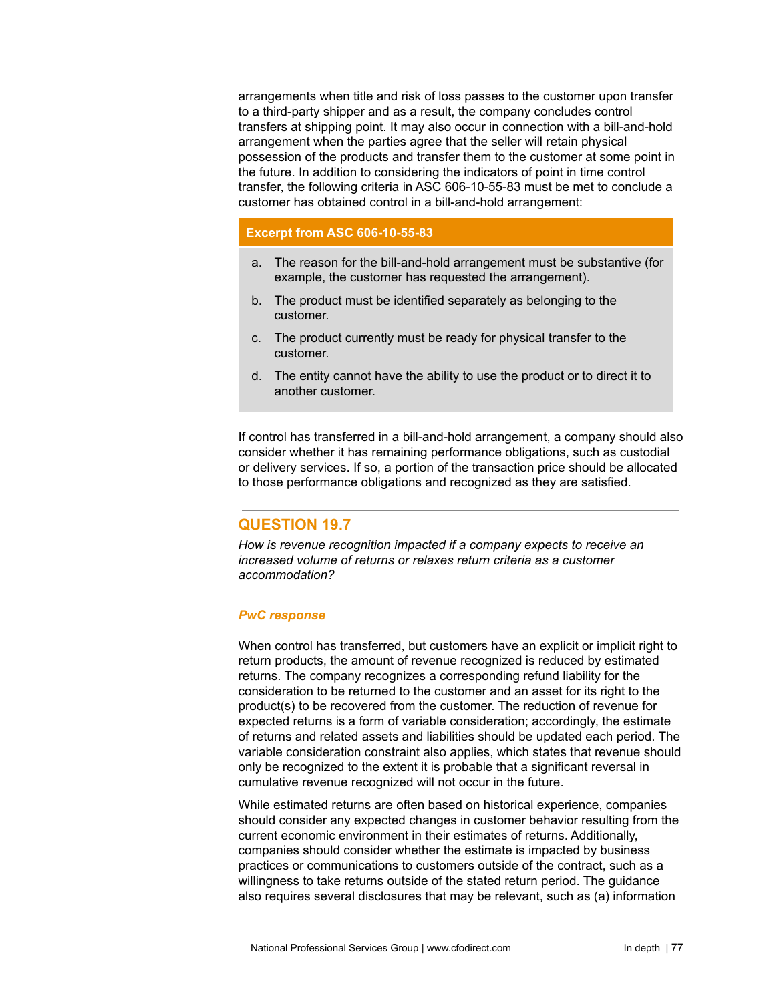arrangements when title and risk of loss passes to the customer upon transfer to a third-party shipper and as a result, the company concludes control transfers at shipping point. It may also occur in connection with a bill-and-hold arrangement when the parties agree that the seller will retain physical possession of the products and transfer them to the customer at some point in the future. In addition to considering the indicators of point in time control transfer, the following criteria in ASC 606-10-55-83 must be met to conclude a customer has obtained control in a bill-and-hold arrangement:

## **Excerpt from ASC 606-10-55-83**

- a. The reason for the bill-and-hold arrangement must be substantive (for example, the customer has requested the arrangement).
- b. The product must be identified separately as belonging to the customer.
- c. The product currently must be ready for physical transfer to the customer.
- d. The entity cannot have the ability to use the product or to direct it to another customer.

If control has transferred in a bill-and-hold arrangement, a company should also consider whether it has remaining performance obligations, such as custodial or delivery services. If so, a portion of the transaction price should be allocated to those performance obligations and recognized as they are satisfied.

# **QUESTION 19.7**

*How is revenue recognition impacted if a company expects to receive an increased volume of returns or relaxes return criteria as a customer accommodation?*

## *PwC response*

When control has transferred, but customers have an explicit or implicit right to return products, the amount of revenue recognized is reduced by estimated returns. The company recognizes a corresponding refund liability for the consideration to be returned to the customer and an asset for its right to the product(s) to be recovered from the customer. The reduction of revenue for expected returns is a form of variable consideration; accordingly, the estimate of returns and related assets and liabilities should be updated each period. The variable consideration constraint also applies, which states that revenue should only be recognized to the extent it is probable that a significant reversal in cumulative revenue recognized will not occur in the future.

While estimated returns are often based on historical experience, companies should consider any expected changes in customer behavior resulting from the current economic environment in their estimates of returns. Additionally, companies should consider whether the estimate is impacted by business practices or communications to customers outside of the contract, such as a willingness to take returns outside of the stated return period. The guidance also requires several disclosures that may be relevant, such as (a) information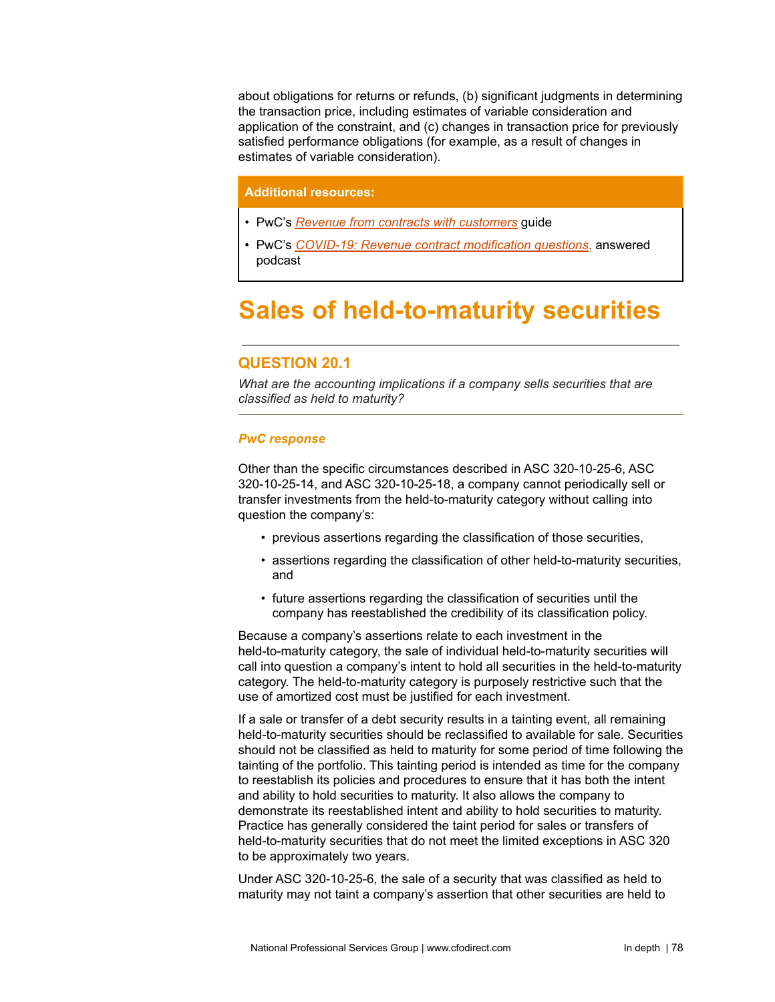about obligations for returns or refunds, (b) significant judgments in determining the transaction price, including estimates of variable consideration and application of the constraint, and (c) changes in transaction price for previously satisfied performance obligations (for example, as a result of changes in estimates of variable consideration).

## **Additional resources:**

- *•* PwC's *Revenue from contracts with [customers](https://www.pwc.com/us/en/cfodirect/publications/accounting-guides/revenue-recognition-accounting-financial-reporting-guide.html)* guide
- PwC's *COVID-19: Revenue contract [modification](https://www.pwc.com/us/en/cfodirect/accounting-podcast/revenue-contract-modifications-questions-answered.html) questions*, answered podcast

# **Sales of held-to-maturity securities**

# **QUESTION 20.1**

*What are the accounting implications if a company sells securities that are classified as held to maturity?*

### *PwC response*

Other than the specific circumstances described in ASC 320-10-25-6, ASC 320-10-25-14, and ASC 320-10-25-18, a company cannot periodically sell or transfer investments from the held-to-maturity category without calling into question the company's:

- previous assertions regarding the classification of those securities,
- assertions regarding the classification of other held-to-maturity securities, and
- future assertions regarding the classification of securities until the company has reestablished the credibility of its classification policy.

Because a company's assertions relate to each investment in the held-to-maturity category, the sale of individual held-to-maturity securities will call into question a company's intent to hold all securities in the held-to-maturity category. The held-to-maturity category is purposely restrictive such that the use of amortized cost must be justified for each investment.

If a sale or transfer of a debt security results in a tainting event, all remaining held-to-maturity securities should be reclassified to available for sale. Securities should not be classified as held to maturity for some period of time following the tainting of the portfolio. This tainting period is intended as time for the company to reestablish its policies and procedures to ensure that it has both the intent and ability to hold securities to maturity. It also allows the company to demonstrate its reestablished intent and ability to hold securities to maturity. Practice has generally considered the taint period for sales or transfers of held-to-maturity securities that do not meet the limited exceptions in ASC 320 to be approximately two years.

Under ASC 320-10-25-6, the sale of a security that was classified as held to maturity may not taint a company's assertion that other securities are held to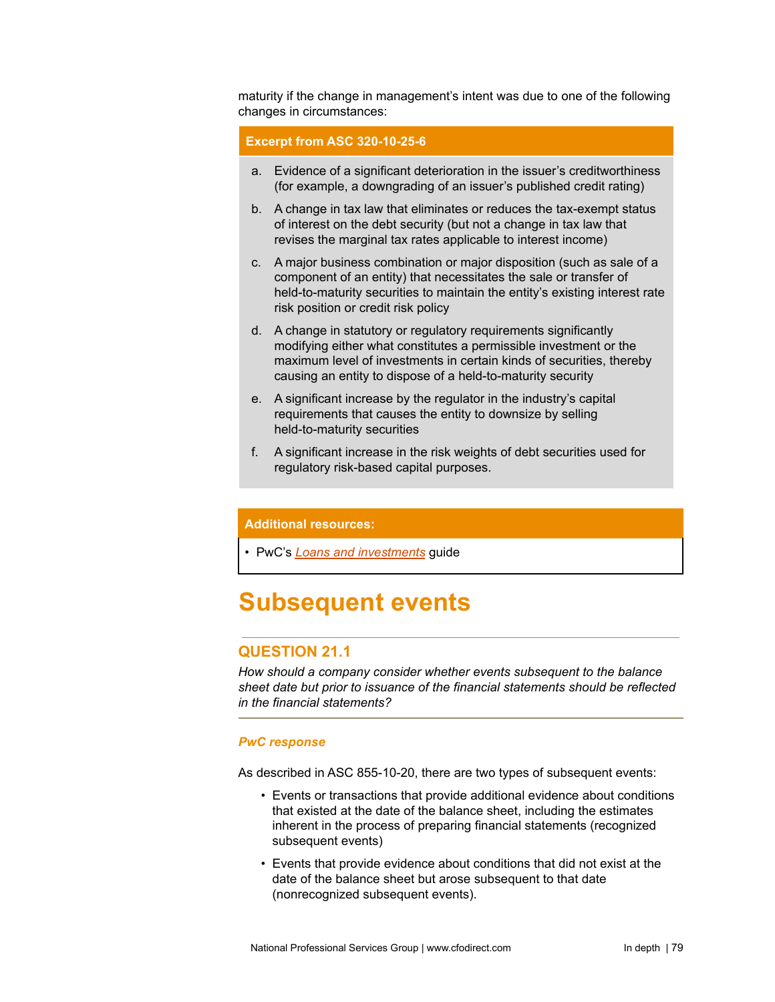maturity if the change in management's intent was due to one of the following changes in circumstances:

## **Excerpt from ASC 320-10-25-6**

- a. Evidence of a significant deterioration in the issuer's creditworthiness (for example, a downgrading of an issuer's published credit rating)
- b. A change in tax law that eliminates or reduces the tax-exempt status of interest on the debt security (but not a change in tax law that revises the marginal tax rates applicable to interest income)
- c. A major business combination or major disposition (such as sale of a component of an entity) that necessitates the sale or transfer of held-to-maturity securities to maintain the entity's existing interest rate risk position or credit risk policy
- d. A change in statutory or regulatory requirements significantly modifying either what constitutes a permissible investment or the maximum level of investments in certain kinds of securities, thereby causing an entity to dispose of a held-to-maturity security
- e. A significant increase by the regulator in the industry's capital requirements that causes the entity to downsize by selling held-to-maturity securities
- f. A significant increase in the risk weights of debt securities used for regulatory risk-based capital purposes.

## **Additional resources:**

• PwC's *Loans and [investments](https://www.pwc.com/us/en/cfodirect/publications/accounting-guides/pwc-guide-loans-investments-cecl-impairment-model.html)* guide

# **Subsequent events**

## **QUESTION 21.1**

*How should a company consider whether events subsequent to the balance sheet date but prior to issuance of the financial statements should be reflected in the financial statements?*

## *PwC response*

As described in ASC 855-10-20, there are two types of subsequent events:

- Events or transactions that provide additional evidence about conditions that existed at the date of the balance sheet, including the estimates inherent in the process of preparing financial statements (recognized subsequent events)
- Events that provide evidence about conditions that did not exist at the date of the balance sheet but arose subsequent to that date (nonrecognized subsequent events).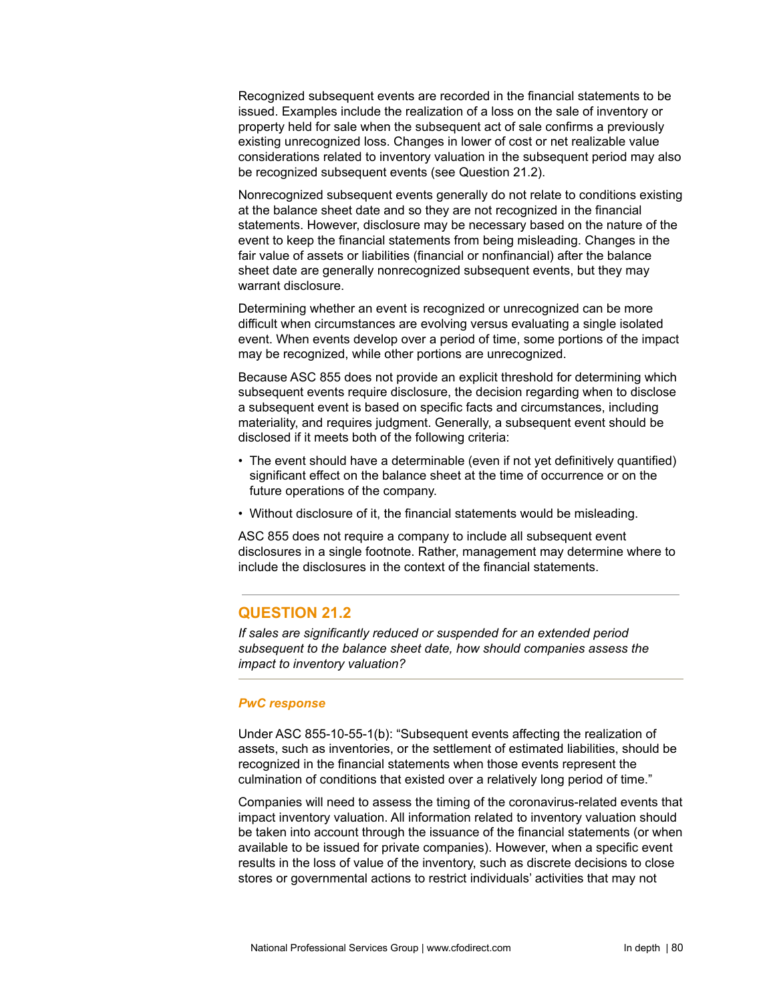Recognized subsequent events are recorded in the financial statements to be issued. Examples include the realization of a loss on the sale of inventory or property held for sale when the subsequent act of sale confirms a previously existing unrecognized loss. Changes in lower of cost or net realizable value considerations related to inventory valuation in the subsequent period may also be recognized subsequent events (see Question 21.2).

Nonrecognized subsequent events generally do not relate to conditions existing at the balance sheet date and so they are not recognized in the financial statements. However, disclosure may be necessary based on the nature of the event to keep the financial statements from being misleading. Changes in the fair value of assets or liabilities (financial or nonfinancial) after the balance sheet date are generally nonrecognized subsequent events, but they may warrant disclosure.

Determining whether an event is recognized or unrecognized can be more difficult when circumstances are evolving versus evaluating a single isolated event. When events develop over a period of time, some portions of the impact may be recognized, while other portions are unrecognized.

Because ASC 855 does not provide an explicit threshold for determining which subsequent events require disclosure, the decision regarding when to disclose a subsequent event is based on specific facts and circumstances, including materiality, and requires judgment. Generally, a subsequent event should be disclosed if it meets both of the following criteria:

- The event should have a determinable (even if not yet definitively quantified) significant effect on the balance sheet at the time of occurrence or on the future operations of the company.
- Without disclosure of it, the financial statements would be misleading.

ASC 855 does not require a company to include all subsequent event disclosures in a single footnote. Rather, management may determine where to include the disclosures in the context of the financial statements.

# **QUESTION 21.2**

*If sales are significantly reduced or suspended for an extended period subsequent to the balance sheet date, how should companies assess the impact to inventory valuation?*

# *PwC response*

Under ASC 855-10-55-1(b): "Subsequent events affecting the realization of assets, such as inventories, or the settlement of estimated liabilities, should be recognized in the financial statements when those events represent the culmination of conditions that existed over a relatively long period of time."

Companies will need to assess the timing of the coronavirus-related events that impact inventory valuation. All information related to inventory valuation should be taken into account through the issuance of the financial statements (or when available to be issued for private companies). However, when a specific event results in the loss of value of the inventory, such as discrete decisions to close stores or governmental actions to restrict individuals' activities that may not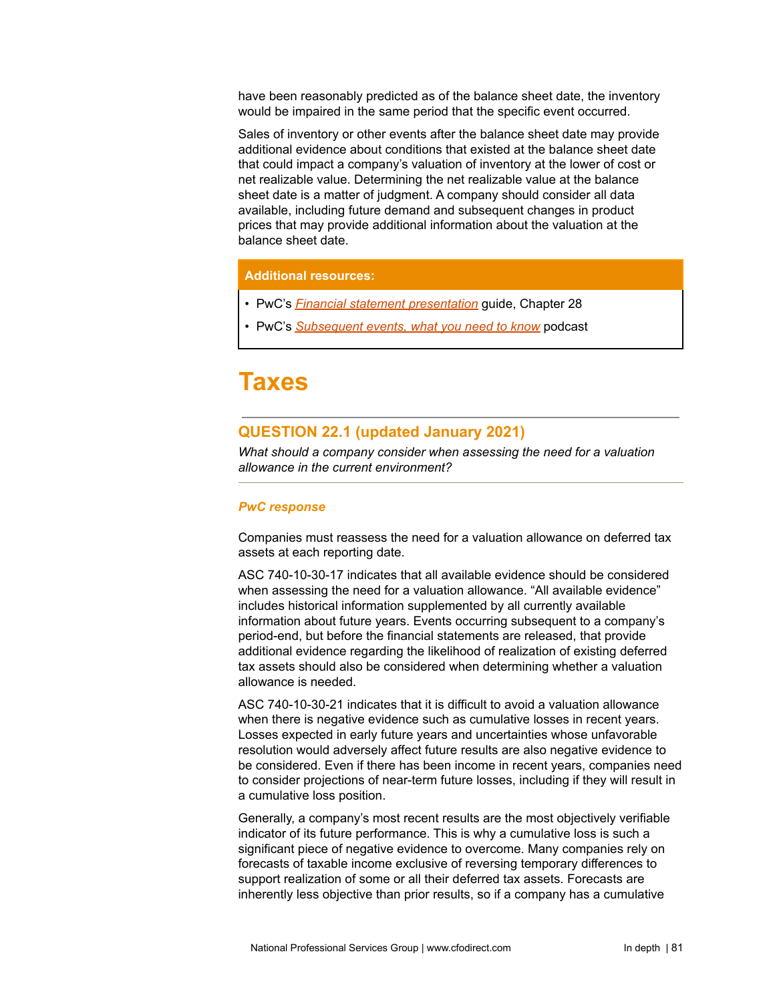have been reasonably predicted as of the balance sheet date, the inventory would be impaired in the same period that the specific event occurred.

Sales of inventory or other events after the balance sheet date may provide additional evidence about conditions that existed at the balance sheet date that could impact a company's valuation of inventory at the lower of cost or net realizable value. Determining the net realizable value at the balance sheet date is a matter of judgment. A company should consider all data available, including future demand and subsequent changes in product prices that may provide additional information about the valuation at the balance sheet date.

## **Additional resources:**

- PwC's *Financial statement [presentation](https://www.pwc.com/us/en/cfodirect/publications/accounting-guides/financial-statement-presentation-accounting-guide.html)* guide, Chapter 28
- PwC's *[Subsequent](https://www.pwc.com/us/en/cfodirect/accounting-podcast/subsequent-events.html) events, what you need to know* podcast

# **Taxes**

# **QUESTION 22.1 (updated January 2021)**

*What should a company consider when assessing the need for a valuation allowance in the current environment?*

## *PwC response*

Companies must reassess the need for a valuation allowance on deferred tax assets at each reporting date.

ASC 740-10-30-17 indicates that all available evidence should be considered when assessing the need for a valuation allowance. "All available evidence" includes historical information supplemented by all currently available information about future years. Events occurring subsequent to a company's period-end, but before the financial statements are released, that provide additional evidence regarding the likelihood of realization of existing deferred tax assets should also be considered when determining whether a valuation allowance is needed.

ASC 740-10-30-21 indicates that it is difficult to avoid a valuation allowance when there is negative evidence such as cumulative losses in recent years. Losses expected in early future years and uncertainties whose unfavorable resolution would adversely affect future results are also negative evidence to be considered. Even if there has been income in recent years, companies need to consider projections of near-term future losses, including if they will result in a cumulative loss position.

Generally, a company's most recent results are the most objectively verifiable indicator of its future performance. This is why a cumulative loss is such a significant piece of negative evidence to overcome. Many companies rely on forecasts of taxable income exclusive of reversing temporary differences to support realization of some or all their deferred tax assets. Forecasts are inherently less objective than prior results, so if a company has a cumulative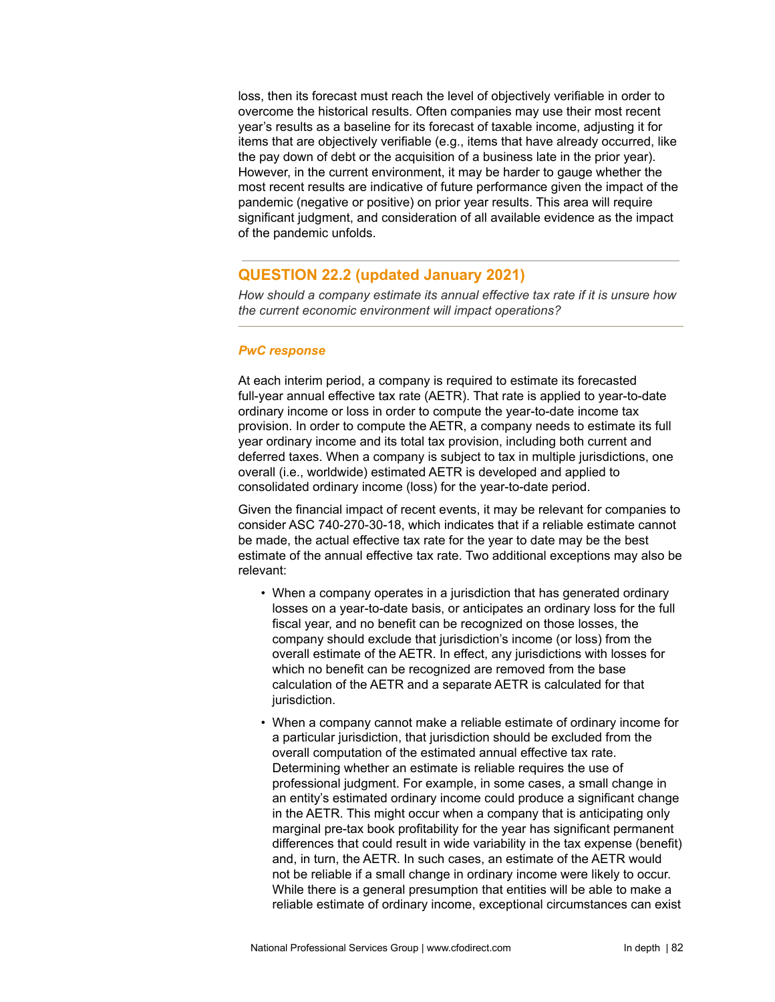loss, then its forecast must reach the level of objectively verifiable in order to overcome the historical results. Often companies may use their most recent year's results as a baseline for its forecast of taxable income, adjusting it for items that are objectively verifiable (e.g., items that have already occurred, like the pay down of debt or the acquisition of a business late in the prior year). However, in the current environment, it may be harder to gauge whether the most recent results are indicative of future performance given the impact of the pandemic (negative or positive) on prior year results. This area will require significant judgment, and consideration of all available evidence as the impact of the pandemic unfolds.

## **QUESTION 22.2 (updated January 2021)**

*How should a company estimate its annual effective tax rate if it is unsure how the current economic environment will impact operations?*

## *PwC response*

At each interim period, a company is required to estimate its forecasted full-year annual effective tax rate (AETR). That rate is applied to year-to-date ordinary income or loss in order to compute the year-to-date income tax provision. In order to compute the AETR, a company needs to estimate its full year ordinary income and its total tax provision, including both current and deferred taxes. When a company is subject to tax in multiple jurisdictions, one overall (i.e., worldwide) estimated AETR is developed and applied to consolidated ordinary income (loss) for the year-to-date period.

Given the financial impact of recent events, it may be relevant for companies to consider ASC 740-270-30-18, which indicates that if a reliable estimate cannot be made, the actual effective tax rate for the year to date may be the best estimate of the annual effective tax rate. Two additional exceptions may also be relevant:

- When a company operates in a jurisdiction that has generated ordinary losses on a year-to-date basis, or anticipates an ordinary loss for the full fiscal year, and no benefit can be recognized on those losses, the company should exclude that jurisdiction's income (or loss) from the overall estimate of the AETR. In effect, any jurisdictions with losses for which no benefit can be recognized are removed from the base calculation of the AETR and a separate AETR is calculated for that jurisdiction.
- When a company cannot make a reliable estimate of ordinary income for a particular jurisdiction, that jurisdiction should be excluded from the overall computation of the estimated annual effective tax rate. Determining whether an estimate is reliable requires the use of professional judgment. For example, in some cases, a small change in an entity's estimated ordinary income could produce a significant change in the AETR. This might occur when a company that is anticipating only marginal pre-tax book profitability for the year has significant permanent differences that could result in wide variability in the tax expense (benefit) and, in turn, the AETR. In such cases, an estimate of the AETR would not be reliable if a small change in ordinary income were likely to occur. While there is a general presumption that entities will be able to make a reliable estimate of ordinary income, exceptional circumstances can exist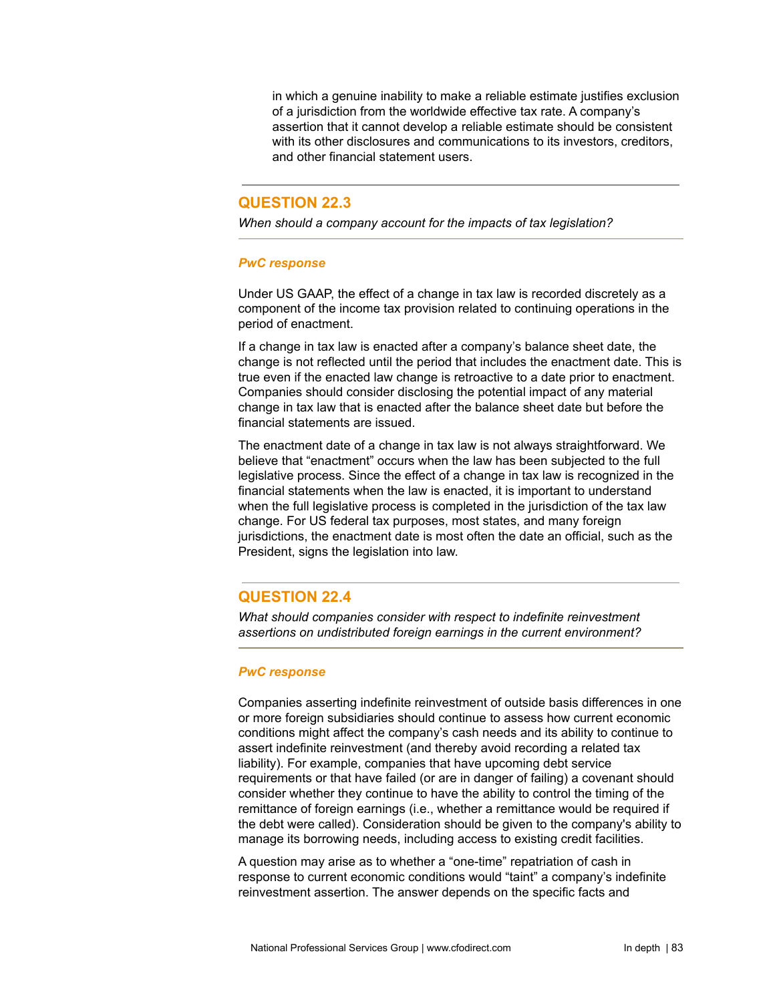in which a genuine inability to make a reliable estimate justifies exclusion of a jurisdiction from the worldwide effective tax rate. A company's assertion that it cannot develop a reliable estimate should be consistent with its other disclosures and communications to its investors, creditors, and other financial statement users.

## **QUESTION 22.3**

*When should a company account for the impacts of tax legislation?*

## *PwC response*

Under US GAAP, the effect of a change in tax law is recorded discretely as a component of the income tax provision related to continuing operations in the period of enactment.

If a change in tax law is enacted after a company's balance sheet date, the change is not reflected until the period that includes the enactment date. This is true even if the enacted law change is retroactive to a date prior to enactment. Companies should consider disclosing the potential impact of any material change in tax law that is enacted after the balance sheet date but before the financial statements are issued.

The enactment date of a change in tax law is not always straightforward. We believe that "enactment" occurs when the law has been subjected to the full legislative process. Since the effect of a change in tax law is recognized in the financial statements when the law is enacted, it is important to understand when the full legislative process is completed in the jurisdiction of the tax law change. For US federal tax purposes, most states, and many foreign jurisdictions, the enactment date is most often the date an official, such as the President, signs the legislation into law.

# **QUESTION 22.4**

*What should companies consider with respect to indefinite reinvestment assertions on undistributed foreign earnings in the current environment?*

## *PwC response*

Companies asserting indefinite reinvestment of outside basis differences in one or more foreign subsidiaries should continue to assess how current economic conditions might affect the company's cash needs and its ability to continue to assert indefinite reinvestment (and thereby avoid recording a related tax liability). For example, companies that have upcoming debt service requirements or that have failed (or are in danger of failing) a covenant should consider whether they continue to have the ability to control the timing of the remittance of foreign earnings (i.e., whether a remittance would be required if the debt were called). Consideration should be given to the company's ability to manage its borrowing needs, including access to existing credit facilities.

A question may arise as to whether a "one-time" repatriation of cash in response to current economic conditions would "taint" a company's indefinite reinvestment assertion. The answer depends on the specific facts and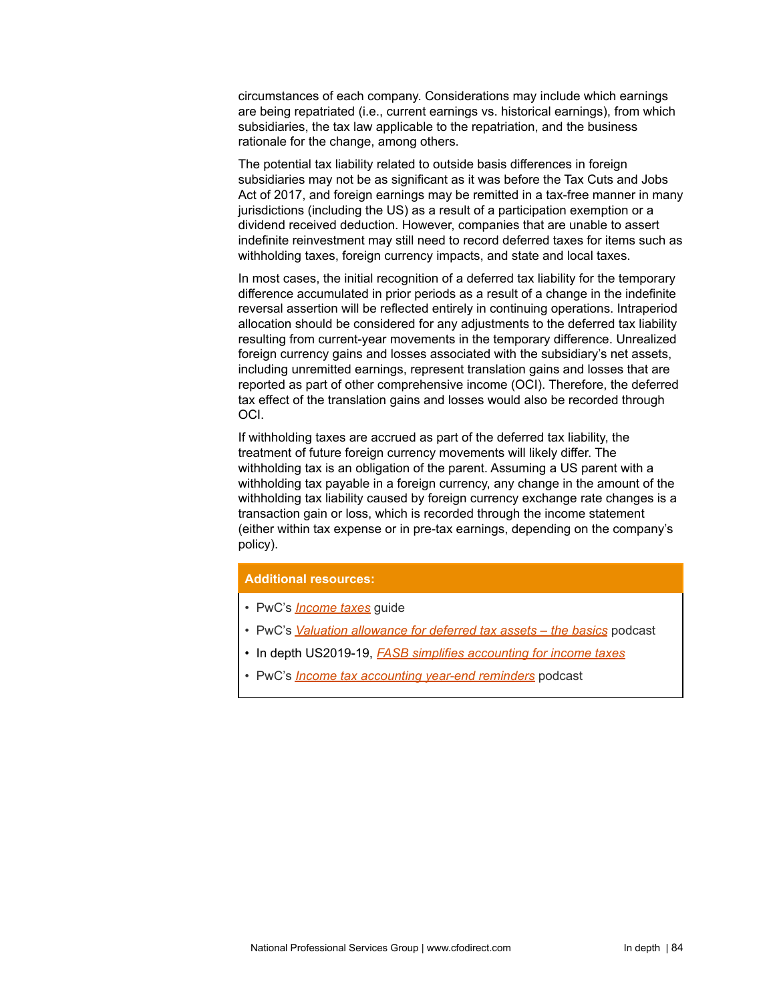circumstances of each company. Considerations may include which earnings are being repatriated (i.e., current earnings vs. historical earnings), from which subsidiaries, the tax law applicable to the repatriation, and the business rationale for the change, among others.

The potential tax liability related to outside basis differences in foreign subsidiaries may not be as significant as it was before the Tax Cuts and Jobs Act of 2017, and foreign earnings may be remitted in a tax-free manner in many jurisdictions (including the US) as a result of a participation exemption or a dividend received deduction. However, companies that are unable to assert indefinite reinvestment may still need to record deferred taxes for items such as withholding taxes, foreign currency impacts, and state and local taxes.

In most cases, the initial recognition of a deferred tax liability for the temporary difference accumulated in prior periods as a result of a change in the indefinite reversal assertion will be reflected entirely in continuing operations. Intraperiod allocation should be considered for any adjustments to the deferred tax liability resulting from current-year movements in the temporary difference. Unrealized foreign currency gains and losses associated with the subsidiary's net assets, including unremitted earnings, represent translation gains and losses that are reported as part of other comprehensive income (OCI). Therefore, the deferred tax effect of the translation gains and losses would also be recorded through OCI.

If withholding taxes are accrued as part of the deferred tax liability, the treatment of future foreign currency movements will likely differ. The withholding tax is an obligation of the parent. Assuming a US parent with a withholding tax payable in a foreign currency, any change in the amount of the withholding tax liability caused by foreign currency exchange rate changes is a transaction gain or loss, which is recorded through the income statement (either within tax expense or in pre-tax earnings, depending on the company's policy).

## **Additional resources:**

- PwC's *[Income](https://www.pwc.com/us/en/cfodirect/publications/accounting-guides/income-taxes-accounting-guide.html) taxes* guide
- PwC's *Valuation [allowance](https://www.pwc.com/us/en/cfodirect/multimedia/podcasts/asc-740-valuation-allowance.html) for deferred tax assets – the basics* podcast
- In depth US2019-19, *FASB simplifies [accounting](https://www.pwc.com/us/en/cfodirect/publications/in-depth/fasb-simplifies-income-taxes-asc-740.html) for income taxes*
- PwC's *Income tax [accounting](https://www.pwc.com/us/en/cfodirect/accounting-podcast/income-tax-year-end-reminders-2020.html) year-end reminders* podcast